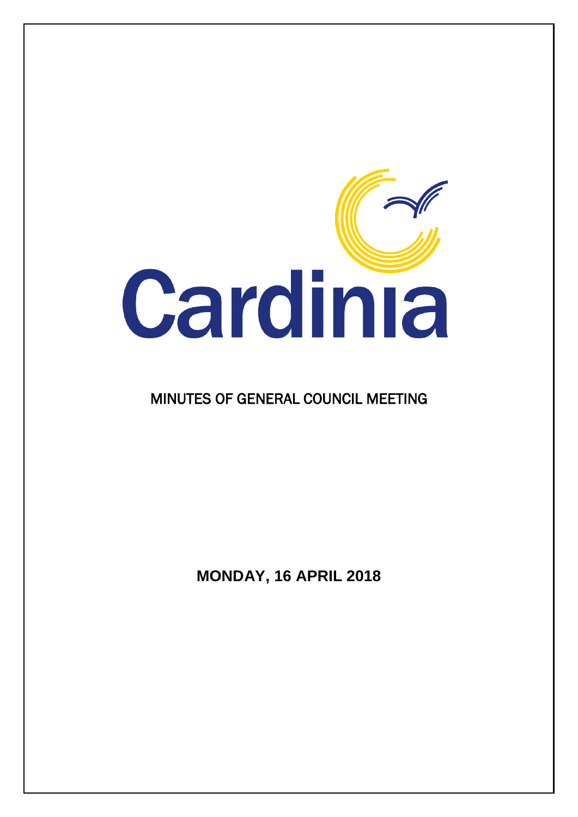

# MINUTES OF GENERAL COUNCIL MEETING

**MONDAY, 16 APRIL 2018**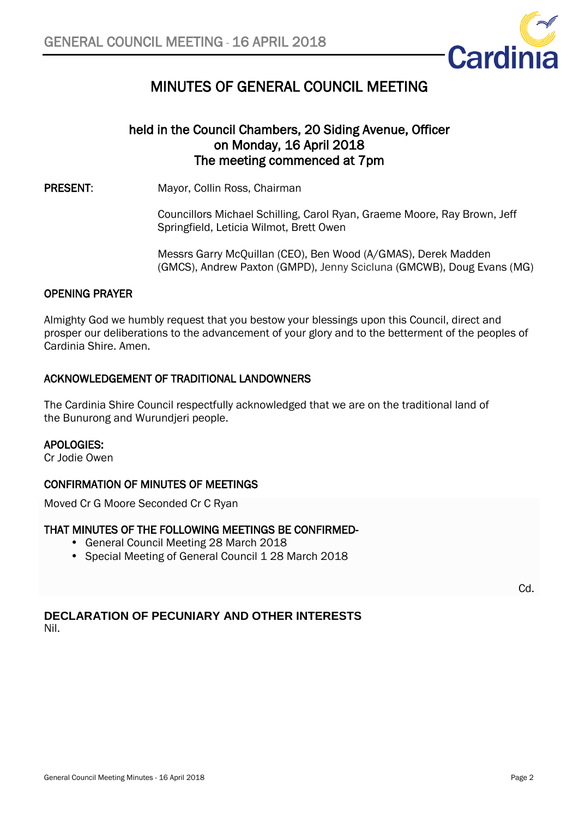

# MINUTES OF GENERAL COUNCIL MEETING

# held in the Council Chambers, 20 Siding Avenue, Officer on Monday, 16 April 2018 The meeting commenced at 7pm

PRESENT: Mayor, Collin Ross, Chairman

Councillors Michael Schilling, Carol Ryan, Graeme Moore, Ray Brown, Jeff Springfield, Leticia Wilmot, Brett Owen

Messrs Garry McQuillan (CEO), Ben Wood (A/GMAS), Derek Madden (GMCS), Andrew Paxton (GMPD), Jenny Scicluna (GMCWB), Doug Evans (MG)

# OPENING PRAYER

Almighty God we humbly request that you bestow your blessings upon this Council, direct and prosper our deliberations to the advancement of your glory and to the betterment of the peoples of Cardinia Shire. Amen.

# ACKNOWLEDGEMENT OF TRADITIONAL LANDOWNERS

The Cardinia Shire Council respectfully acknowledged that we are on the traditional land of the Bunurong and Wurundjeri people.

### APOLOGIES:

Cr Jodie Owen

### CONFIRMATION OF MINUTES OF MEETINGS

Moved Cr G Moore Seconded Cr C Ryan

# THAT MINUTES OF THE FOLLOWING MEETINGS BE CONFIRMED-

- General Council Meeting 28 March 2018
- Special Meeting of General Council 1 28 March 2018

Cd.

# **DECLARATION OF PECUNIARY AND OTHER INTERESTS** Nil.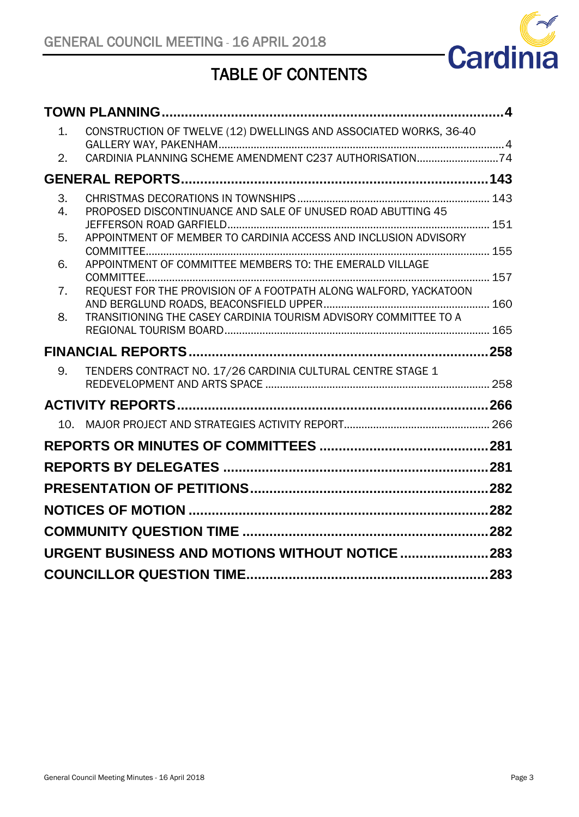

# TABLE OF CONTENTS

| 1.       | CONSTRUCTION OF TWELVE (12) DWELLINGS AND ASSOCIATED WORKS, 36-40 |  |
|----------|-------------------------------------------------------------------|--|
| 2.       | CARDINIA PLANNING SCHEME AMENDMENT C237 AUTHORISATION74           |  |
|          |                                                                   |  |
| 3.<br>4. | PROPOSED DISCONTINUANCE AND SALE OF UNUSED ROAD ABUTTING 45       |  |
| 5.       | APPOINTMENT OF MEMBER TO CARDINIA ACCESS AND INCLUSION ADVISORY   |  |
| 6.       | APPOINTMENT OF COMMITTEE MEMBERS TO: THE EMERALD VILLAGE          |  |
| 7.       | REQUEST FOR THE PROVISION OF A FOOTPATH ALONG WALFORD, YACKATOON  |  |
| 8.       | TRANSITIONING THE CASEY CARDINIA TOURISM ADVISORY COMMITTEE TO A  |  |
|          |                                                                   |  |
|          |                                                                   |  |
| 9.       | TENDERS CONTRACT NO. 17/26 CARDINIA CULTURAL CENTRE STAGE 1       |  |
|          |                                                                   |  |
|          |                                                                   |  |
|          |                                                                   |  |
|          |                                                                   |  |
|          |                                                                   |  |
|          |                                                                   |  |
|          |                                                                   |  |
|          | <b>URGENT BUSINESS AND MOTIONS WITHOUT NOTICE  283</b>            |  |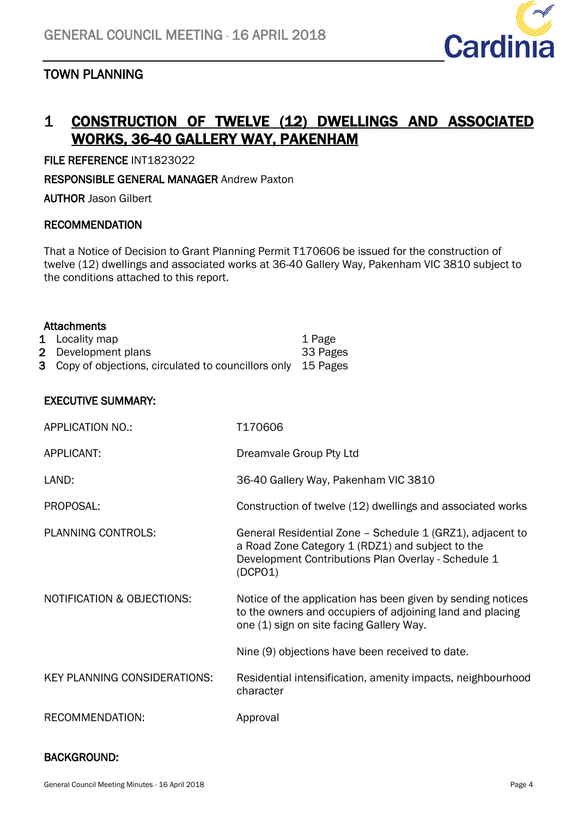<span id="page-3-1"></span>

# <span id="page-3-0"></span>TOWN PLANNING

# 1 CONSTRUCTION OF TWELVE (12) DWELLINGS AND ASSOCIATED WORKS, 36-40 GALLERY WAY, PAKENHAM

FILE REFERENCE INT1823022

RESPONSIBLE GENERAL MANAGER Andrew Paxton

AUTHOR Jason Gilbert

# RECOMMENDATION

That a Notice of Decision to Grant Planning Permit T170606 be issued for the construction of twelve (12) dwellings and associated works at 36-40 Gallery Way, Pakenham VIC 3810 subject to the conditions attached to this report.

| <b>Attachments</b>  |  |
|---------------------|--|
| $l$ and $l$ the man |  |

| 1 Locality map                                                | 1 Page   |
|---------------------------------------------------------------|----------|
| 2 Development plans                                           | 33 Pages |
| 3 Copy of objections, circulated to councillors only 15 Pages |          |

# EXECUTIVE SUMMARY:

| <b>APPLICATION NO.:</b>               | T170606                                                                                                                                                                         |
|---------------------------------------|---------------------------------------------------------------------------------------------------------------------------------------------------------------------------------|
| APPLICANT:                            | Dreamvale Group Pty Ltd                                                                                                                                                         |
| LAND:                                 | 36-40 Gallery Way, Pakenham VIC 3810                                                                                                                                            |
| PROPOSAL:                             | Construction of twelve (12) dwellings and associated works                                                                                                                      |
| <b>PLANNING CONTROLS:</b>             | General Residential Zone - Schedule 1 (GRZ1), adjacent to<br>a Road Zone Category 1 (RDZ1) and subject to the<br>Development Contributions Plan Overlay - Schedule 1<br>(DCPO1) |
| <b>NOTIFICATION &amp; OBJECTIONS:</b> | Notice of the application has been given by sending notices<br>to the owners and occupiers of adjoining land and placing<br>one (1) sign on site facing Gallery Way.            |
|                                       | Nine (9) objections have been received to date.                                                                                                                                 |
| <b>KEY PLANNING CONSIDERATIONS:</b>   | Residential intensification, amenity impacts, neighbourhood<br>character                                                                                                        |
| RECOMMENDATION:                       | Approval                                                                                                                                                                        |

### BACKGROUND: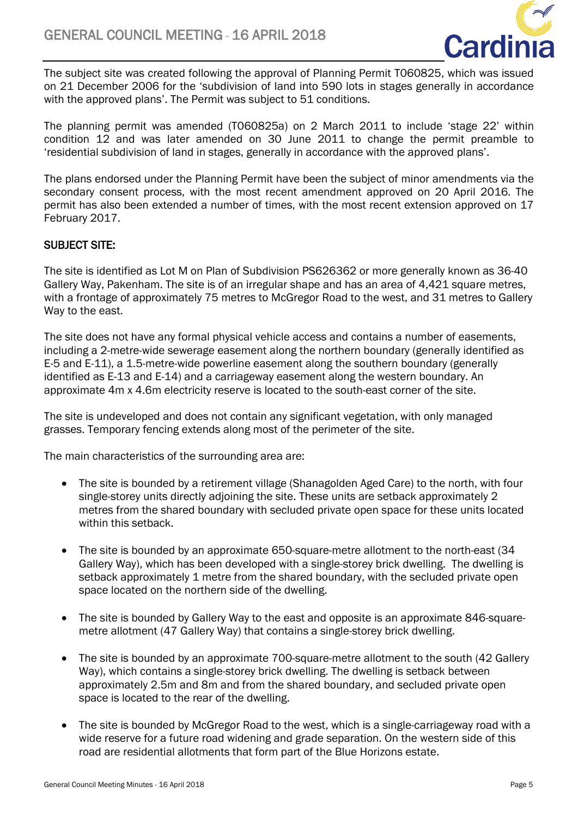

The subject site was created following the approval of Planning Permit T060825, which was issued on 21 December 2006 for the 'subdivision of land into 590 lots in stages generally in accordance with the approved plans'. The Permit was subject to 51 conditions.

The planning permit was amended (T060825a) on 2 March 2011 to include 'stage 22' within condition 12 and was later amended on 30 June 2011 to change the permit preamble to 'residential subdivision of land in stages, generally in accordance with the approved plans'.

The plans endorsed under the Planning Permit have been the subject of minor amendments via the secondary consent process, with the most recent amendment approved on 20 April 2016. The permit has also been extended a number of times, with the most recent extension approved on 17 February 2017.

# SUBJECT SITE:

The site is identified as Lot M on Plan of Subdivision PS626362 or more generally known as 36-40 Gallery Way, Pakenham. The site is of an irregular shape and has an area of 4,421 square metres, with a frontage of approximately 75 metres to McGregor Road to the west, and 31 metres to Gallery Way to the east.

The site does not have any formal physical vehicle access and contains a number of easements, including a 2-metre-wide sewerage easement along the northern boundary (generally identified as E-5 and E-11), a 1.5-metre-wide powerline easement along the southern boundary (generally identified as E-13 and E-14) and a carriageway easement along the western boundary. An approximate 4m x 4.6m electricity reserve is located to the south-east corner of the site.

The site is undeveloped and does not contain any significant vegetation, with only managed grasses. Temporary fencing extends along most of the perimeter of the site.

The main characteristics of the surrounding area are:

- The site is bounded by a retirement village (Shanagolden Aged Care) to the north, with four single-storey units directly adjoining the site. These units are setback approximately 2 metres from the shared boundary with secluded private open space for these units located within this setback.
- The site is bounded by an approximate 650-square-metre allotment to the north-east (34 Gallery Way), which has been developed with a single-storey brick dwelling. The dwelling is setback approximately 1 metre from the shared boundary, with the secluded private open space located on the northern side of the dwelling.
- The site is bounded by Gallery Way to the east and opposite is an approximate 846-squaremetre allotment (47 Gallery Way) that contains a single-storey brick dwelling.
- The site is bounded by an approximate 700-square-metre allotment to the south (42 Gallery Way), which contains a single-storey brick dwelling. The dwelling is setback between approximately 2.5m and 8m and from the shared boundary, and secluded private open space is located to the rear of the dwelling.
- The site is bounded by McGregor Road to the west, which is a single-carriageway road with a wide reserve for a future road widening and grade separation. On the western side of this road are residential allotments that form part of the Blue Horizons estate.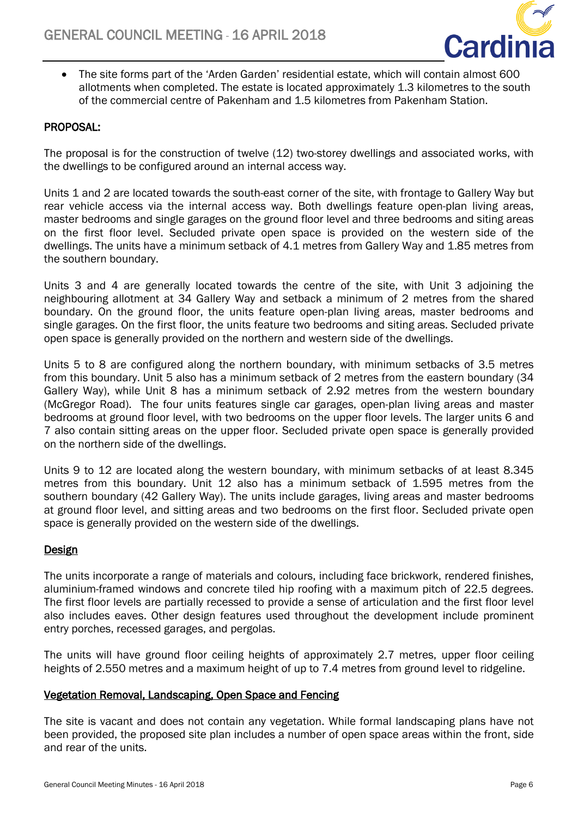

• The site forms part of the 'Arden Garden' residential estate, which will contain almost 600 allotments when completed. The estate is located approximately 1.3 kilometres to the south of the commercial centre of Pakenham and 1.5 kilometres from Pakenham Station.

# PROPOSAL:

The proposal is for the construction of twelve (12) two-storey dwellings and associated works, with the dwellings to be configured around an internal access way.

Units 1 and 2 are located towards the south-east corner of the site, with frontage to Gallery Way but rear vehicle access via the internal access way. Both dwellings feature open-plan living areas, master bedrooms and single garages on the ground floor level and three bedrooms and siting areas on the first floor level. Secluded private open space is provided on the western side of the dwellings. The units have a minimum setback of 4.1 metres from Gallery Way and 1.85 metres from the southern boundary.

Units 3 and 4 are generally located towards the centre of the site, with Unit 3 adjoining the neighbouring allotment at 34 Gallery Way and setback a minimum of 2 metres from the shared boundary. On the ground floor, the units feature open-plan living areas, master bedrooms and single garages. On the first floor, the units feature two bedrooms and siting areas. Secluded private open space is generally provided on the northern and western side of the dwellings.

Units 5 to 8 are configured along the northern boundary, with minimum setbacks of 3.5 metres from this boundary. Unit 5 also has a minimum setback of 2 metres from the eastern boundary (34 Gallery Way), while Unit 8 has a minimum setback of 2.92 metres from the western boundary (McGregor Road). The four units features single car garages, open-plan living areas and master bedrooms at ground floor level, with two bedrooms on the upper floor levels. The larger units 6 and 7 also contain sitting areas on the upper floor. Secluded private open space is generally provided on the northern side of the dwellings.

Units 9 to 12 are located along the western boundary, with minimum setbacks of at least 8.345 metres from this boundary. Unit 12 also has a minimum setback of 1.595 metres from the southern boundary (42 Gallery Way). The units include garages, living areas and master bedrooms at ground floor level, and sitting areas and two bedrooms on the first floor. Secluded private open space is generally provided on the western side of the dwellings.

### Design

The units incorporate a range of materials and colours, including face brickwork, rendered finishes, aluminium-framed windows and concrete tiled hip roofing with a maximum pitch of 22.5 degrees. The first floor levels are partially recessed to provide a sense of articulation and the first floor level also includes eaves. Other design features used throughout the development include prominent entry porches, recessed garages, and pergolas.

The units will have ground floor ceiling heights of approximately 2.7 metres, upper floor ceiling heights of 2.550 metres and a maximum height of up to 7.4 metres from ground level to ridgeline.

### Vegetation Removal, Landscaping, Open Space and Fencing

The site is vacant and does not contain any vegetation. While formal landscaping plans have not been provided, the proposed site plan includes a number of open space areas within the front, side and rear of the units.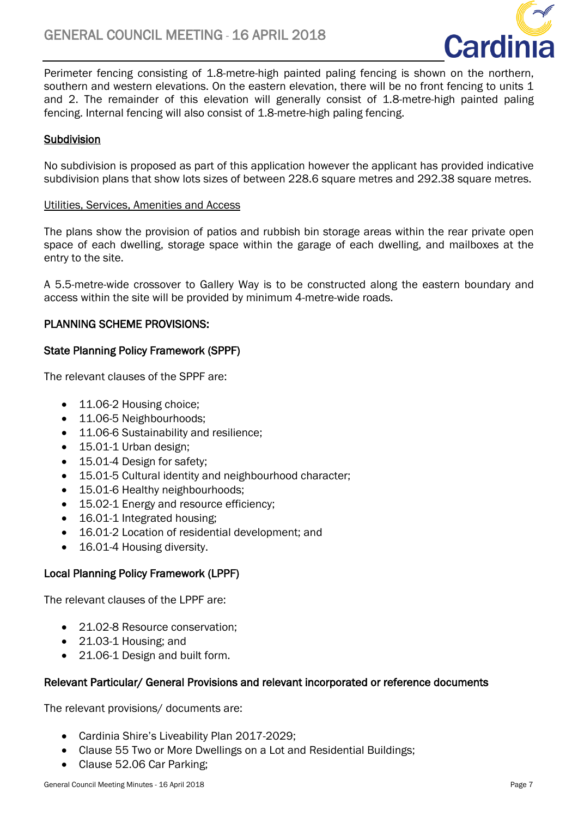

Perimeter fencing consisting of 1.8-metre-high painted paling fencing is shown on the northern, southern and western elevations. On the eastern elevation, there will be no front fencing to units 1 and 2. The remainder of this elevation will generally consist of 1.8-metre-high painted paling fencing. Internal fencing will also consist of 1.8-metre-high paling fencing.

# Subdivision

No subdivision is proposed as part of this application however the applicant has provided indicative subdivision plans that show lots sizes of between 228.6 square metres and 292.38 square metres.

#### Utilities, Services, Amenities and Access

The plans show the provision of patios and rubbish bin storage areas within the rear private open space of each dwelling, storage space within the garage of each dwelling, and mailboxes at the entry to the site.

A 5.5-metre-wide crossover to Gallery Way is to be constructed along the eastern boundary and access within the site will be provided by minimum 4-metre-wide roads.

# PLANNING SCHEME PROVISIONS:

# State Planning Policy Framework (SPPF)

The relevant clauses of the SPPF are:

- 11.06-2 Housing choice;
- 11.06-5 Neighbourhoods;
- 11.06-6 Sustainability and resilience;
- 15.01-1 Urban design;
- 15.01-4 Design for safety;
- 15.01-5 Cultural identity and neighbourhood character;
- 15.01-6 Healthy neighbourhoods;
- 15.02-1 Energy and resource efficiency;
- 16.01-1 Integrated housing;
- 16.01-2 Location of residential development; and
- 16.01-4 Housing diversity.

# Local Planning Policy Framework (LPPF)

The relevant clauses of the LPPF are:

- 21.02-8 Resource conservation:
- 21.03-1 Housing; and
- 21.06-1 Design and built form.

### Relevant Particular/ General Provisions and relevant incorporated or reference documents

The relevant provisions/ documents are:

- Cardinia Shire's Liveability Plan 2017-2029;
- Clause 55 Two or More Dwellings on a Lot and Residential Buildings;
- Clause 52.06 Car Parking;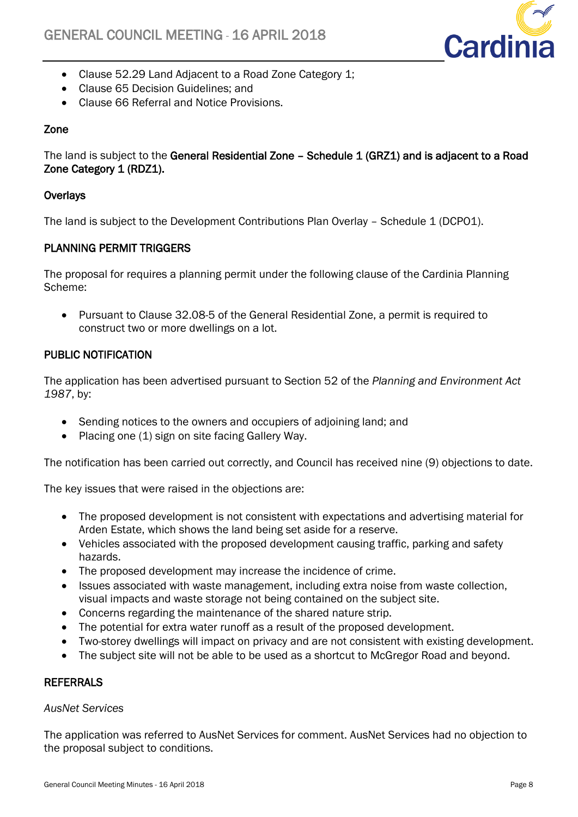

- Clause 52.29 Land Adjacent to a Road Zone Category 1;
- Clause 65 Decision Guidelines: and
- Clause 66 Referral and Notice Provisions.

# Zone

The land is subject to the General Residential Zone - Schedule 1 (GRZ1) and is adjacent to a Road Zone Category 1 (RDZ1).

# **Overlays**

The land is subject to the Development Contributions Plan Overlay – Schedule 1 (DCPO1).

# PLANNING PERMIT TRIGGERS

The proposal for requires a planning permit under the following clause of the Cardinia Planning Scheme:

• Pursuant to Clause 32.08-5 of the General Residential Zone, a permit is required to construct two or more dwellings on a lot.

# PUBLIC NOTIFICATION

The application has been advertised pursuant to Section 52 of the *Planning and Environment Act 1987*, by:

- Sending notices to the owners and occupiers of adjoining land; and
- Placing one (1) sign on site facing Gallery Way.

The notification has been carried out correctly, and Council has received nine (9) objections to date.

The key issues that were raised in the objections are:

- The proposed development is not consistent with expectations and advertising material for Arden Estate, which shows the land being set aside for a reserve.
- Vehicles associated with the proposed development causing traffic, parking and safety hazards.
- The proposed development may increase the incidence of crime.
- Issues associated with waste management, including extra noise from waste collection, visual impacts and waste storage not being contained on the subject site.
- Concerns regarding the maintenance of the shared nature strip.
- The potential for extra water runoff as a result of the proposed development.
- Two-storey dwellings will impact on privacy and are not consistent with existing development.
- The subject site will not be able to be used as a shortcut to McGregor Road and beyond.

# **REFERRALS**

# *AusNet Services*

The application was referred to AusNet Services for comment. AusNet Services had no objection to the proposal subject to conditions.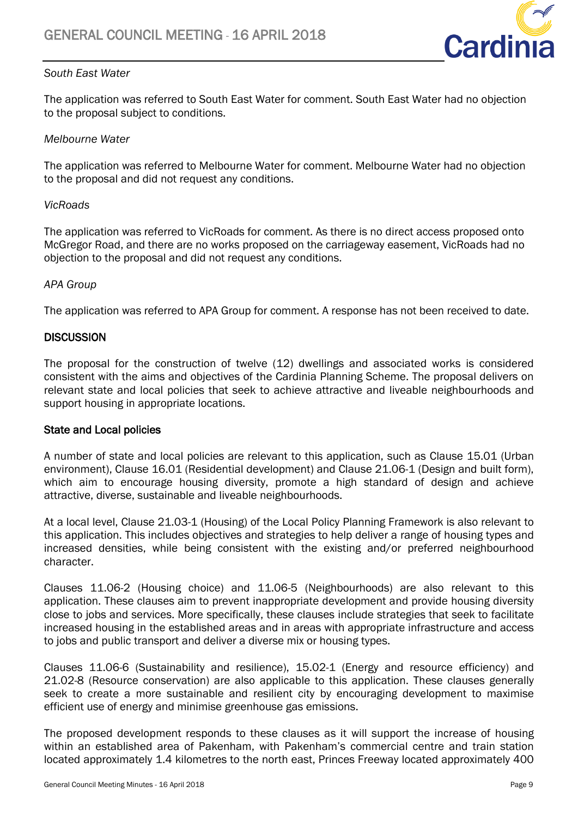

# *South East Water*

The application was referred to South East Water for comment. South East Water had no objection to the proposal subject to conditions.

# *Melbourne Water*

The application was referred to Melbourne Water for comment. Melbourne Water had no objection to the proposal and did not request any conditions.

# *VicRoads*

The application was referred to VicRoads for comment. As there is no direct access proposed onto McGregor Road, and there are no works proposed on the carriageway easement, VicRoads had no objection to the proposal and did not request any conditions.

# *APA Group*

The application was referred to APA Group for comment. A response has not been received to date.

# **DISCUSSION**

The proposal for the construction of twelve (12) dwellings and associated works is considered consistent with the aims and objectives of the Cardinia Planning Scheme. The proposal delivers on relevant state and local policies that seek to achieve attractive and liveable neighbourhoods and support housing in appropriate locations.

### State and Local policies

A number of state and local policies are relevant to this application, such as Clause 15.01 (Urban environment), Clause 16.01 (Residential development) and Clause 21.06-1 (Design and built form), which aim to encourage housing diversity, promote a high standard of design and achieve attractive, diverse, sustainable and liveable neighbourhoods.

At a local level, Clause 21.03-1 (Housing) of the Local Policy Planning Framework is also relevant to this application. This includes objectives and strategies to help deliver a range of housing types and increased densities, while being consistent with the existing and/or preferred neighbourhood character.

Clauses 11.06-2 (Housing choice) and 11.06-5 (Neighbourhoods) are also relevant to this application. These clauses aim to prevent inappropriate development and provide housing diversity close to jobs and services. More specifically, these clauses include strategies that seek to facilitate increased housing in the established areas and in areas with appropriate infrastructure and access to jobs and public transport and deliver a diverse mix or housing types.

Clauses 11.06-6 (Sustainability and resilience), 15.02-1 (Energy and resource efficiency) and 21.02-8 (Resource conservation) are also applicable to this application. These clauses generally seek to create a more sustainable and resilient city by encouraging development to maximise efficient use of energy and minimise greenhouse gas emissions.

The proposed development responds to these clauses as it will support the increase of housing within an established area of Pakenham, with Pakenham's commercial centre and train station located approximately 1.4 kilometres to the north east, Princes Freeway located approximately 400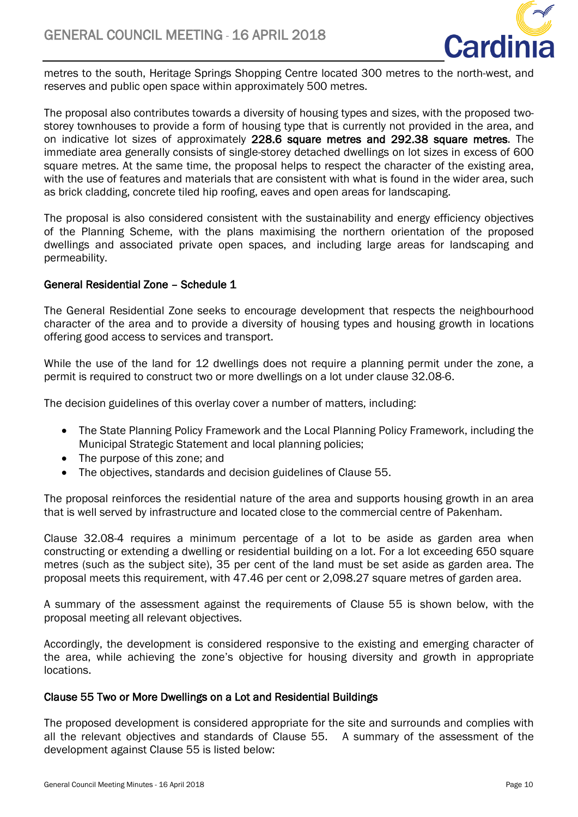

metres to the south, Heritage Springs Shopping Centre located 300 metres to the north-west, and reserves and public open space within approximately 500 metres.

The proposal also contributes towards a diversity of housing types and sizes, with the proposed twostorey townhouses to provide a form of housing type that is currently not provided in the area, and on indicative lot sizes of approximately 228.6 square metres and 292.38 square metres. The immediate area generally consists of single-storey detached dwellings on lot sizes in excess of 600 square metres. At the same time, the proposal helps to respect the character of the existing area, with the use of features and materials that are consistent with what is found in the wider area, such as brick cladding, concrete tiled hip roofing, eaves and open areas for landscaping.

The proposal is also considered consistent with the sustainability and energy efficiency objectives of the Planning Scheme, with the plans maximising the northern orientation of the proposed dwellings and associated private open spaces, and including large areas for landscaping and permeability.

# General Residential Zone – Schedule 1

The General Residential Zone seeks to encourage development that respects the neighbourhood character of the area and to provide a diversity of housing types and housing growth in locations offering good access to services and transport.

While the use of the land for 12 dwellings does not require a planning permit under the zone, a permit is required to construct two or more dwellings on a lot under clause 32.08-6.

The decision guidelines of this overlay cover a number of matters, including:

- The State Planning Policy Framework and the Local Planning Policy Framework, including the Municipal Strategic Statement and local planning policies;
- The purpose of this zone; and
- The objectives, standards and decision guidelines of Clause 55.

The proposal reinforces the residential nature of the area and supports housing growth in an area that is well served by infrastructure and located close to the commercial centre of Pakenham.

Clause 32.08-4 requires a minimum percentage of a lot to be aside as garden area when constructing or extending a dwelling or residential building on a lot. For a lot exceeding 650 square metres (such as the subject site), 35 per cent of the land must be set aside as garden area. The proposal meets this requirement, with 47.46 per cent or 2,098.27 square metres of garden area.

A summary of the assessment against the requirements of Clause 55 is shown below, with the proposal meeting all relevant objectives.

Accordingly, the development is considered responsive to the existing and emerging character of the area, while achieving the zone's objective for housing diversity and growth in appropriate locations.

### Clause 55 Two or More Dwellings on a Lot and Residential Buildings

The proposed development is considered appropriate for the site and surrounds and complies with all the relevant objectives and standards of Clause 55. A summary of the assessment of the development against Clause 55 is listed below: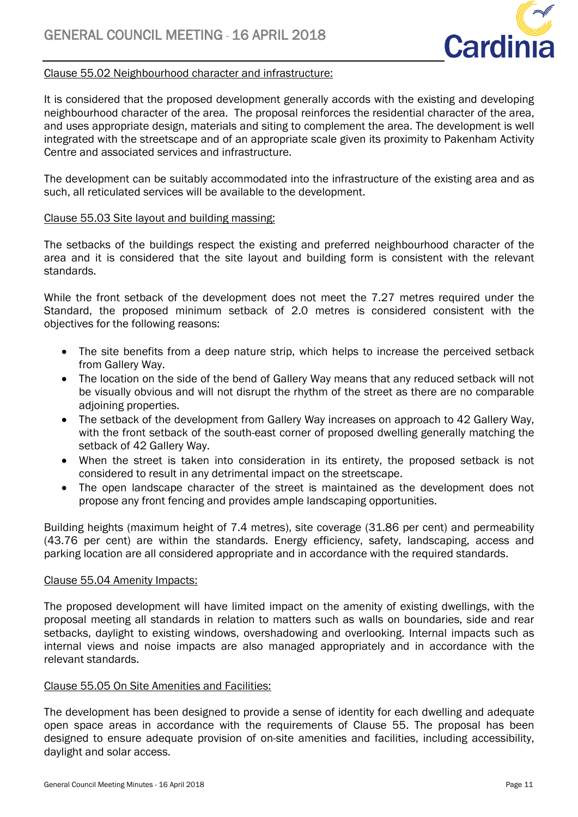

# Clause 55.02 Neighbourhood character and infrastructure:

It is considered that the proposed development generally accords with the existing and developing neighbourhood character of the area. The proposal reinforces the residential character of the area, and uses appropriate design, materials and siting to complement the area. The development is well integrated with the streetscape and of an appropriate scale given its proximity to Pakenham Activity Centre and associated services and infrastructure.

The development can be suitably accommodated into the infrastructure of the existing area and as such, all reticulated services will be available to the development.

# Clause 55.03 Site layout and building massing:

The setbacks of the buildings respect the existing and preferred neighbourhood character of the area and it is considered that the site layout and building form is consistent with the relevant standards.

While the front setback of the development does not meet the 7.27 metres required under the Standard, the proposed minimum setback of 2.0 metres is considered consistent with the objectives for the following reasons:

- The site benefits from a deep nature strip, which helps to increase the perceived setback from Gallery Way.
- The location on the side of the bend of Gallery Way means that any reduced setback will not be visually obvious and will not disrupt the rhythm of the street as there are no comparable adioining properties.
- The setback of the development from Gallery Way increases on approach to 42 Gallery Way, with the front setback of the south-east corner of proposed dwelling generally matching the setback of 42 Gallery Way.
- When the street is taken into consideration in its entirety, the proposed setback is not considered to result in any detrimental impact on the streetscape.
- The open landscape character of the street is maintained as the development does not propose any front fencing and provides ample landscaping opportunities.

Building heights (maximum height of 7.4 metres), site coverage (31.86 per cent) and permeability (43.76 per cent) are within the standards. Energy efficiency, safety, landscaping, access and parking location are all considered appropriate and in accordance with the required standards.

### Clause 55.04 Amenity Impacts:

The proposed development will have limited impact on the amenity of existing dwellings, with the proposal meeting all standards in relation to matters such as walls on boundaries, side and rear setbacks, daylight to existing windows, overshadowing and overlooking. Internal impacts such as internal views and noise impacts are also managed appropriately and in accordance with the relevant standards.

### Clause 55.05 On Site Amenities and Facilities:

The development has been designed to provide a sense of identity for each dwelling and adequate open space areas in accordance with the requirements of Clause 55. The proposal has been designed to ensure adequate provision of on-site amenities and facilities, including accessibility, daylight and solar access.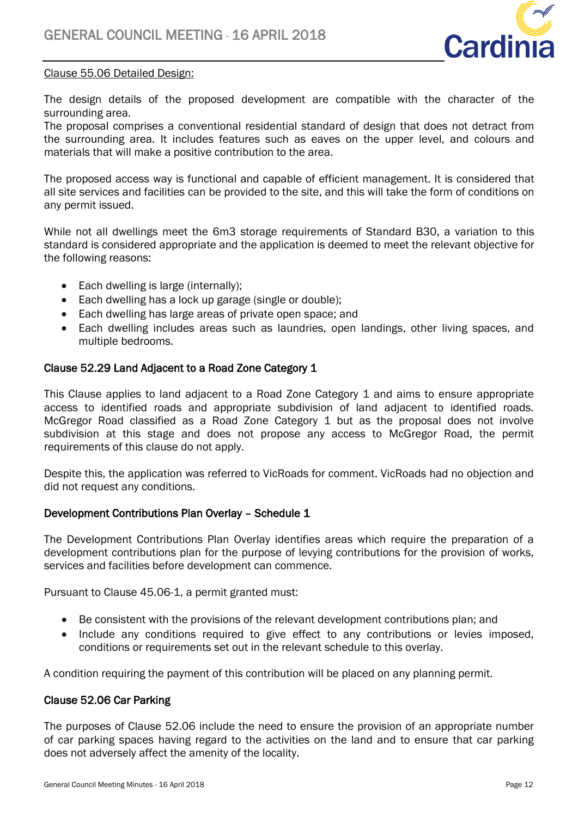

# Clause 55.06 Detailed Design:

The design details of the proposed development are compatible with the character of the surrounding area.

The proposal comprises a conventional residential standard of design that does not detract from the surrounding area. It includes features such as eaves on the upper level, and colours and materials that will make a positive contribution to the area.

The proposed access way is functional and capable of efficient management. It is considered that all site services and facilities can be provided to the site, and this will take the form of conditions on any permit issued.

While not all dwellings meet the 6m3 storage requirements of Standard B30, a variation to this standard is considered appropriate and the application is deemed to meet the relevant objective for the following reasons:

- Each dwelling is large (internally);
- Each dwelling has a lock up garage (single or double);
- Each dwelling has large areas of private open space; and
- Each dwelling includes areas such as laundries, open landings, other living spaces, and multiple bedrooms.

# Clause 52.29 Land Adjacent to a Road Zone Category 1

This Clause applies to land adjacent to a Road Zone Category 1 and aims to ensure appropriate access to identified roads and appropriate subdivision of land adjacent to identified roads. McGregor Road classified as a Road Zone Category 1 but as the proposal does not involve subdivision at this stage and does not propose any access to McGregor Road, the permit requirements of this clause do not apply.

Despite this, the application was referred to VicRoads for comment. VicRoads had no objection and did not request any conditions.

### Development Contributions Plan Overlay – Schedule 1

The Development Contributions Plan Overlay identifies areas which require the preparation of a development contributions plan for the purpose of levying contributions for the provision of works, services and facilities before development can commence.

Pursuant to Clause 45.06-1, a permit granted must:

- Be consistent with the provisions of the relevant development contributions plan; and
- Include any conditions required to give effect to any contributions or levies imposed, conditions or requirements set out in the relevant schedule to this overlay.

A condition requiring the payment of this contribution will be placed on any planning permit.

# Clause 52.06 Car Parking

The purposes of Clause 52.06 include the need to ensure the provision of an appropriate number of car parking spaces having regard to the activities on the land and to ensure that car parking does not adversely affect the amenity of the locality.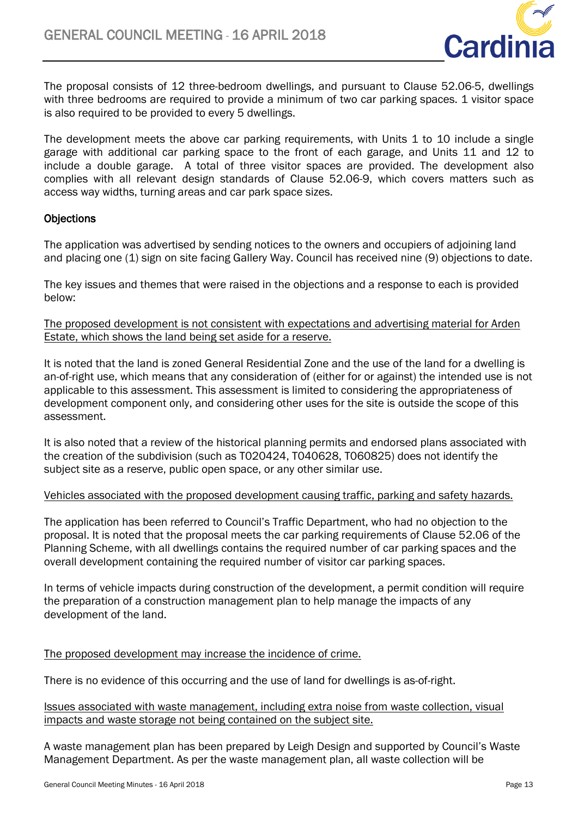

The proposal consists of 12 three-bedroom dwellings, and pursuant to Clause 52.06-5, dwellings with three bedrooms are required to provide a minimum of two car parking spaces. 1 visitor space is also required to be provided to every 5 dwellings.

The development meets the above car parking requirements, with Units 1 to 10 include a single garage with additional car parking space to the front of each garage, and Units 11 and 12 to include a double garage. A total of three visitor spaces are provided. The development also complies with all relevant design standards of Clause 52.06-9, which covers matters such as access way widths, turning areas and car park space sizes.

# **Objections**

The application was advertised by sending notices to the owners and occupiers of adjoining land and placing one (1) sign on site facing Gallery Way. Council has received nine (9) objections to date.

The key issues and themes that were raised in the objections and a response to each is provided below:

The proposed development is not consistent with expectations and advertising material for Arden Estate, which shows the land being set aside for a reserve.

It is noted that the land is zoned General Residential Zone and the use of the land for a dwelling is an-of-right use, which means that any consideration of (either for or against) the intended use is not applicable to this assessment. This assessment is limited to considering the appropriateness of development component only, and considering other uses for the site is outside the scope of this assessment.

It is also noted that a review of the historical planning permits and endorsed plans associated with the creation of the subdivision (such as T020424, T040628, T060825) does not identify the subject site as a reserve, public open space, or any other similar use.

### Vehicles associated with the proposed development causing traffic, parking and safety hazards.

The application has been referred to Council's Traffic Department, who had no objection to the proposal. It is noted that the proposal meets the car parking requirements of Clause 52.06 of the Planning Scheme, with all dwellings contains the required number of car parking spaces and the overall development containing the required number of visitor car parking spaces.

In terms of vehicle impacts during construction of the development, a permit condition will require the preparation of a construction management plan to help manage the impacts of any development of the land.

### The proposed development may increase the incidence of crime.

There is no evidence of this occurring and the use of land for dwellings is as-of-right.

### Issues associated with waste management, including extra noise from waste collection, visual impacts and waste storage not being contained on the subject site.

A waste management plan has been prepared by Leigh Design and supported by Council's Waste Management Department. As per the waste management plan, all waste collection will be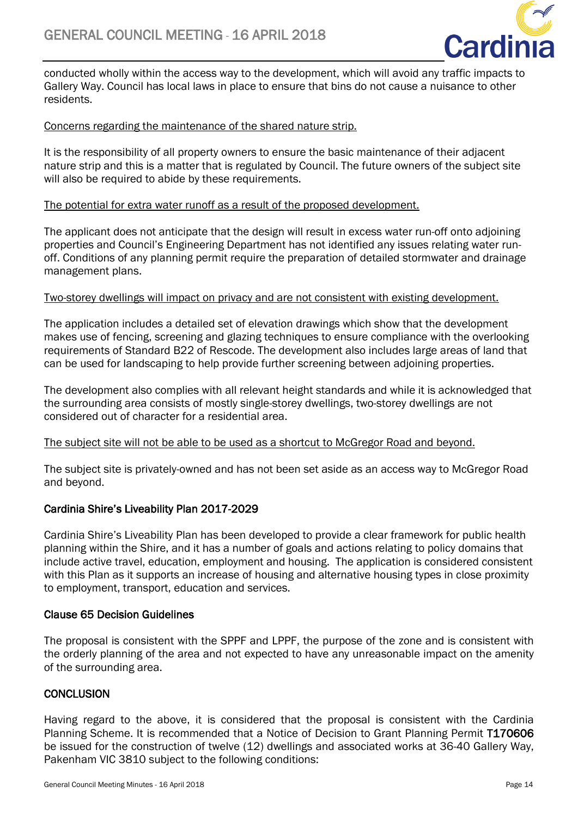

conducted wholly within the access way to the development, which will avoid any traffic impacts to Gallery Way. Council has local laws in place to ensure that bins do not cause a nuisance to other residents.

# Concerns regarding the maintenance of the shared nature strip.

It is the responsibility of all property owners to ensure the basic maintenance of their adjacent nature strip and this is a matter that is regulated by Council. The future owners of the subject site will also be required to abide by these requirements.

### The potential for extra water runoff as a result of the proposed development.

The applicant does not anticipate that the design will result in excess water run-off onto adjoining properties and Council's Engineering Department has not identified any issues relating water runoff. Conditions of any planning permit require the preparation of detailed stormwater and drainage management plans.

### Two-storey dwellings will impact on privacy and are not consistent with existing development.

The application includes a detailed set of elevation drawings which show that the development makes use of fencing, screening and glazing techniques to ensure compliance with the overlooking requirements of Standard B22 of Rescode. The development also includes large areas of land that can be used for landscaping to help provide further screening between adjoining properties.

The development also complies with all relevant height standards and while it is acknowledged that the surrounding area consists of mostly single-storey dwellings, two-storey dwellings are not considered out of character for a residential area.

### The subject site will not be able to be used as a shortcut to McGregor Road and beyond.

The subject site is privately-owned and has not been set aside as an access way to McGregor Road and beyond.

# Cardinia Shire's Liveability Plan 2017-2029

Cardinia Shire's Liveability Plan has been developed to provide a clear framework for public health planning within the Shire, and it has a number of goals and actions relating to policy domains that include active travel, education, employment and housing. The application is considered consistent with this Plan as it supports an increase of housing and alternative housing types in close proximity to employment, transport, education and services.

### Clause 65 Decision Guidelines

The proposal is consistent with the SPPF and LPPF, the purpose of the zone and is consistent with the orderly planning of the area and not expected to have any unreasonable impact on the amenity of the surrounding area.

# **CONCLUSION**

Having regard to the above, it is considered that the proposal is consistent with the Cardinia Planning Scheme. It is recommended that a Notice of Decision to Grant Planning Permit T170606 be issued for the construction of twelve (12) dwellings and associated works at 36-40 Gallery Way, Pakenham VIC 3810 subject to the following conditions: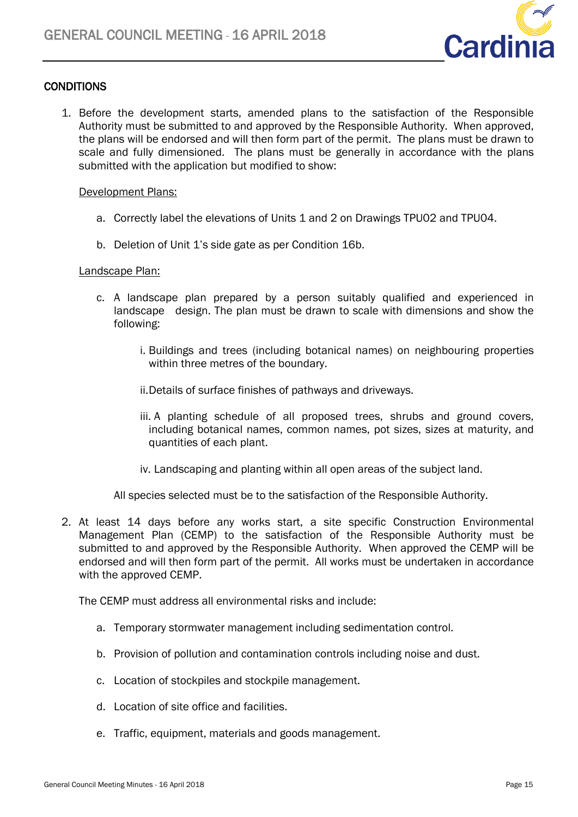

# **CONDITIONS**

1. Before the development starts, amended plans to the satisfaction of the Responsible Authority must be submitted to and approved by the Responsible Authority. When approved, the plans will be endorsed and will then form part of the permit. The plans must be drawn to scale and fully dimensioned. The plans must be generally in accordance with the plans submitted with the application but modified to show:

# Development Plans:

- a. Correctly label the elevations of Units 1 and 2 on Drawings TPU02 and TPU04.
- b. Deletion of Unit 1's side gate as per Condition 16b.

### Landscape Plan:

- c. A landscape plan prepared by a person suitably qualified and experienced in landscape design. The plan must be drawn to scale with dimensions and show the following:
	- i. Buildings and trees (including botanical names) on neighbouring properties within three metres of the boundary.
	- ii.Details of surface finishes of pathways and driveways.
	- iii. A planting schedule of all proposed trees, shrubs and ground covers, including botanical names, common names, pot sizes, sizes at maturity, and quantities of each plant.
	- iv. Landscaping and planting within all open areas of the subject land.

All species selected must be to the satisfaction of the Responsible Authority.

2. At least 14 days before any works start, a site specific Construction Environmental Management Plan (CEMP) to the satisfaction of the Responsible Authority must be submitted to and approved by the Responsible Authority. When approved the CEMP will be endorsed and will then form part of the permit. All works must be undertaken in accordance with the approved CEMP.

The CEMP must address all environmental risks and include:

- a. Temporary stormwater management including sedimentation control.
- b. Provision of pollution and contamination controls including noise and dust.
- c. Location of stockpiles and stockpile management.
- d. Location of site office and facilities.
- e. Traffic, equipment, materials and goods management.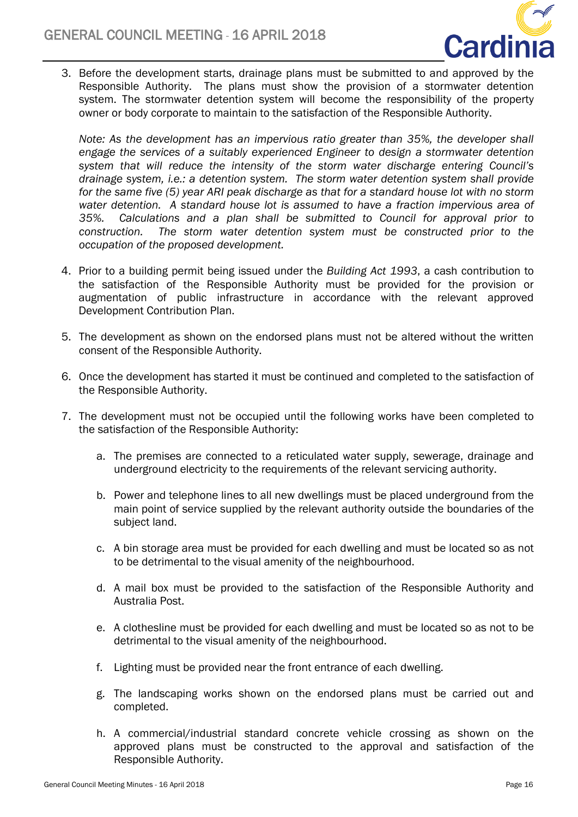

3. Before the development starts, drainage plans must be submitted to and approved by the Responsible Authority. The plans must show the provision of a stormwater detention system. The stormwater detention system will become the responsibility of the property owner or body corporate to maintain to the satisfaction of the Responsible Authority.

*Note: As the development has an impervious ratio greater than 35%, the developer shall engage the services of a suitably experienced Engineer to design a stormwater detention system that will reduce the intensity of the storm water discharge entering Council's drainage system, i.e.: a detention system. The storm water detention system shall provide for the same five (5) year ARI peak discharge as that for a standard house lot with no storm water detention. A standard house lot is assumed to have a fraction impervious area of 35%. Calculations and a plan shall be submitted to Council for approval prior to construction. The storm water detention system must be constructed prior to the occupation of the proposed development.*

- 4. Prior to a building permit being issued under the *Building Act 1993*, a cash contribution to the satisfaction of the Responsible Authority must be provided for the provision or augmentation of public infrastructure in accordance with the relevant approved Development Contribution Plan.
- 5. The development as shown on the endorsed plans must not be altered without the written consent of the Responsible Authority.
- 6. Once the development has started it must be continued and completed to the satisfaction of the Responsible Authority.
- 7. The development must not be occupied until the following works have been completed to the satisfaction of the Responsible Authority:
	- a. The premises are connected to a reticulated water supply, sewerage, drainage and underground electricity to the requirements of the relevant servicing authority.
	- b. Power and telephone lines to all new dwellings must be placed underground from the main point of service supplied by the relevant authority outside the boundaries of the subject land.
	- c. A bin storage area must be provided for each dwelling and must be located so as not to be detrimental to the visual amenity of the neighbourhood.
	- d. A mail box must be provided to the satisfaction of the Responsible Authority and Australia Post.
	- e. A clothesline must be provided for each dwelling and must be located so as not to be detrimental to the visual amenity of the neighbourhood.
	- f. Lighting must be provided near the front entrance of each dwelling.
	- g. The landscaping works shown on the endorsed plans must be carried out and completed.
	- h. A commercial/industrial standard concrete vehicle crossing as shown on the approved plans must be constructed to the approval and satisfaction of the Responsible Authority.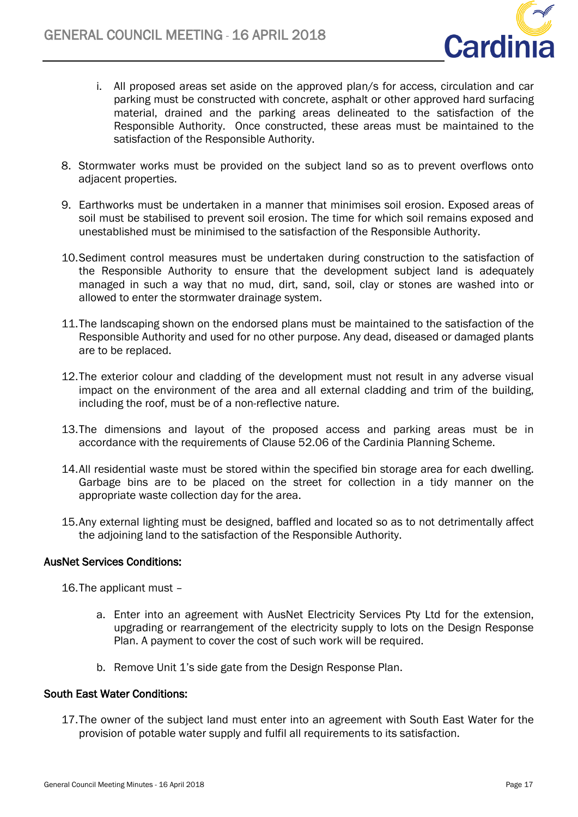

- i. All proposed areas set aside on the approved plan/s for access, circulation and car parking must be constructed with concrete, asphalt or other approved hard surfacing material, drained and the parking areas delineated to the satisfaction of the Responsible Authority. Once constructed, these areas must be maintained to the satisfaction of the Responsible Authority.
- 8. Stormwater works must be provided on the subject land so as to prevent overflows onto adjacent properties.
- 9. Earthworks must be undertaken in a manner that minimises soil erosion. Exposed areas of soil must be stabilised to prevent soil erosion. The time for which soil remains exposed and unestablished must be minimised to the satisfaction of the Responsible Authority.
- 10.Sediment control measures must be undertaken during construction to the satisfaction of the Responsible Authority to ensure that the development subject land is adequately managed in such a way that no mud, dirt, sand, soil, clay or stones are washed into or allowed to enter the stormwater drainage system.
- 11.The landscaping shown on the endorsed plans must be maintained to the satisfaction of the Responsible Authority and used for no other purpose. Any dead, diseased or damaged plants are to be replaced.
- 12.The exterior colour and cladding of the development must not result in any adverse visual impact on the environment of the area and all external cladding and trim of the building, including the roof, must be of a non-reflective nature.
- 13.The dimensions and layout of the proposed access and parking areas must be in accordance with the requirements of Clause 52.06 of the Cardinia Planning Scheme.
- 14.All residential waste must be stored within the specified bin storage area for each dwelling. Garbage bins are to be placed on the street for collection in a tidy manner on the appropriate waste collection day for the area.
- 15.Any external lighting must be designed, baffled and located so as to not detrimentally affect the adjoining land to the satisfaction of the Responsible Authority.

### AusNet Services Conditions:

16.The applicant must –

- a. Enter into an agreement with AusNet Electricity Services Pty Ltd for the extension, upgrading or rearrangement of the electricity supply to lots on the Design Response Plan. A payment to cover the cost of such work will be required.
- b. Remove Unit 1's side gate from the Design Response Plan.

# South East Water Conditions:

17.The owner of the subject land must enter into an agreement with South East Water for the provision of potable water supply and fulfil all requirements to its satisfaction.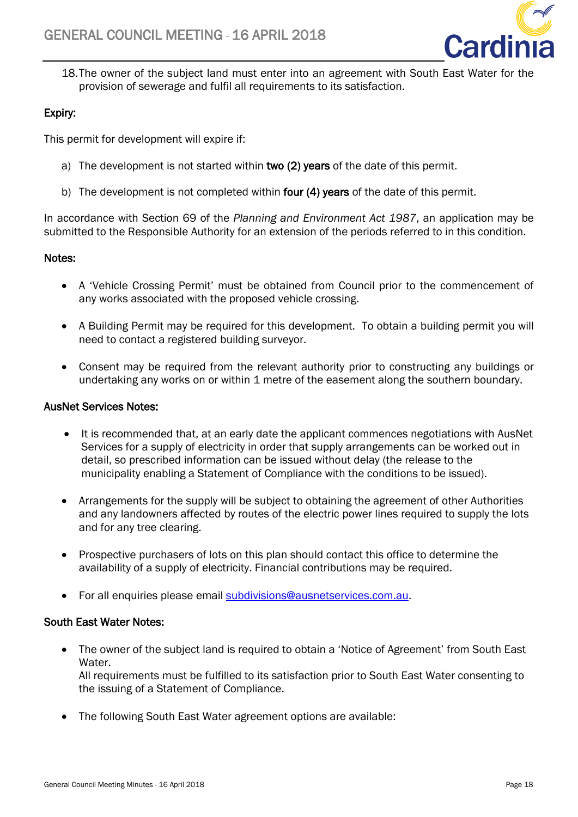

18.The owner of the subject land must enter into an agreement with South East Water for the provision of sewerage and fulfil all requirements to its satisfaction.

# Expiry:

This permit for development will expire if:

- a) The development is not started within two (2) years of the date of this permit.
- b) The development is not completed within four (4) years of the date of this permit.

In accordance with [Section 69](http://www.austlii.edu.au/au/legis/vic/consol_act/paea1987254/s69.html) of the *[Planning and Environment Act 1987](http://www.austlii.edu.au/au/legis/vic/consol_act/paea1987254/)*, an application may be submitted to the Responsible Authority for an extension of the periods referred to in this condition.

# Notes:

- A 'Vehicle Crossing Permit' must be obtained from Council prior to the commencement of any works associated with the proposed vehicle crossing.
- A Building Permit may be required for this development. To obtain a building permit you will need to contact a registered building surveyor.
- Consent may be required from the relevant authority prior to constructing any buildings or undertaking any works on or within 1 metre of the easement along the southern boundary.

# AusNet Services Notes:

- It is recommended that, at an early date the applicant commences negotiations with AusNet Services for a supply of electricity in order that supply arrangements can be worked out in detail, so prescribed information can be issued without delay (the release to the municipality enabling a Statement of Compliance with the conditions to be issued).
- Arrangements for the supply will be subject to obtaining the agreement of other Authorities and any landowners affected by routes of the electric power lines required to supply the lots and for any tree clearing.
- Prospective purchasers of lots on this plan should contact this office to determine the availability of a supply of electricity. Financial contributions may be required.
- For all enquiries please email [subdivisions@ausnetservices.com.au.](mailto:subdivisions@ausnetservices.com.au)

# South East Water Notes:

- The owner of the subject land is required to obtain a 'Notice of Agreement' from South East Water. All requirements must be fulfilled to its satisfaction prior to South East Water consenting to the issuing of a Statement of Compliance.
- The following South East Water agreement options are available: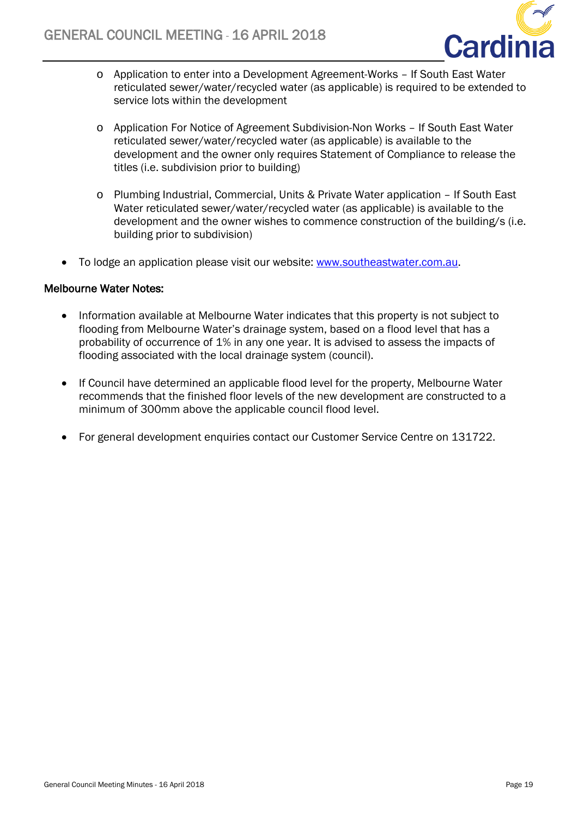

- o Application to enter into a Development Agreement-Works If South East Water reticulated sewer/water/recycled water (as applicable) is required to be extended to service lots within the development
- o Application For Notice of Agreement Subdivision-Non Works If South East Water reticulated sewer/water/recycled water (as applicable) is available to the development and the owner only requires Statement of Compliance to release the titles (i.e. subdivision prior to building)
- o Plumbing Industrial, Commercial, Units & Private Water application If South East Water reticulated sewer/water/recycled water (as applicable) is available to the development and the owner wishes to commence construction of the building/s (i.e. building prior to subdivision)
- To lodge an application please visit our website: [www.southeastwater.com.au.](http://www.southeastwater.com.au/)

# Melbourne Water Notes:

- Information available at Melbourne Water indicates that this property is not subject to flooding from Melbourne Water's drainage system, based on a flood level that has a probability of occurrence of 1% in any one year. It is advised to assess the impacts of flooding associated with the local drainage system (council).
- If Council have determined an applicable flood level for the property, Melbourne Water recommends that the finished floor levels of the new development are constructed to a minimum of 300mm above the applicable council flood level.
- For general development enquiries contact our Customer Service Centre on 131722.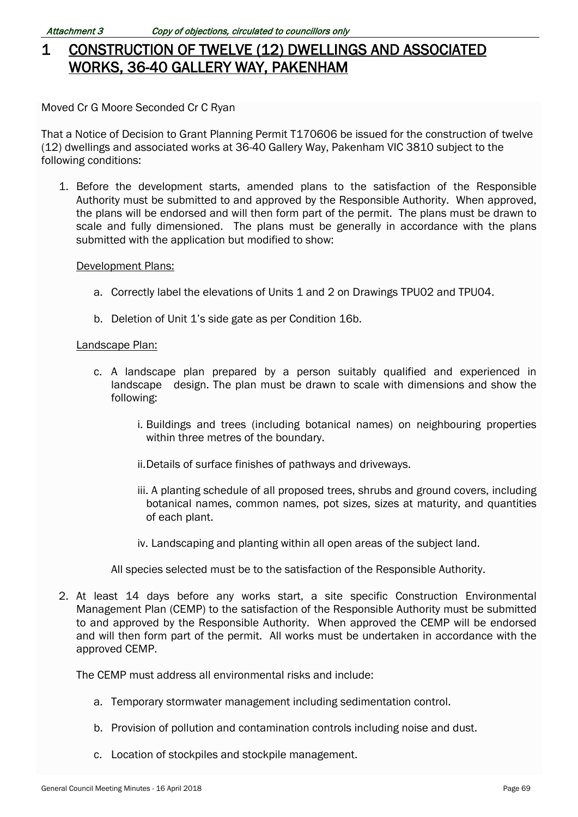# 1 CONSTRUCTION OF TWELVE (12) DWELLINGS AND ASSOCIATED WORKS, 36-40 GALLERY WAY, PAKENHAM

Moved Cr G Moore Seconded Cr C Ryan

That a Notice of Decision to Grant Planning Permit T170606 be issued for the construction of twelve (12) dwellings and associated works at 36-40 Gallery Way, Pakenham VIC 3810 subject to the following conditions:

1. Before the development starts, amended plans to the satisfaction of the Responsible Authority must be submitted to and approved by the Responsible Authority. When approved, the plans will be endorsed and will then form part of the permit. The plans must be drawn to scale and fully dimensioned. The plans must be generally in accordance with the plans submitted with the application but modified to show:

#### Development Plans:

- a. Correctly label the elevations of Units 1 and 2 on Drawings TPU02 and TPU04.
- b. Deletion of Unit 1's side gate as per Condition 16b.

#### Landscape Plan:

- c. A landscape plan prepared by a person suitably qualified and experienced in landscape design. The plan must be drawn to scale with dimensions and show the following:
	- i. Buildings and trees (including botanical names) on neighbouring properties within three metres of the boundary.
	- ii.Details of surface finishes of pathways and driveways.
	- iii. A planting schedule of all proposed trees, shrubs and ground covers, including botanical names, common names, pot sizes, sizes at maturity, and quantities of each plant.
	- iv. Landscaping and planting within all open areas of the subject land.
	- All species selected must be to the satisfaction of the Responsible Authority.
- 2. At least 14 days before any works start, a site specific Construction Environmental Management Plan (CEMP) to the satisfaction of the Responsible Authority must be submitted to and approved by the Responsible Authority. When approved the CEMP will be endorsed and will then form part of the permit. All works must be undertaken in accordance with the approved CEMP.

The CEMP must address all environmental risks and include:

- a. Temporary stormwater management including sedimentation control.
- b. Provision of pollution and contamination controls including noise and dust.
- c. Location of stockpiles and stockpile management.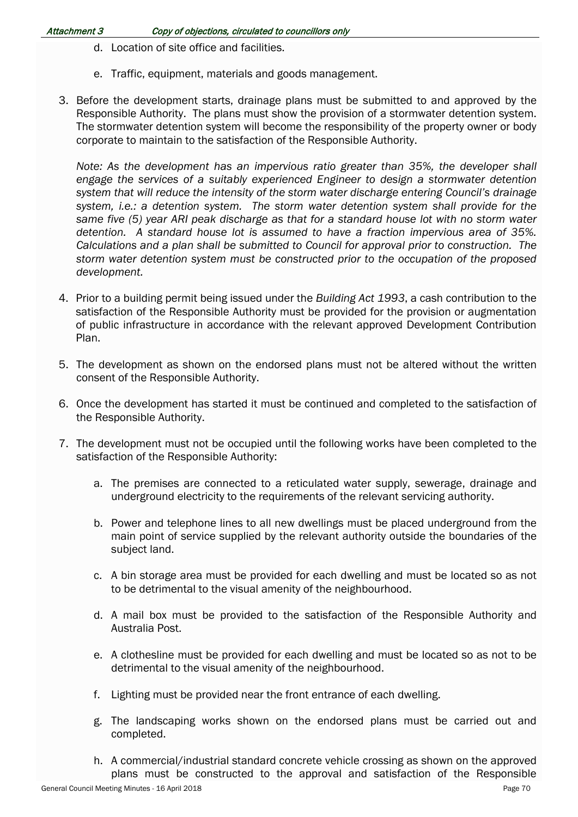- d. Location of site office and facilities.
- e. Traffic, equipment, materials and goods management.
- 3. Before the development starts, drainage plans must be submitted to and approved by the Responsible Authority. The plans must show the provision of a stormwater detention system. The stormwater detention system will become the responsibility of the property owner or body corporate to maintain to the satisfaction of the Responsible Authority.

*Note:* As the development has an impervious ratio greater than 35%, the developer shall *engage the services of a suitably experienced Engineer to design a stormwater detention system that will reduce the intensity of the storm water discharge entering Council's drainage system, i.e.: a detention system. The storm water detention system shall provide for the same five (5) year ARI peak discharge as that for a standard house lot with no storm water detention. A standard house lot is assumed to have a fraction impervious area of 35%. Calculations and a plan shall be submitted to Council for approval prior to construction. The storm water detention system must be constructed prior to the occupation of the proposed development.*

- 4. Prior to a building permit being issued under the *Building Act 1993*, a cash contribution to the satisfaction of the Responsible Authority must be provided for the provision or augmentation of public infrastructure in accordance with the relevant approved Development Contribution Plan.
- 5. The development as shown on the endorsed plans must not be altered without the written consent of the Responsible Authority.
- 6. Once the development has started it must be continued and completed to the satisfaction of the Responsible Authority.
- 7. The development must not be occupied until the following works have been completed to the satisfaction of the Responsible Authority:
	- a. The premises are connected to a reticulated water supply, sewerage, drainage and underground electricity to the requirements of the relevant servicing authority.
	- b. Power and telephone lines to all new dwellings must be placed underground from the main point of service supplied by the relevant authority outside the boundaries of the subject land.
	- c. A bin storage area must be provided for each dwelling and must be located so as not to be detrimental to the visual amenity of the neighbourhood.
	- d. A mail box must be provided to the satisfaction of the Responsible Authority and Australia Post.
	- e. A clothesline must be provided for each dwelling and must be located so as not to be detrimental to the visual amenity of the neighbourhood.
	- f. Lighting must be provided near the front entrance of each dwelling.
	- g. The landscaping works shown on the endorsed plans must be carried out and completed.
	- h. A commercial/industrial standard concrete vehicle crossing as shown on the approved plans must be constructed to the approval and satisfaction of the Responsible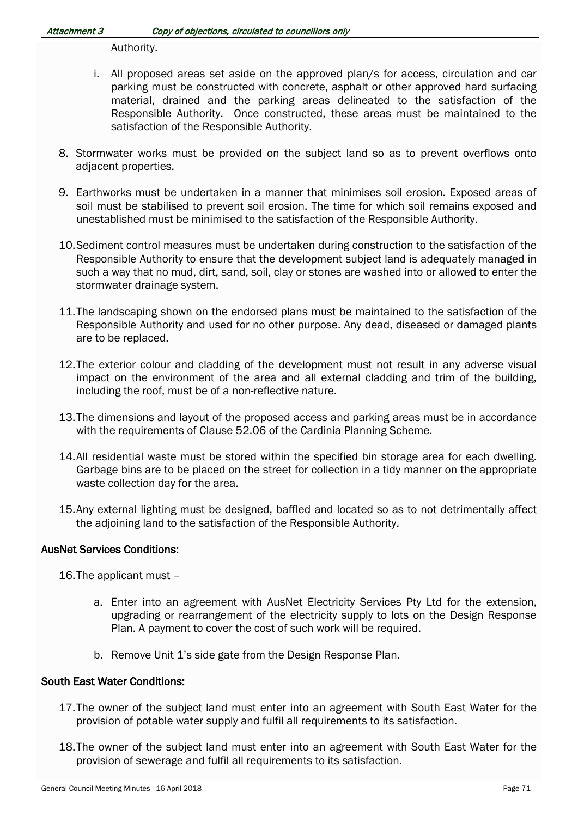Authority.

- i. All proposed areas set aside on the approved plan/s for access, circulation and car parking must be constructed with concrete, asphalt or other approved hard surfacing material, drained and the parking areas delineated to the satisfaction of the Responsible Authority. Once constructed, these areas must be maintained to the satisfaction of the Responsible Authority.
- 8. Stormwater works must be provided on the subject land so as to prevent overflows onto adjacent properties.
- 9. Earthworks must be undertaken in a manner that minimises soil erosion. Exposed areas of soil must be stabilised to prevent soil erosion. The time for which soil remains exposed and unestablished must be minimised to the satisfaction of the Responsible Authority.
- 10.Sediment control measures must be undertaken during construction to the satisfaction of the Responsible Authority to ensure that the development subject land is adequately managed in such a way that no mud, dirt, sand, soil, clay or stones are washed into or allowed to enter the stormwater drainage system.
- 11.The landscaping shown on the endorsed plans must be maintained to the satisfaction of the Responsible Authority and used for no other purpose. Any dead, diseased or damaged plants are to be replaced.
- 12.The exterior colour and cladding of the development must not result in any adverse visual impact on the environment of the area and all external cladding and trim of the building, including the roof, must be of a non-reflective nature.
- 13.The dimensions and layout of the proposed access and parking areas must be in accordance with the requirements of Clause 52.06 of the Cardinia Planning Scheme.
- 14.All residential waste must be stored within the specified bin storage area for each dwelling. Garbage bins are to be placed on the street for collection in a tidy manner on the appropriate waste collection day for the area.
- 15.Any external lighting must be designed, baffled and located so as to not detrimentally affect the adjoining land to the satisfaction of the Responsible Authority.

# AusNet Services Conditions:

16.The applicant must –

- a. Enter into an agreement with AusNet Electricity Services Pty Ltd for the extension, upgrading or rearrangement of the electricity supply to lots on the Design Response Plan. A payment to cover the cost of such work will be required.
- b. Remove Unit 1's side gate from the Design Response Plan.

### South East Water Conditions:

- 17.The owner of the subject land must enter into an agreement with South East Water for the provision of potable water supply and fulfil all requirements to its satisfaction.
- 18.The owner of the subject land must enter into an agreement with South East Water for the provision of sewerage and fulfil all requirements to its satisfaction.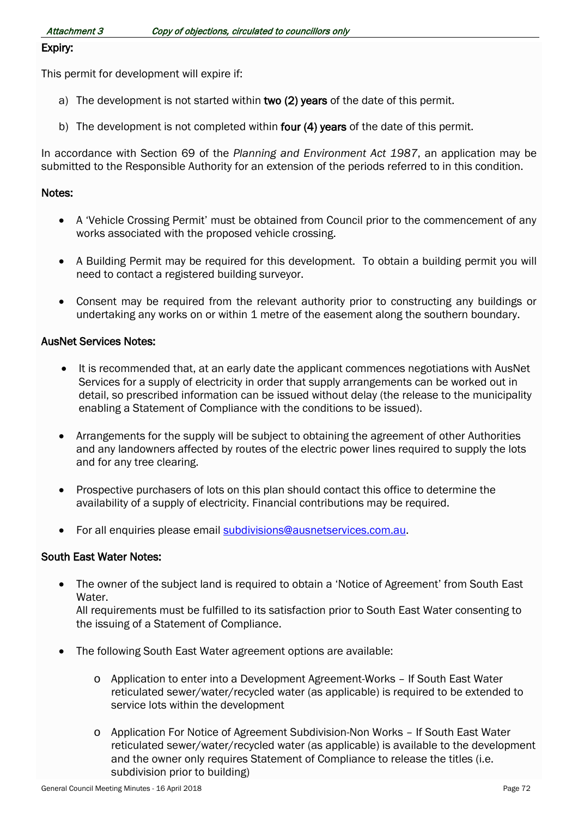### Expiry:

This permit for development will expire if:

- a) The development is not started within two (2) years of the date of this permit.
- b) The development is not completed within four (4) years of the date of this permit.

In accordance with [Section 69](http://www.austlii.edu.au/au/legis/vic/consol_act/paea1987254/s69.html) of the *[Planning and Environment Act 1987](http://www.austlii.edu.au/au/legis/vic/consol_act/paea1987254/)*, an application may be submitted to the Responsible Authority for an extension of the periods referred to in this condition.

#### Notes:

- A 'Vehicle Crossing Permit' must be obtained from Council prior to the commencement of any works associated with the proposed vehicle crossing.
- A Building Permit may be required for this development. To obtain a building permit you will need to contact a registered building surveyor.
- Consent may be required from the relevant authority prior to constructing any buildings or undertaking any works on or within 1 metre of the easement along the southern boundary.

#### AusNet Services Notes:

- It is recommended that, at an early date the applicant commences negotiations with AusNet Services for a supply of electricity in order that supply arrangements can be worked out in detail, so prescribed information can be issued without delay (the release to the municipality enabling a Statement of Compliance with the conditions to be issued).
- Arrangements for the supply will be subject to obtaining the agreement of other Authorities and any landowners affected by routes of the electric power lines required to supply the lots and for any tree clearing.
- Prospective purchasers of lots on this plan should contact this office to determine the availability of a supply of electricity. Financial contributions may be required.
- For all enquiries please email [subdivisions@ausnetservices.com.au.](mailto:subdivisions@ausnetservices.com.au)

#### South East Water Notes:

• The owner of the subject land is required to obtain a 'Notice of Agreement' from South East Water.

All requirements must be fulfilled to its satisfaction prior to South East Water consenting to the issuing of a Statement of Compliance.

- The following South East Water agreement options are available:
	- o Application to enter into a Development Agreement-Works If South East Water reticulated sewer/water/recycled water (as applicable) is required to be extended to service lots within the development
	- o Application For Notice of Agreement Subdivision-Non Works If South East Water reticulated sewer/water/recycled water (as applicable) is available to the development and the owner only requires Statement of Compliance to release the titles (i.e. subdivision prior to building)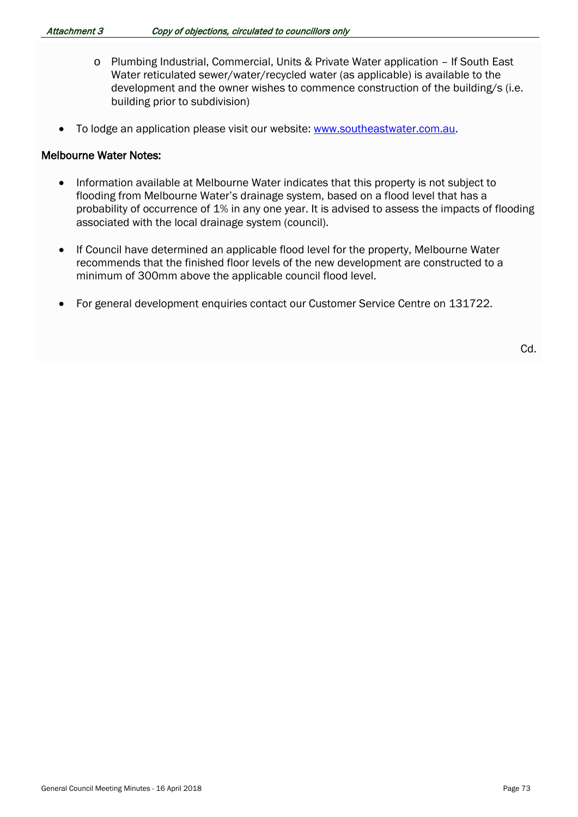- o Plumbing Industrial, Commercial, Units & Private Water application If South East Water reticulated sewer/water/recycled water (as applicable) is available to the development and the owner wishes to commence construction of the building/s (i.e. building prior to subdivision)
- To lodge an application please visit our website: [www.southeastwater.com.au.](http://www.southeastwater.com.au/)

#### Melbourne Water Notes:

- Information available at Melbourne Water indicates that this property is not subject to flooding from Melbourne Water's drainage system, based on a flood level that has a probability of occurrence of 1% in any one year. It is advised to assess the impacts of flooding associated with the local drainage system (council).
- If Council have determined an applicable flood level for the property, Melbourne Water recommends that the finished floor levels of the new development are constructed to a minimum of 300mm above the applicable council flood level.
- For general development enquiries contact our Customer Service Centre on 131722.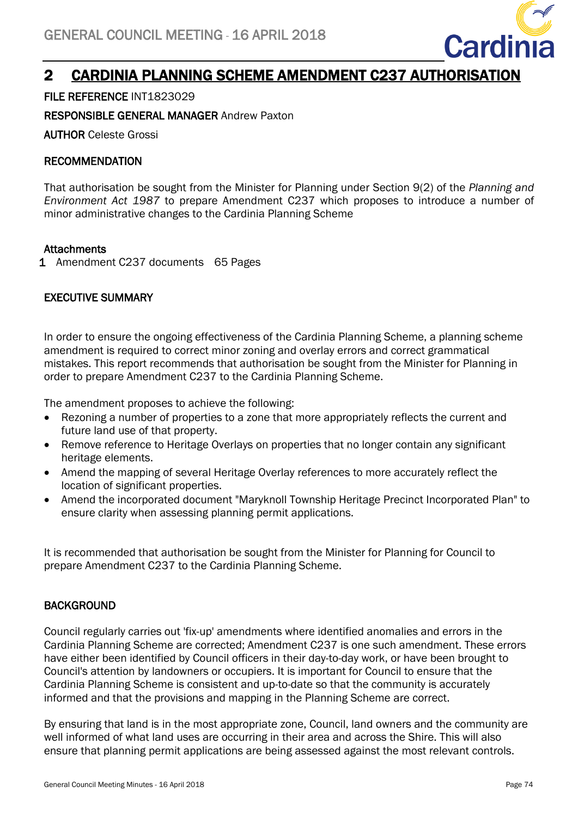<span id="page-24-0"></span>

# 2 CARDINIA PLANNING SCHEME AMENDMENT C237 AUTHORISATION

FILE REFERENCE INT1823029

RESPONSIBLE GENERAL MANAGER Andrew Paxton

AUTHOR Celeste Grossi

# RECOMMENDATION

That authorisation be sought from the Minister for Planning under Section 9(2) of the *Planning and Environment Act 1987* to prepare Amendment C237 which proposes to introduce a number of minor administrative changes to the Cardinia Planning Scheme

# Attachments

1 Amendment C237 documents 65 Pages

# EXECUTIVE SUMMARY

In order to ensure the ongoing effectiveness of the Cardinia Planning Scheme, a planning scheme amendment is required to correct minor zoning and overlay errors and correct grammatical mistakes. This report recommends that authorisation be sought from the Minister for Planning in order to prepare Amendment C237 to the Cardinia Planning Scheme.

The amendment proposes to achieve the following:

- Rezoning a number of properties to a zone that more appropriately reflects the current and future land use of that property.
- Remove reference to Heritage Overlays on properties that no longer contain any significant heritage elements.
- Amend the mapping of several Heritage Overlay references to more accurately reflect the location of significant properties.
- Amend the incorporated document "Maryknoll Township Heritage Precinct Incorporated Plan" to ensure clarity when assessing planning permit applications.

It is recommended that authorisation be sought from the Minister for Planning for Council to prepare Amendment C237 to the Cardinia Planning Scheme.

# **BACKGROUND**

Council regularly carries out 'fix-up' amendments where identified anomalies and errors in the Cardinia Planning Scheme are corrected; Amendment C237 is one such amendment. These errors have either been identified by Council officers in their day-to-day work, or have been brought to Council's attention by landowners or occupiers. It is important for Council to ensure that the Cardinia Planning Scheme is consistent and up-to-date so that the community is accurately informed and that the provisions and mapping in the Planning Scheme are correct.

By ensuring that land is in the most appropriate zone, Council, land owners and the community are well informed of what land uses are occurring in their area and across the Shire. This will also ensure that planning permit applications are being assessed against the most relevant controls.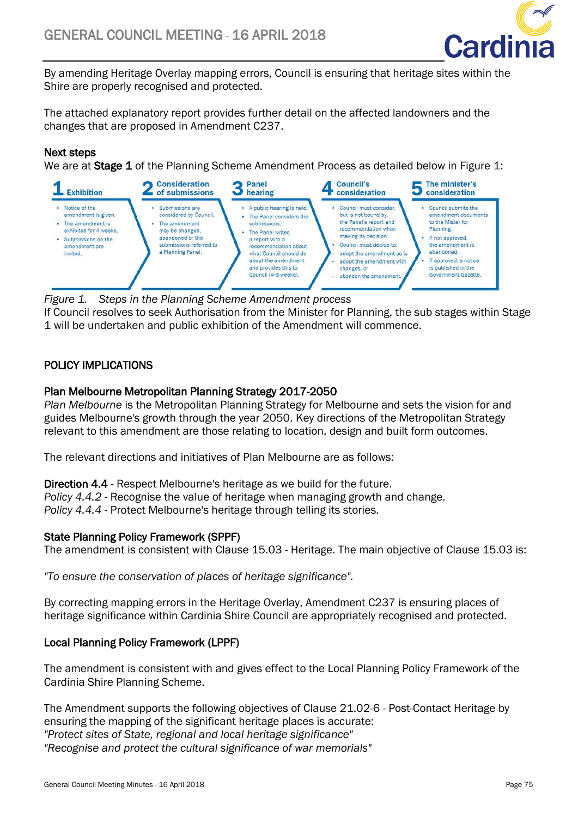

By amending Heritage Overlay mapping errors, Council is ensuring that heritage sites within the Shire are properly recognised and protected.

The attached explanatory report provides further detail on the affected landowners and the changes that are proposed in Amendment C237.

# Next steps

We are at **Stage 1** of the Planning Scheme Amendment Process as detailed below in Figure 1:



*Figure 1. Steps in the Planning Scheme Amendment process* If Council resolves to seek Authorisation from the Minister for Planning, the sub stages within Stage 1 will be undertaken and public exhibition of the Amendment will commence.

# POLICY IMPLICATIONS

# Plan Melbourne Metropolitan Planning Strategy 2017-2050

*Plan Melbourne* is the Metropolitan Planning Strategy for Melbourne and sets the vision for and guides Melbourne's growth through the year 2050. Key directions of the Metropolitan Strategy relevant to this amendment are those relating to location, design and built form outcomes.

The relevant directions and initiatives of Plan Melbourne are as follows:

Direction 4.4 - Respect Melbourne's heritage as we build for the future. *Policy 4.4.2* - Recognise the value of heritage when managing growth and change.

*Policy 4.4.4* - Protect Melbourne's heritage through telling its stories.

# State Planning Policy Framework (SPPF)

The amendment is consistent with Clause 15.03 - Heritage. The main objective of Clause 15.03 is:

*"To ensure the conservation of places of heritage significance".* 

By correcting mapping errors in the Heritage Overlay, Amendment C237 is ensuring places of heritage significance within Cardinia Shire Council are appropriately recognised and protected.

# Local Planning Policy Framework (LPPF)

The amendment is consistent with and gives effect to the Local Planning Policy Framework of the Cardinia Shire Planning Scheme.

The Amendment supports the following objectives of Clause 21.02-6 - Post-Contact Heritage by ensuring the mapping of the significant heritage places is accurate: *"Protect sites of State, regional and local heritage significance" "Recognise and protect the cultural significance of war memorials"*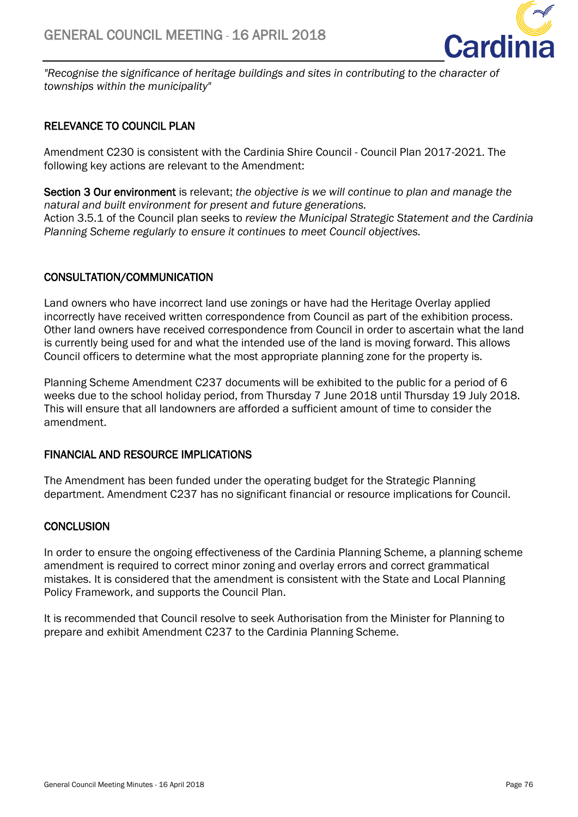

*"Recognise the significance of heritage buildings and sites in contributing to the character of townships within the municipality"* 

# RELEVANCE TO COUNCIL PLAN

Amendment C230 is consistent with the Cardinia Shire Council - Council Plan 2017-2021. The following key actions are relevant to the Amendment:

Section 3 Our environment is relevant; *the objective is we will continue to plan and manage the natural and built environment for present and future generations.* Action 3.5.1 of the Council plan seeks to *review the Municipal Strategic Statement and the Cardinia Planning Scheme regularly to ensure it continues to meet Council objectives.*

# CONSULTATION/COMMUNICATION

Land owners who have incorrect land use zonings or have had the Heritage Overlay applied incorrectly have received written correspondence from Council as part of the exhibition process. Other land owners have received correspondence from Council in order to ascertain what the land is currently being used for and what the intended use of the land is moving forward. This allows Council officers to determine what the most appropriate planning zone for the property is.

Planning Scheme Amendment C237 documents will be exhibited to the public for a period of 6 weeks due to the school holiday period, from Thursday 7 June 2018 until Thursday 19 July 2018. This will ensure that all landowners are afforded a sufficient amount of time to consider the amendment.

# FINANCIAL AND RESOURCE IMPLICATIONS

The Amendment has been funded under the operating budget for the Strategic Planning department. Amendment C237 has no significant financial or resource implications for Council.

# **CONCLUSION**

In order to ensure the ongoing effectiveness of the Cardinia Planning Scheme, a planning scheme amendment is required to correct minor zoning and overlay errors and correct grammatical mistakes. It is considered that the amendment is consistent with the State and Local Planning Policy Framework, and supports the Council Plan.

It is recommended that Council resolve to seek Authorisation from the Minister for Planning to prepare and exhibit Amendment C237 to the Cardinia Planning Scheme.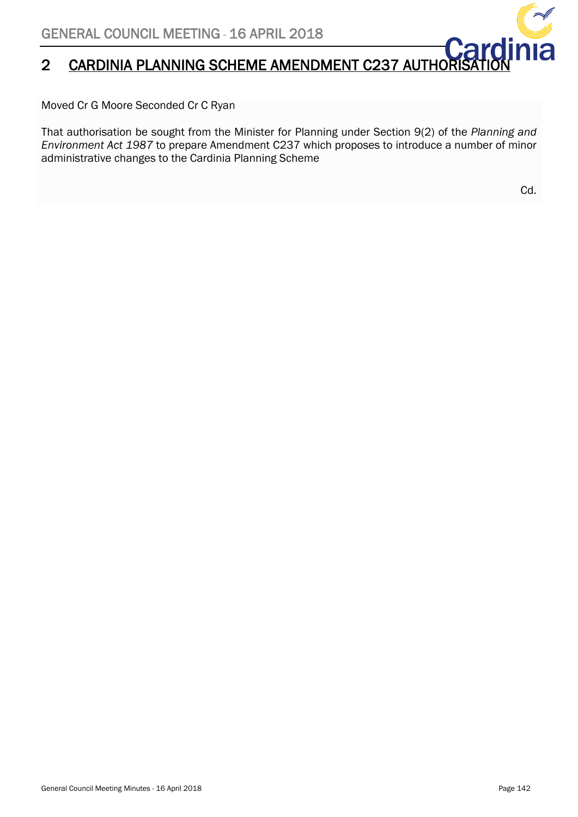# 2 CARDINIA PLANNING SCHEME AMENDMENT C237 AUTHOR

Moved Cr G Moore Seconded Cr C Ryan

That authorisation be sought from the Minister for Planning under Section 9(2) of the *Planning and Environment Act 1987* to prepare Amendment C237 which proposes to introduce a number of minor administrative changes to the Cardinia Planning Scheme

Cd.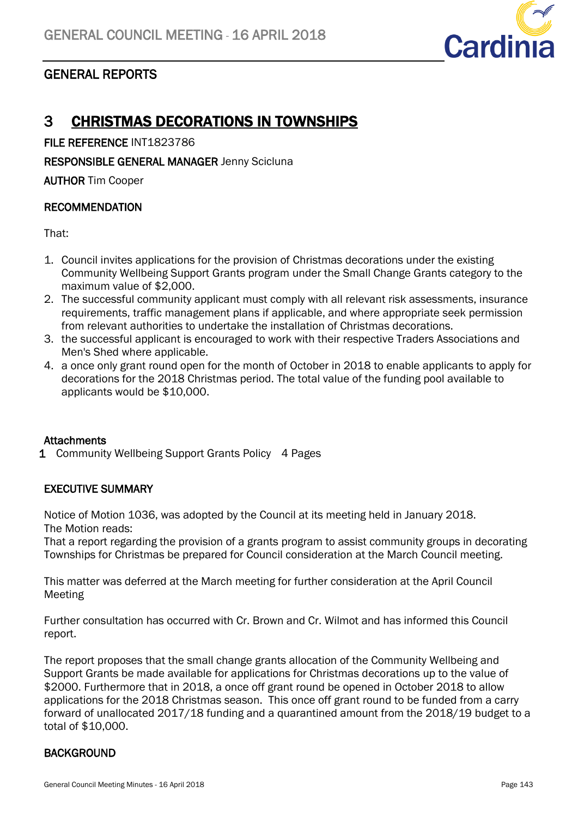<span id="page-28-1"></span>

# <span id="page-28-0"></span>GENERAL REPORTS

# 3 CHRISTMAS DECORATIONS IN TOWNSHIPS

FILE REFERENCE INT1823786

RESPONSIBLE GENERAL MANAGER Jenny Scicluna

AUTHOR Tim Cooper

# RECOMMENDATION

That:

- 1. Council invites applications for the provision of Christmas decorations under the existing Community Wellbeing Support Grants program under the Small Change Grants category to the maximum value of \$2,000.
- 2. The successful community applicant must comply with all relevant risk assessments, insurance requirements, traffic management plans if applicable, and where appropriate seek permission from relevant authorities to undertake the installation of Christmas decorations.
- 3. the successful applicant is encouraged to work with their respective Traders Associations and Men's Shed where applicable.
- 4. a once only grant round open for the month of October in 2018 to enable applicants to apply for decorations for the 2018 Christmas period. The total value of the funding pool available to applicants would be \$10,000.

# **Attachments**

1 Community Wellbeing Support Grants Policy 4 Pages

# EXECUTIVE SUMMARY

Notice of Motion 1036, was adopted by the Council at its meeting held in January 2018. The Motion reads:

That a report regarding the provision of a grants program to assist community groups in decorating Townships for Christmas be prepared for Council consideration at the March Council meeting.

This matter was deferred at the March meeting for further consideration at the April Council Meeting

Further consultation has occurred with Cr. Brown and Cr. Wilmot and has informed this Council report.

The report proposes that the small change grants allocation of the Community Wellbeing and Support Grants be made available for applications for Christmas decorations up to the value of \$2000. Furthermore that in 2018, a once off grant round be opened in October 2018 to allow applications for the 2018 Christmas season. This once off grant round to be funded from a carry forward of unallocated 2017/18 funding and a quarantined amount from the 2018/19 budget to a total of \$10,000.

# **BACKGROUND**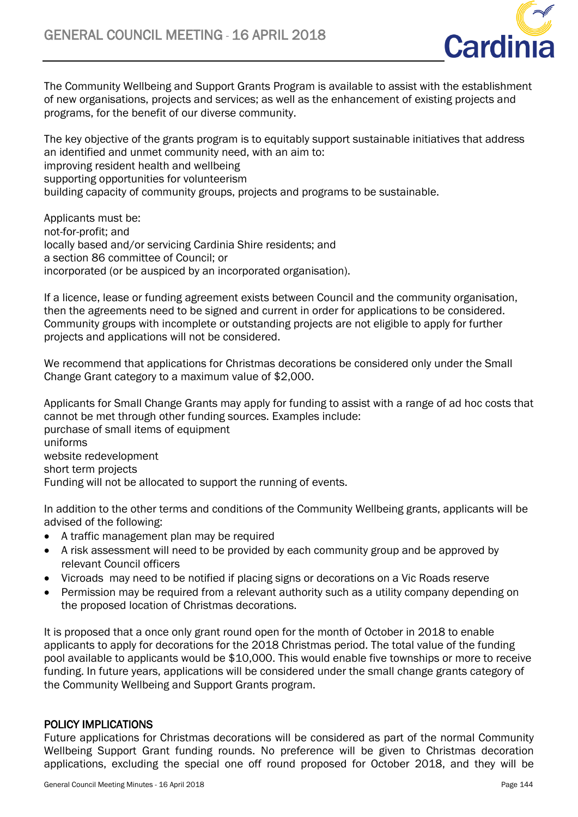

The Community Wellbeing and Support Grants Program is available to assist with the establishment of new organisations, projects and services; as well as the enhancement of existing projects and programs, for the benefit of our diverse community.

The key objective of the grants program is to equitably support sustainable initiatives that address an identified and unmet community need, with an aim to: improving resident health and wellbeing supporting opportunities for volunteerism building capacity of community groups, projects and programs to be sustainable.

Applicants must be: not-for-profit; and locally based and/or servicing Cardinia Shire residents; and a section 86 committee of Council; or incorporated (or be auspiced by an incorporated organisation).

If a licence, lease or funding agreement exists between Council and the community organisation, then the agreements need to be signed and current in order for applications to be considered. Community groups with incomplete or outstanding projects are not eligible to apply for further projects and applications will not be considered.

We recommend that applications for Christmas decorations be considered only under the Small Change Grant category to a maximum value of \$2,000.

Applicants for Small Change Grants may apply for funding to assist with a range of ad hoc costs that cannot be met through other funding sources. Examples include: purchase of small items of equipment uniforms website redevelopment short term projects Funding will not be allocated to support the running of events.

In addition to the other terms and conditions of the Community Wellbeing grants, applicants will be advised of the following:

- A traffic management plan may be required
- A risk assessment will need to be provided by each community group and be approved by relevant Council officers
- Vicroads may need to be notified if placing signs or decorations on a Vic Roads reserve
- Permission may be required from a relevant authority such as a utility company depending on the proposed location of Christmas decorations.

It is proposed that a once only grant round open for the month of October in 2018 to enable applicants to apply for decorations for the 2018 Christmas period. The total value of the funding pool available to applicants would be \$10,000. This would enable five townships or more to receive funding. In future years, applications will be considered under the small change grants category of the Community Wellbeing and Support Grants program.

# POLICY IMPLICATIONS

Future applications for Christmas decorations will be considered as part of the normal Community Wellbeing Support Grant funding rounds. No preference will be given to Christmas decoration applications, excluding the special one off round proposed for October 2018, and they will be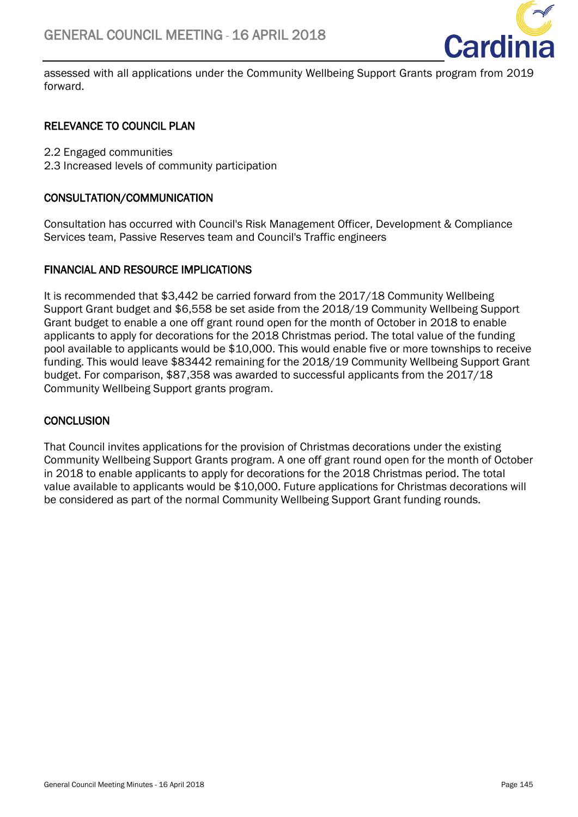

assessed with all applications under the Community Wellbeing Support Grants program from 2019 forward.

# RELEVANCE TO COUNCIL PLAN

2.2 Engaged communities

2.3 Increased levels of community participation

# CONSULTATION/COMMUNICATION

Consultation has occurred with Council's Risk Management Officer, Development & Compliance Services team, Passive Reserves team and Council's Traffic engineers

# FINANCIAL AND RESOURCE IMPLICATIONS

It is recommended that \$3,442 be carried forward from the 2017/18 Community Wellbeing Support Grant budget and \$6,558 be set aside from the 2018/19 Community Wellbeing Support Grant budget to enable a one off grant round open for the month of October in 2018 to enable applicants to apply for decorations for the 2018 Christmas period. The total value of the funding pool available to applicants would be \$10,000. This would enable five or more townships to receive funding. This would leave \$83442 remaining for the 2018/19 Community Wellbeing Support Grant budget. For comparison, \$87,358 was awarded to successful applicants from the 2017/18 Community Wellbeing Support grants program.

# **CONCLUSION**

That Council invites applications for the provision of Christmas decorations under the existing Community Wellbeing Support Grants program. A one off grant round open for the month of October in 2018 to enable applicants to apply for decorations for the 2018 Christmas period. The total value available to applicants would be \$10,000. Future applications for Christmas decorations will be considered as part of the normal Community Wellbeing Support Grant funding rounds.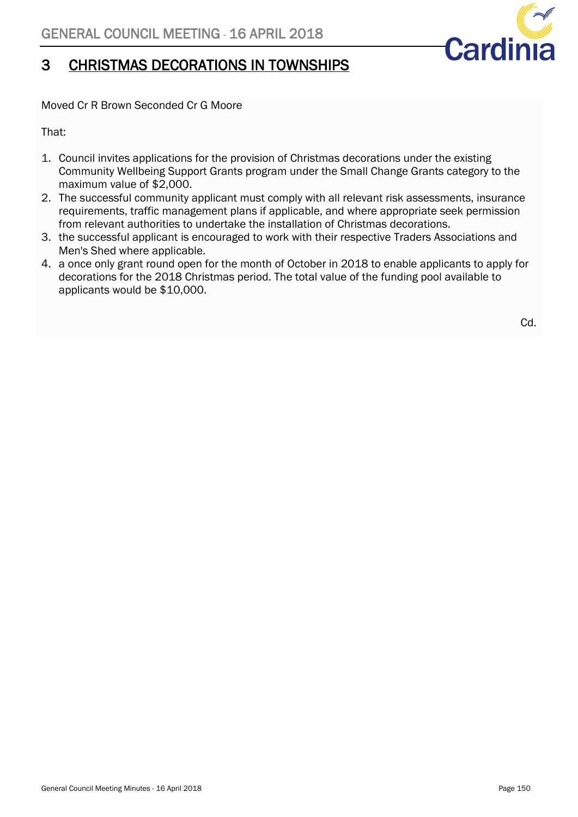

# 3 CHRISTMAS DECORATIONS IN TOWNSHIPS

Moved Cr R Brown Seconded Cr G Moore

That:

- 1. Council invites applications for the provision of Christmas decorations under the existing Community Wellbeing Support Grants program under the Small Change Grants category to the maximum value of \$2,000.
- 2. The successful community applicant must comply with all relevant risk assessments, insurance requirements, traffic management plans if applicable, and where appropriate seek permission from relevant authorities to undertake the installation of Christmas decorations.
- 3. the successful applicant is encouraged to work with their respective Traders Associations and Men's Shed where applicable.
- 4. a once only grant round open for the month of October in 2018 to enable applicants to apply for decorations for the 2018 Christmas period. The total value of the funding pool available to applicants would be \$10,000.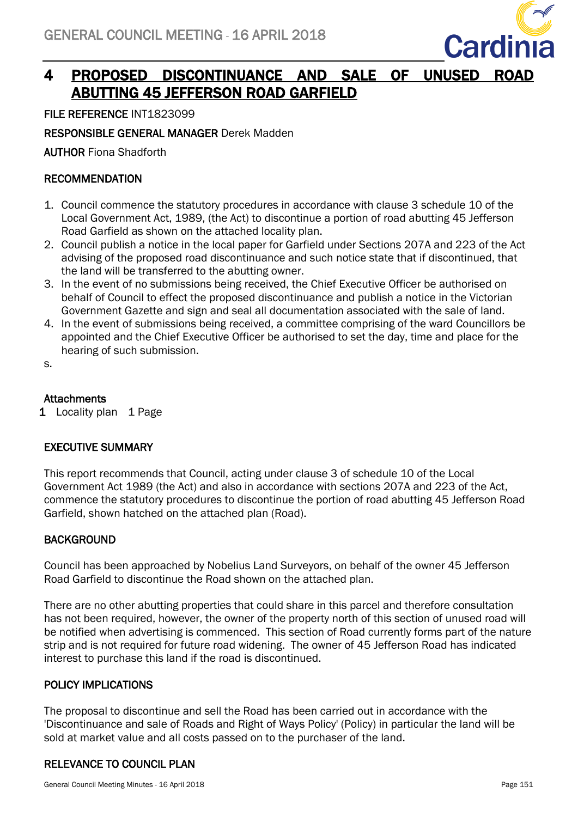<span id="page-32-0"></span>

# 4 PROPOSED DISCONTINUANCE AND SALE OF UNUSED ROAD ABUTTING 45 JEFFERSON ROAD GARFIELD

FILE REFERENCE INT1823099

RESPONSIBLE GENERAL MANAGER Derek Madden

AUTHOR Fiona Shadforth

# RECOMMENDATION

- 1. Council commence the statutory procedures in accordance with clause 3 schedule 10 of the Local Government Act, 1989, (the Act) to discontinue a portion of road abutting 45 Jefferson Road Garfield as shown on the attached locality plan.
- 2. Council publish a notice in the local paper for Garfield under Sections 207A and 223 of the Act advising of the proposed road discontinuance and such notice state that if discontinued, that the land will be transferred to the abutting owner.
- 3. In the event of no submissions being received, the Chief Executive Officer be authorised on behalf of Council to effect the proposed discontinuance and publish a notice in the Victorian Government Gazette and sign and seal all documentation associated with the sale of land.
- 4. In the event of submissions being received, a committee comprising of the ward Councillors be appointed and the Chief Executive Officer be authorised to set the day, time and place for the hearing of such submission.

s.

# **Attachments**

1 Locality plan 1 Page

# EXECUTIVE SUMMARY

This report recommends that Council, acting under clause 3 of schedule 10 of the Local Government Act 1989 (the Act) and also in accordance with sections 207A and 223 of the Act, commence the statutory procedures to discontinue the portion of road abutting 45 Jefferson Road Garfield, shown hatched on the attached plan (Road).

# **BACKGROUND**

Council has been approached by Nobelius Land Surveyors, on behalf of the owner 45 Jefferson Road Garfield to discontinue the Road shown on the attached plan.

There are no other abutting properties that could share in this parcel and therefore consultation has not been required, however, the owner of the property north of this section of unused road will be notified when advertising is commenced. This section of Road currently forms part of the nature strip and is not required for future road widening. The owner of 45 Jefferson Road has indicated interest to purchase this land if the road is discontinued.

# POLICY IMPLICATIONS

The proposal to discontinue and sell the Road has been carried out in accordance with the 'Discontinuance and sale of Roads and Right of Ways Policy' (Policy) in particular the land will be sold at market value and all costs passed on to the purchaser of the land.

# RELEVANCE TO COUNCIL PLAN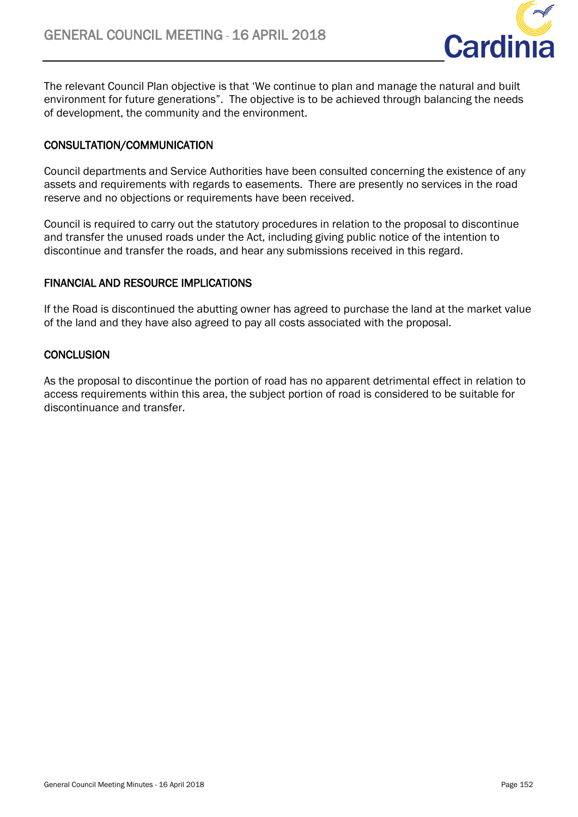

The relevant Council Plan objective is that 'We continue to plan and manage the natural and built environment for future generations". The objective is to be achieved through balancing the needs of development, the community and the environment.

# CONSULTATION/COMMUNICATION

Council departments and Service Authorities have been consulted concerning the existence of any assets and requirements with regards to easements. There are presently no services in the road reserve and no objections or requirements have been received.

Council is required to carry out the statutory procedures in relation to the proposal to discontinue and transfer the unused roads under the Act, including giving public notice of the intention to discontinue and transfer the roads, and hear any submissions received in this regard.

### FINANCIAL AND RESOURCE IMPLICATIONS

If the Road is discontinued the abutting owner has agreed to purchase the land at the market value of the land and they have also agreed to pay all costs associated with the proposal.

### **CONCLUSION**

As the proposal to discontinue the portion of road has no apparent detrimental effect in relation to access requirements within this area, the subject portion of road is considered to be suitable for discontinuance and transfer.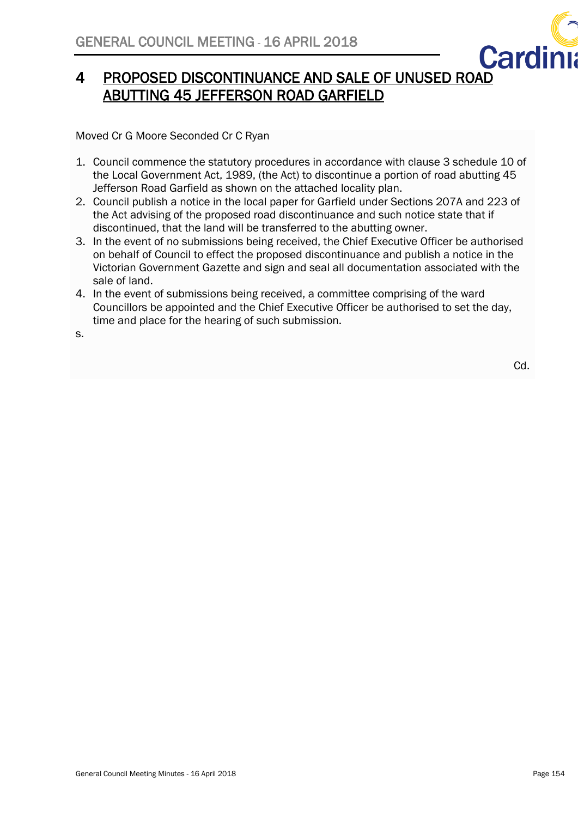

# 4 PROPOSED DISCONTINUANCE AND SALE OF UNUSED ROAD ABUTTING 45 JEFFERSON ROAD GARFIELD

Moved Cr G Moore Seconded Cr C Ryan

- 1. Council commence the statutory procedures in accordance with clause 3 schedule 10 of the Local Government Act, 1989, (the Act) to discontinue a portion of road abutting 45 Jefferson Road Garfield as shown on the attached locality plan.
- 2. Council publish a notice in the local paper for Garfield under Sections 207A and 223 of the Act advising of the proposed road discontinuance and such notice state that if discontinued, that the land will be transferred to the abutting owner.
- 3. In the event of no submissions being received, the Chief Executive Officer be authorised on behalf of Council to effect the proposed discontinuance and publish a notice in the Victorian Government Gazette and sign and seal all documentation associated with the sale of land.
- 4. In the event of submissions being received, a committee comprising of the ward Councillors be appointed and the Chief Executive Officer be authorised to set the day, time and place for the hearing of such submission.

s.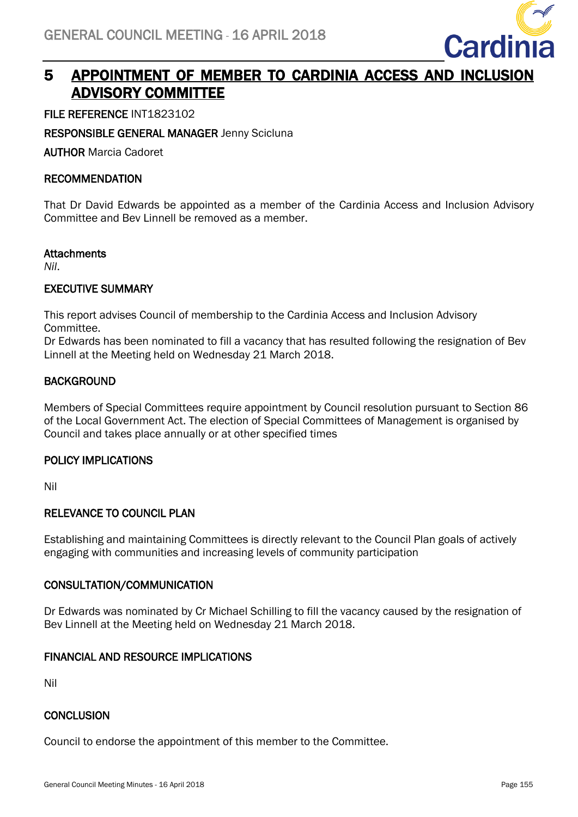

# <span id="page-35-0"></span>5 APPOINTMENT OF MEMBER TO CARDINIA ACCESS AND INCLUSION ADVISORY COMMITTEE

FILE REFERENCE INT1823102

RESPONSIBLE GENERAL MANAGER Jenny Scicluna

AUTHOR Marcia Cadoret

# RECOMMENDATION

That Dr David Edwards be appointed as a member of the Cardinia Access and Inclusion Advisory Committee and Bev Linnell be removed as a member.

### **Attachments**

*Nil*.

# EXECUTIVE SUMMARY

This report advises Council of membership to the Cardinia Access and Inclusion Advisory Committee.

Dr Edwards has been nominated to fill a vacancy that has resulted following the resignation of Bev Linnell at the Meeting held on Wednesday 21 March 2018.

# **BACKGROUND**

Members of Special Committees require appointment by Council resolution pursuant to Section 86 of the Local Government Act. The election of Special Committees of Management is organised by Council and takes place annually or at other specified times

# POLICY IMPLICATIONS

Nil

# RELEVANCE TO COUNCIL PLAN

Establishing and maintaining Committees is directly relevant to the Council Plan goals of actively engaging with communities and increasing levels of community participation

### CONSULTATION/COMMUNICATION

Dr Edwards was nominated by Cr Michael Schilling to fill the vacancy caused by the resignation of Bev Linnell at the Meeting held on Wednesday 21 March 2018.

# FINANCIAL AND RESOURCE IMPLICATIONS

Nil

# **CONCLUSION**

Council to endorse the appointment of this member to the Committee.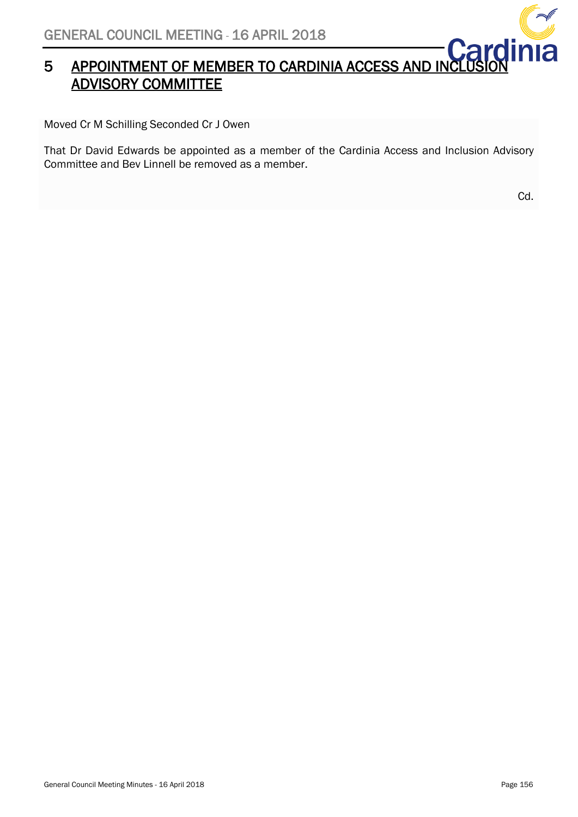

# SENERAL COONCIL MELTING - 10 AFRIC 2018<br>5 APPOINTMENT OF MEMBER TO CARDINIA ACCESS AND INCLUSION ADVISORY COMMITTEE

Moved Cr M Schilling Seconded Cr J Owen

That Dr David Edwards be appointed as a member of the Cardinia Access and Inclusion Advisory Committee and Bev Linnell be removed as a member.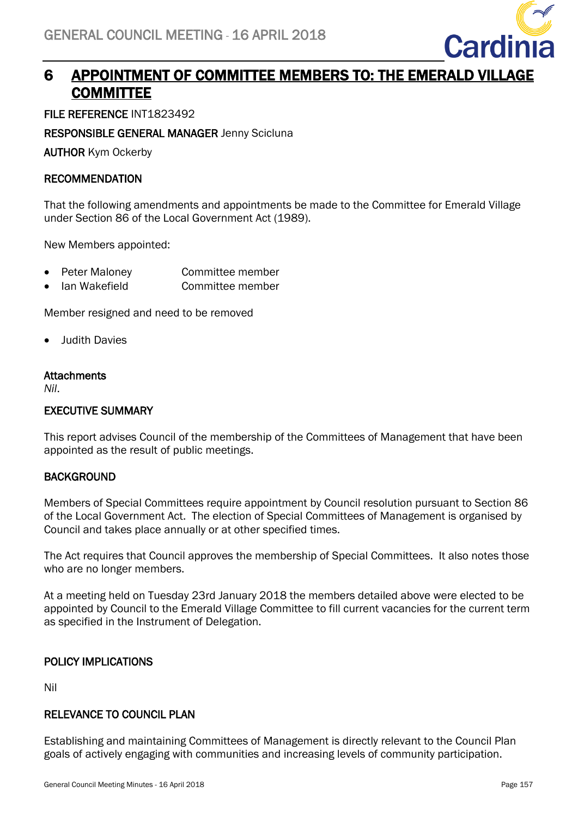

# <span id="page-37-0"></span>6 APPOINTMENT OF COMMITTEE MEMBERS TO: THE EMERALD VILLAGE **COMMITTEE**

FILE REFERENCE INT1823492

RESPONSIBLE GENERAL MANAGER Jenny Scicluna

AUTHOR Kym Ockerby

# RECOMMENDATION

That the following amendments and appointments be made to the Committee for Emerald Village under Section 86 of the Local Government Act (1989).

New Members appointed:

- Peter Maloney Committee member
- Ian Wakefield Committee member

Member resigned and need to be removed

• Judith Davies

# **Attachments**

*Nil*.

# EXECUTIVE SUMMARY

This report advises Council of the membership of the Committees of Management that have been appointed as the result of public meetings.

# **BACKGROUND**

Members of Special Committees require appointment by Council resolution pursuant to Section 86 of the Local Government Act. The election of Special Committees of Management is organised by Council and takes place annually or at other specified times.

The Act requires that Council approves the membership of Special Committees. It also notes those who are no longer members.

At a meeting held on Tuesday 23rd January 2018 the members detailed above were elected to be appointed by Council to the Emerald Village Committee to fill current vacancies for the current term as specified in the Instrument of Delegation.

# POLICY IMPLICATIONS

Nil

# RELEVANCE TO COUNCIL PLAN

Establishing and maintaining Committees of Management is directly relevant to the Council Plan goals of actively engaging with communities and increasing levels of community participation.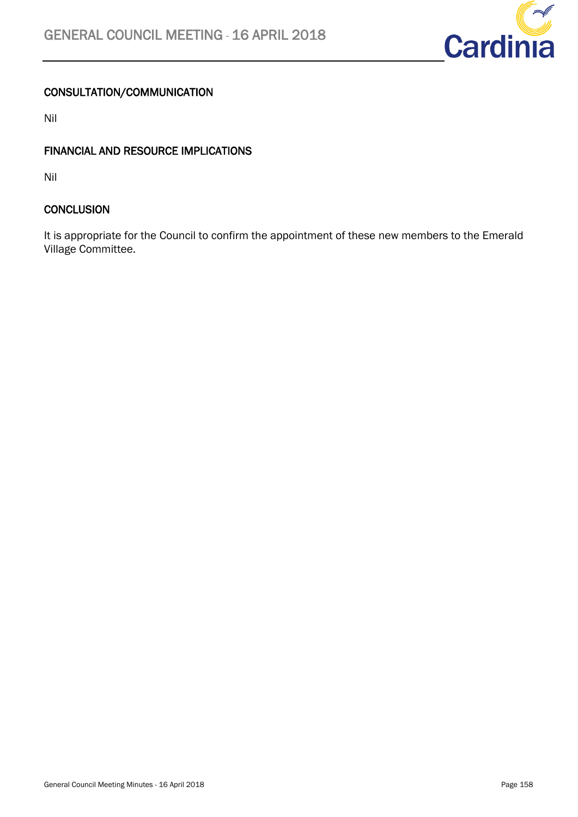

# CONSULTATION/COMMUNICATION

Nil

# FINANCIAL AND RESOURCE IMPLICATIONS

Nil

# **CONCLUSION**

It is appropriate for the Council to confirm the appointment of these new members to the Emerald Village Committee.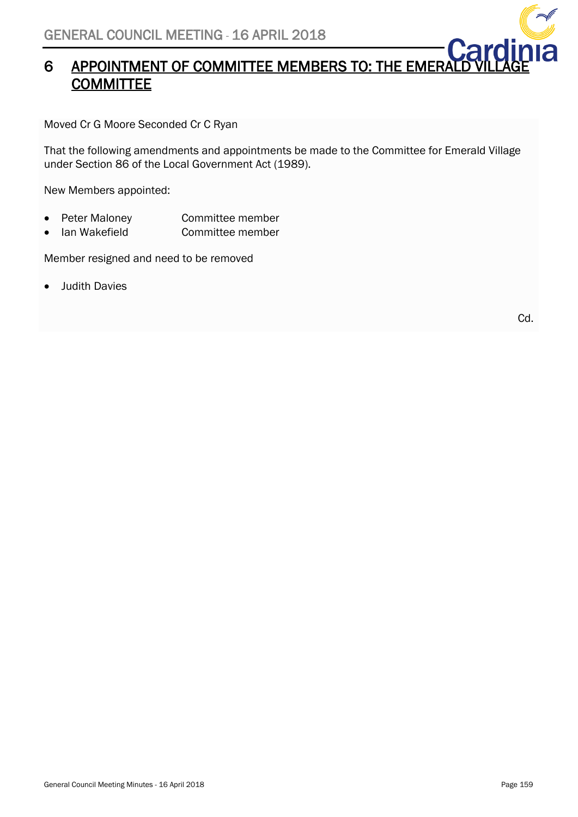# **EXAMPLE APPOINTMENT OF COMMITTEE MEMBERS TO: THE EMERALD VILLAGE COMMITTEE**

Moved Cr G Moore Seconded Cr C Ryan

That the following amendments and appointments be made to the Committee for Emerald Village under Section 86 of the Local Government Act (1989).

New Members appointed:

- Peter Maloney Committee member
- Ian Wakefield Committee member

Member resigned and need to be removed

• Judith Davies

Cd.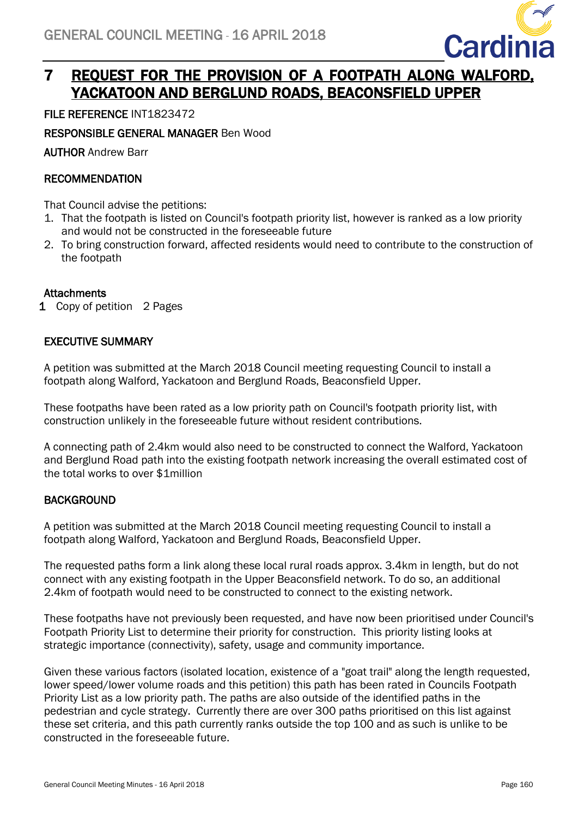<span id="page-40-0"></span>

# 7 REQUEST FOR THE PROVISION OF A FOOTPATH ALONG WALFORD, YACKATOON AND BERGLUND ROADS, BEACONSFIELD UPPER

# FILE REFERENCE INT1823472

RESPONSIBLE GENERAL MANAGER Ben Wood

AUTHOR Andrew Barr

# RECOMMENDATION

That Council advise the petitions:

- 1. That the footpath is listed on Council's footpath priority list, however is ranked as a low priority and would not be constructed in the foreseeable future
- 2. To bring construction forward, affected residents would need to contribute to the construction of the footpath

# **Attachments**

1 Copy of petition 2 Pages

# EXECUTIVE SUMMARY

A petition was submitted at the March 2018 Council meeting requesting Council to install a footpath along Walford, Yackatoon and Berglund Roads, Beaconsfield Upper.

These footpaths have been rated as a low priority path on Council's footpath priority list, with construction unlikely in the foreseeable future without resident contributions.

A connecting path of 2.4km would also need to be constructed to connect the Walford, Yackatoon and Berglund Road path into the existing footpath network increasing the overall estimated cost of the total works to over \$1million

# **BACKGROUND**

A petition was submitted at the March 2018 Council meeting requesting Council to install a footpath along Walford, Yackatoon and Berglund Roads, Beaconsfield Upper.

The requested paths form a link along these local rural roads approx. 3.4km in length, but do not connect with any existing footpath in the Upper Beaconsfield network. To do so, an additional 2.4km of footpath would need to be constructed to connect to the existing network.

These footpaths have not previously been requested, and have now been prioritised under Council's Footpath Priority List to determine their priority for construction. This priority listing looks at strategic importance (connectivity), safety, usage and community importance.

Given these various factors (isolated location, existence of a "goat trail" along the length requested, lower speed/lower volume roads and this petition) this path has been rated in Councils Footpath Priority List as a low priority path. The paths are also outside of the identified paths in the pedestrian and cycle strategy. Currently there are over 300 paths prioritised on this list against these set criteria, and this path currently ranks outside the top 100 and as such is unlike to be constructed in the foreseeable future.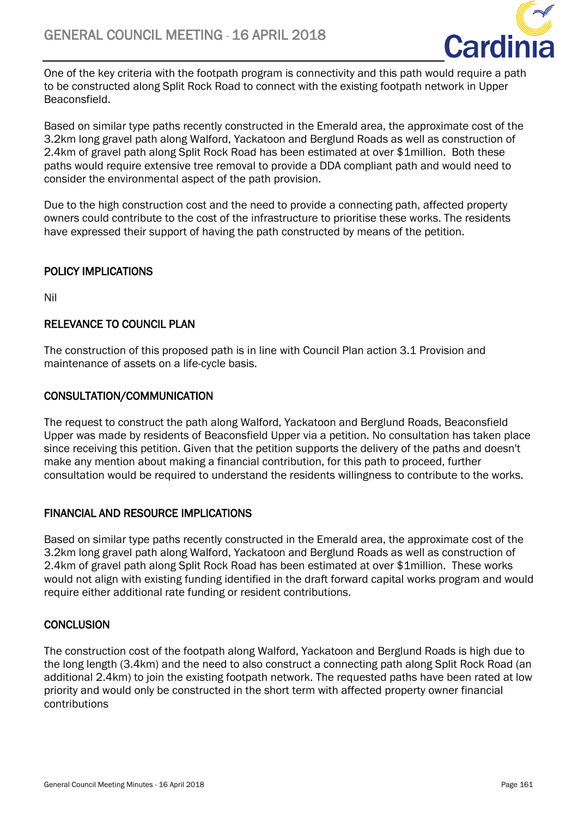

One of the key criteria with the footpath program is connectivity and this path would require a path to be constructed along Split Rock Road to connect with the existing footpath network in Upper Beaconsfield.

Based on similar type paths recently constructed in the Emerald area, the approximate cost of the 3.2km long gravel path along Walford, Yackatoon and Berglund Roads as well as construction of 2.4km of gravel path along Split Rock Road has been estimated at over \$1million. Both these paths would require extensive tree removal to provide a DDA compliant path and would need to consider the environmental aspect of the path provision.

Due to the high construction cost and the need to provide a connecting path, affected property owners could contribute to the cost of the infrastructure to prioritise these works. The residents have expressed their support of having the path constructed by means of the petition.

# POLICY IMPLICATIONS

Nil

# RELEVANCE TO COUNCIL PLAN

The construction of this proposed path is in line with Council Plan action 3.1 Provision and maintenance of assets on a life-cycle basis.

# CONSULTATION/COMMUNICATION

The request to construct the path along Walford, Yackatoon and Berglund Roads, Beaconsfield Upper was made by residents of Beaconsfield Upper via a petition. No consultation has taken place since receiving this petition. Given that the petition supports the delivery of the paths and doesn't make any mention about making a financial contribution, for this path to proceed, further consultation would be required to understand the residents willingness to contribute to the works.

# FINANCIAL AND RESOURCE IMPLICATIONS

Based on similar type paths recently constructed in the Emerald area, the approximate cost of the 3.2km long gravel path along Walford, Yackatoon and Berglund Roads as well as construction of 2.4km of gravel path along Split Rock Road has been estimated at over \$1million. These works would not align with existing funding identified in the draft forward capital works program and would require either additional rate funding or resident contributions.

# **CONCLUSION**

The construction cost of the footpath along Walford, Yackatoon and Berglund Roads is high due to the long length (3.4km) and the need to also construct a connecting path along Split Rock Road (an additional 2.4km) to join the existing footpath network. The requested paths have been rated at low priority and would only be constructed in the short term with affected property owner financial contributions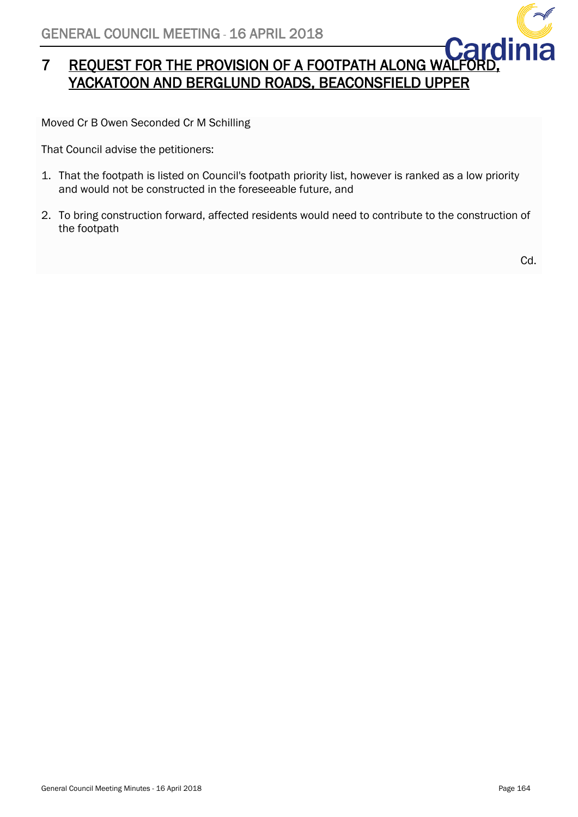

# 7 REQUEST FOR THE PROVISION OF A FOOTPATH ALONG WALFOR YACKATOON AND BERGLUND ROADS, BEACONSFIELD UPPER

Moved Cr B Owen Seconded Cr M Schilling

That Council advise the petitioners:

- 1. That the footpath is listed on Council's footpath priority list, however is ranked as a low priority and would not be constructed in the foreseeable future, and
- 2. To bring construction forward, affected residents would need to contribute to the construction of the footpath

Cd.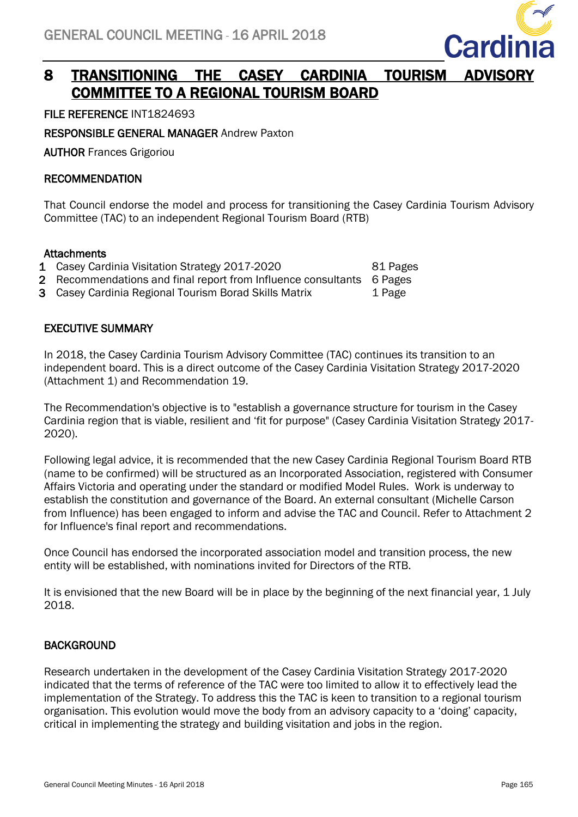<span id="page-43-0"></span>

# 8 TRANSITIONING THE CASEY CARDINIA TOURISM ADVISORY COMMITTEE TO A REGIONAL TOURISM BOARD

FILE REFERENCE INT1824693

RESPONSIBLE GENERAL MANAGER Andrew Paxton

AUTHOR Frances Grigoriou

# RECOMMENDATION

That Council endorse the model and process for transitioning the Casey Cardinia Tourism Advisory Committee (TAC) to an independent Regional Tourism Board (RTB)

# **Attachments**

- 1 Casey Cardinia Visitation Strategy 2017-2020 81 Pages
- 2 Recommendations and final report from Influence consultants 6 Pages
- 3 Casey Cardinia Regional Tourism Borad Skills Matrix 1 Page

# EXECUTIVE SUMMARY

In 2018, the Casey Cardinia Tourism Advisory Committee (TAC) continues its transition to an independent board. This is a direct outcome of the Casey Cardinia Visitation Strategy 2017-2020 (Attachment 1) and Recommendation 19.

The Recommendation's objective is to "establish a governance structure for tourism in the Casey Cardinia region that is viable, resilient and 'fit for purpose" (Casey Cardinia Visitation Strategy 2017- 2020).

Following legal advice, it is recommended that the new Casey Cardinia Regional Tourism Board RTB (name to be confirmed) will be structured as an Incorporated Association, registered with Consumer Affairs Victoria and operating under the standard or modified Model Rules. Work is underway to establish the constitution and governance of the Board. An external consultant (Michelle Carson from Influence) has been engaged to inform and advise the TAC and Council. Refer to Attachment 2 for Influence's final report and recommendations.

Once Council has endorsed the incorporated association model and transition process, the new entity will be established, with nominations invited for Directors of the RTB.

It is envisioned that the new Board will be in place by the beginning of the next financial year, 1 July 2018.

# **BACKGROUND**

Research undertaken in the development of the Casey Cardinia Visitation Strategy 2017-2020 indicated that the terms of reference of the TAC were too limited to allow it to effectively lead the implementation of the Strategy. To address this the TAC is keen to transition to a regional tourism organisation. This evolution would move the body from an advisory capacity to a 'doing' capacity, critical in implementing the strategy and building visitation and jobs in the region.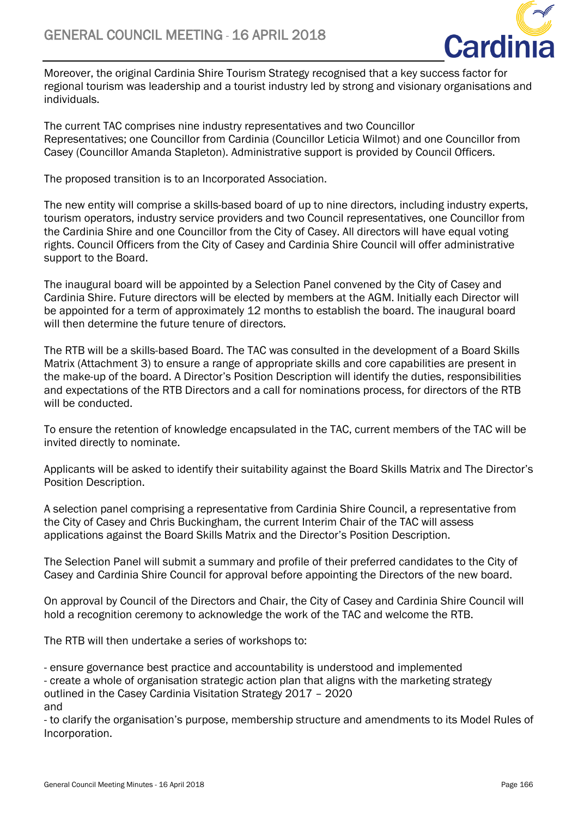

Moreover, the original Cardinia Shire Tourism Strategy recognised that a key success factor for regional tourism was leadership and a tourist industry led by strong and visionary organisations and individuals.

The current TAC comprises nine industry representatives and two Councillor Representatives; one Councillor from Cardinia (Councillor Leticia Wilmot) and one Councillor from Casey (Councillor Amanda Stapleton). Administrative support is provided by Council Officers.

The proposed transition is to an Incorporated Association.

The new entity will comprise a skills-based board of up to nine directors, including industry experts, tourism operators, industry service providers and two Council representatives, one Councillor from the Cardinia Shire and one Councillor from the City of Casey. All directors will have equal voting rights. Council Officers from the City of Casey and Cardinia Shire Council will offer administrative support to the Board.

The inaugural board will be appointed by a Selection Panel convened by the City of Casey and Cardinia Shire. Future directors will be elected by members at the AGM. Initially each Director will be appointed for a term of approximately 12 months to establish the board. The inaugural board will then determine the future tenure of directors.

The RTB will be a skills-based Board. The TAC was consulted in the development of a Board Skills Matrix (Attachment 3) to ensure a range of appropriate skills and core capabilities are present in the make-up of the board. A Director's Position Description will identify the duties, responsibilities and expectations of the RTB Directors and a call for nominations process, for directors of the RTB will be conducted.

To ensure the retention of knowledge encapsulated in the TAC, current members of the TAC will be invited directly to nominate.

Applicants will be asked to identify their suitability against the Board Skills Matrix and The Director's Position Description.

A selection panel comprising a representative from Cardinia Shire Council, a representative from the City of Casey and Chris Buckingham, the current Interim Chair of the TAC will assess applications against the Board Skills Matrix and the Director's Position Description.

The Selection Panel will submit a summary and profile of their preferred candidates to the City of Casey and Cardinia Shire Council for approval before appointing the Directors of the new board.

On approval by Council of the Directors and Chair, the City of Casey and Cardinia Shire Council will hold a recognition ceremony to acknowledge the work of the TAC and welcome the RTB.

The RTB will then undertake a series of workshops to:

- ensure governance best practice and accountability is understood and implemented - create a whole of organisation strategic action plan that aligns with the marketing strategy outlined in the Casey Cardinia Visitation Strategy 2017 – 2020 and

- to clarify the organisation's purpose, membership structure and amendments to its Model Rules of Incorporation.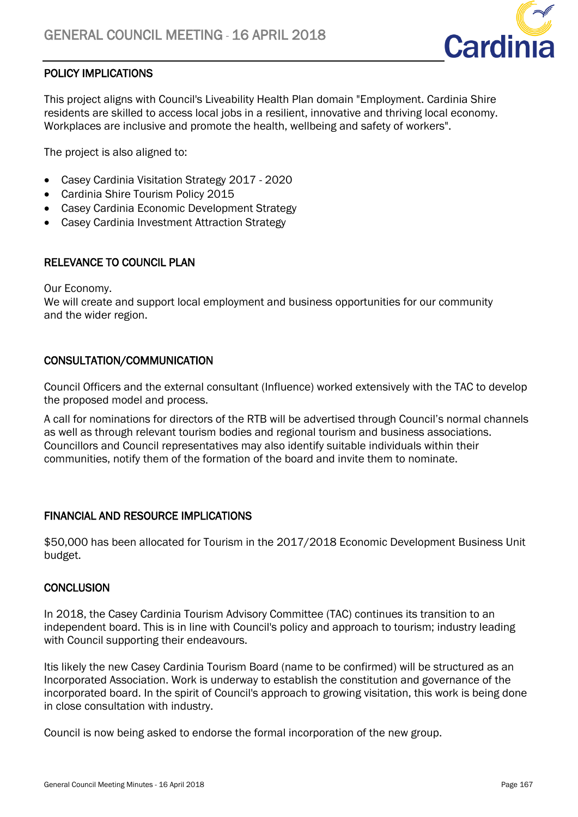

# POLICY IMPLICATIONS

This project aligns with Council's Liveability Health Plan domain "Employment. Cardinia Shire residents are skilled to access local jobs in a resilient, innovative and thriving local economy. Workplaces are inclusive and promote the health, wellbeing and safety of workers".

The project is also aligned to:

- Casey Cardinia Visitation Strategy 2017 2020
- Cardinia Shire Tourism Policy 2015
- Casey Cardinia Economic Development Strategy
- Casey Cardinia Investment Attraction Strategy

# RELEVANCE TO COUNCIL PLAN

Our Economy.

We will create and support local employment and business opportunities for our community and the wider region.

### CONSULTATION/COMMUNICATION

Council Officers and the external consultant (Influence) worked extensively with the TAC to develop the proposed model and process.

A call for nominations for directors of the RTB will be advertised through Council's normal channels as well as through relevant tourism bodies and regional tourism and business associations. Councillors and Council representatives may also identify suitable individuals within their communities, notify them of the formation of the board and invite them to nominate.

### FINANCIAL AND RESOURCE IMPLICATIONS

\$50,000 has been allocated for Tourism in the 2017/2018 Economic Development Business Unit budget.

### **CONCLUSION**

In 2018, the Casey Cardinia Tourism Advisory Committee (TAC) continues its transition to an independent board. This is in line with Council's policy and approach to tourism; industry leading with Council supporting their endeavours.

Itis likely the new Casey Cardinia Tourism Board (name to be confirmed) will be structured as an Incorporated Association. Work is underway to establish the constitution and governance of the incorporated board. In the spirit of Council's approach to growing visitation, this work is being done in close consultation with industry.

Council is now being asked to endorse the formal incorporation of the new group.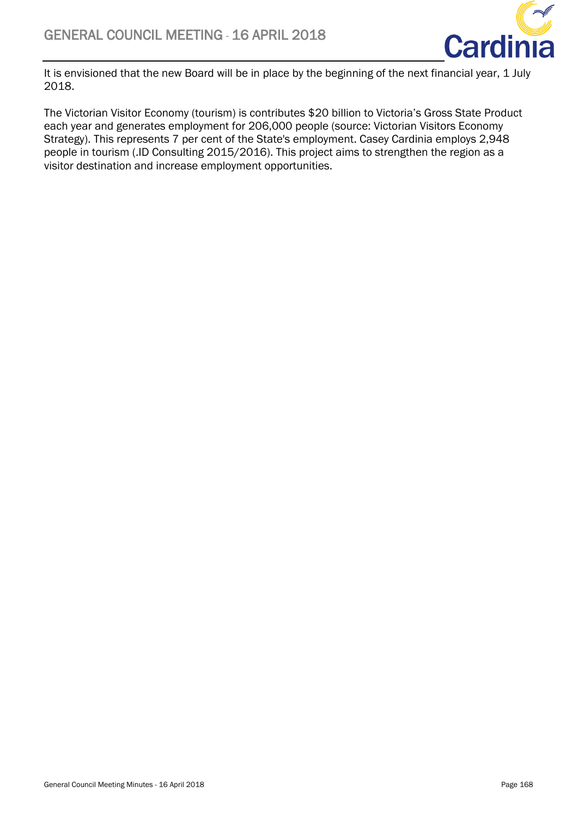

It is envisioned that the new Board will be in place by the beginning of the next financial year, 1 July 2018.

The Victorian Visitor Economy (tourism) is contributes \$20 billion to Victoria's Gross State Product each year and generates employment for 206,000 people (source: Victorian Visitors Economy Strategy). This represents 7 per cent of the State's employment. Casey Cardinia employs 2,948 people in tourism (.ID Consulting 2015/2016). This project aims to strengthen the region as a visitor destination and increase employment opportunities.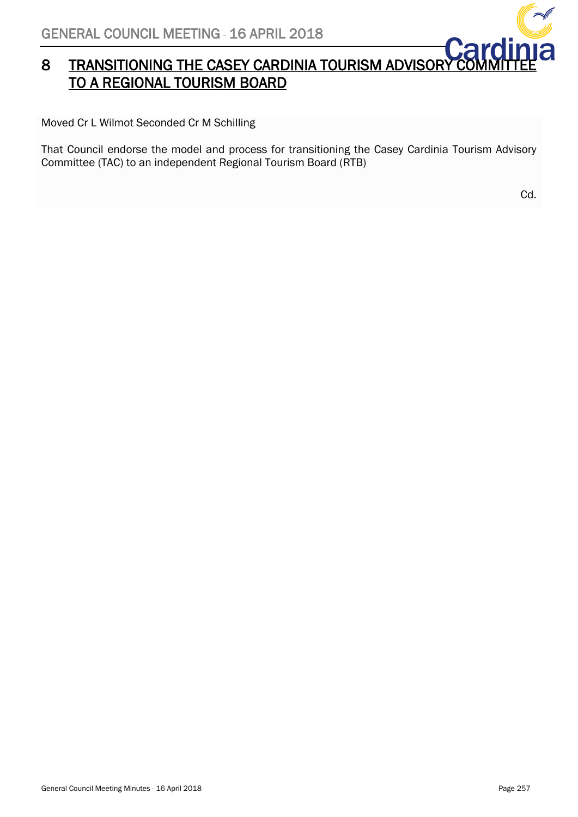# 8 TRANSITIONING THE CASEY CARDINIA TOURISM ADVISORY TO A REGIONAL TOURISM BOARD

Moved Cr L Wilmot Seconded Cr M Schilling

That Council endorse the model and process for transitioning the Casey Cardinia Tourism Advisory Committee (TAC) to an independent Regional Tourism Board (RTB)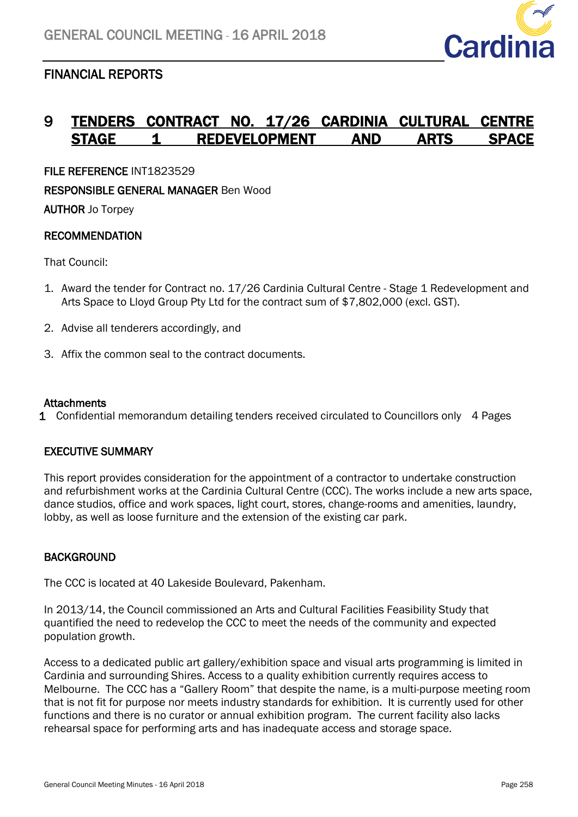

# <span id="page-48-0"></span>FINANCIAL REPORTS

# 9 TENDERS CONTRACT NO. 17/26 CARDINIA CULTURAL STAGE 1 REDEVELOPMENT AND ARTS

<span id="page-48-1"></span>FILE REFERENCE INT1823529

RESPONSIBLE GENERAL MANAGER Ben Wood

AUTHOR Jo Torpey

# **RECOMMENDATION**

That Council:

- 1. Award the tender for Contract no. 17/26 Cardinia Cultural Centre Stage 1 Redevelopment and Arts Space to Lloyd Group Pty Ltd for the contract sum of \$7,802,000 (excl. GST).
- 2. Advise all tenderers accordingly, and
- 3. Affix the common seal to the contract documents.

# **Attachments**

1 Confidential memorandum detailing tenders received circulated to Councillors only 4 Pages

# EXECUTIVE SUMMARY

This report provides consideration for the appointment of a contractor to undertake construction and refurbishment works at the Cardinia Cultural Centre (CCC). The works include a new arts space, dance studios, office and work spaces, light court, stores, change-rooms and amenities, laundry, lobby, as well as loose furniture and the extension of the existing car park.

# **BACKGROUND**

The CCC is located at 40 Lakeside Boulevard, Pakenham.

In 2013/14, the Council commissioned an Arts and Cultural Facilities Feasibility Study that quantified the need to redevelop the CCC to meet the needs of the community and expected population growth.

Access to a dedicated public art gallery/exhibition space and visual arts programming is limited in Cardinia and surrounding Shires. Access to a quality exhibition currently requires access to Melbourne. The CCC has a "Gallery Room" that despite the name, is a multi-purpose meeting room that is not fit for purpose nor meets industry standards for exhibition. It is currently used for other functions and there is no curator or annual exhibition program. The current facility also lacks rehearsal space for performing arts and has inadequate access and storage space.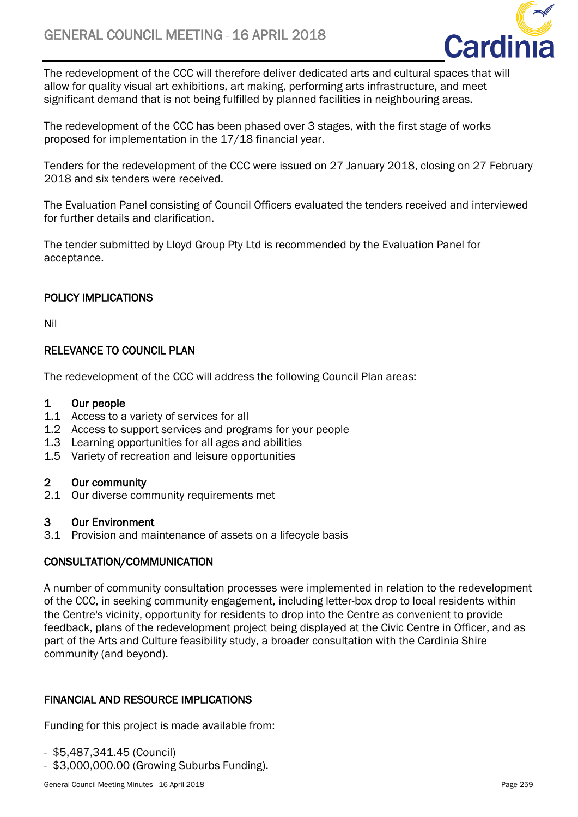

The redevelopment of the CCC will therefore deliver dedicated arts and cultural spaces that will allow for quality visual art exhibitions, art making, performing arts infrastructure, and meet significant demand that is not being fulfilled by planned facilities in neighbouring areas.

The redevelopment of the CCC has been phased over 3 stages, with the first stage of works proposed for implementation in the 17/18 financial year.

Tenders for the redevelopment of the CCC were issued on 27 January 2018, closing on 27 February 2018 and six tenders were received.

The Evaluation Panel consisting of Council Officers evaluated the tenders received and interviewed for further details and clarification.

The tender submitted by Lloyd Group Pty Ltd is recommended by the Evaluation Panel for acceptance.

# POLICY IMPLICATIONS

Nil

# RELEVANCE TO COUNCIL PLAN

The redevelopment of the CCC will address the following Council Plan areas:

# 1 Our people

- 1.1 Access to a variety of services for all
- 1.2 Access to support services and programs for your people
- 1.3 Learning opportunities for all ages and abilities
- 1.5 Variety of recreation and leisure opportunities

# 2 Our community

2.1 Our diverse community requirements met

# 3 Our Environment

3.1 Provision and maintenance of assets on a lifecycle basis

# CONSULTATION/COMMUNICATION

A number of community consultation processes were implemented in relation to the redevelopment of the CCC, in seeking community engagement, including letter-box drop to local residents within the Centre's vicinity, opportunity for residents to drop into the Centre as convenient to provide feedback, plans of the redevelopment project being displayed at the Civic Centre in Officer, and as part of the Arts and Culture feasibility study, a broader consultation with the Cardinia Shire community (and beyond).

# FINANCIAL AND RESOURCE IMPLICATIONS

Funding for this project is made available from:

- \$5,487,341.45 (Council)
- \$3,000,000.00 (Growing Suburbs Funding).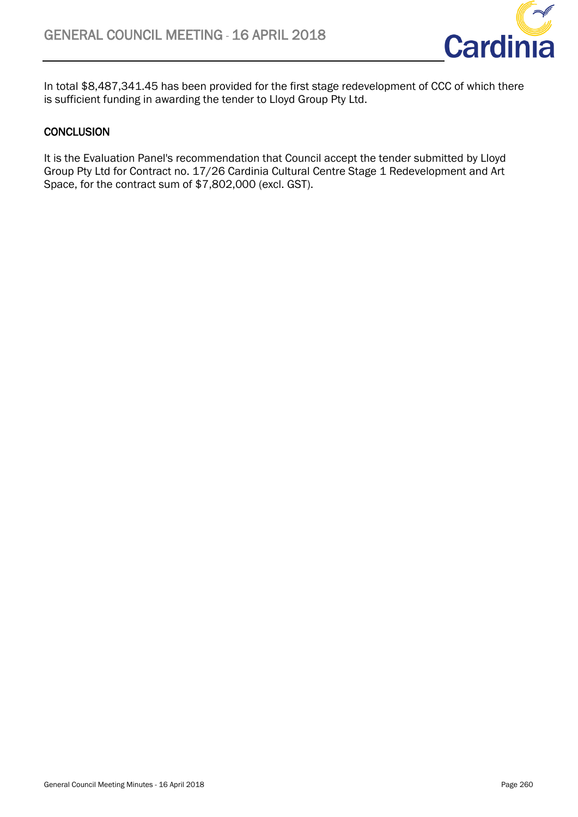

In total \$8,487,341.45 has been provided for the first stage redevelopment of CCC of which there is sufficient funding in awarding the tender to Lloyd Group Pty Ltd.

# **CONCLUSION**

It is the Evaluation Panel's recommendation that Council accept the tender submitted by Lloyd Group Pty Ltd for Contract no. 17/26 Cardinia Cultural Centre Stage 1 Redevelopment and Art Space, for the contract sum of \$7,802,000 (excl. GST).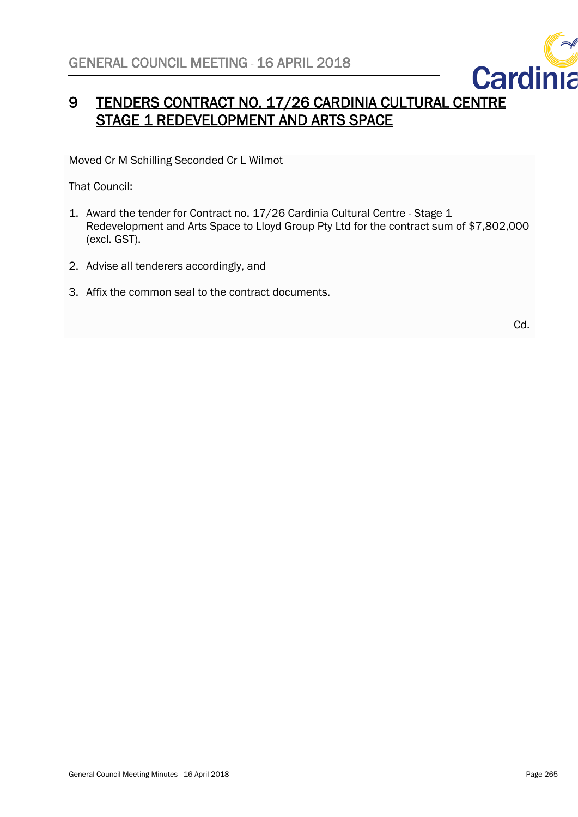

# 9 TENDERS CONTRACT NO. 17/26 CARDINIA CULTURAL CENTRE STAGE 1 REDEVELOPMENT AND ARTS SPACE

Moved Cr M Schilling Seconded Cr L Wilmot

That Council:

- 1. Award the tender for Contract no. 17/26 Cardinia Cultural Centre Stage 1 Redevelopment and Arts Space to Lloyd Group Pty Ltd for the contract sum of \$7,802,000 (excl. GST).
- 2. Advise all tenderers accordingly, and
- 3. Affix the common seal to the contract documents.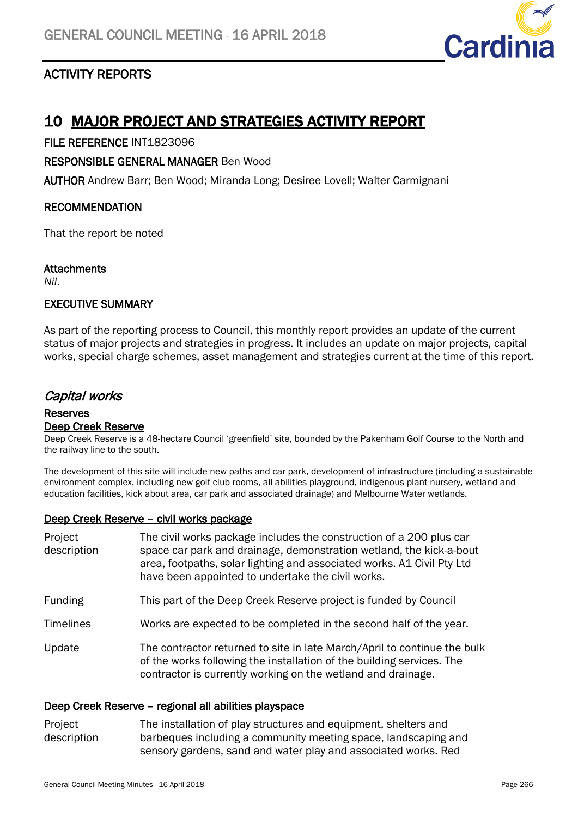<span id="page-52-1"></span>

# <span id="page-52-0"></span>ACTIVITY REPORTS

# 10 MAJOR PROJECT AND STRATEGIES ACTIVITY REPORT

FILE REFERENCE INT1823096

RESPONSIBLE GENERAL MANAGER Ben Wood

AUTHOR Andrew Barr; Ben Wood; Miranda Long; Desiree Lovell; Walter Carmignani

# RECOMMENDATION

That the report be noted

# **Attachments**

*Nil*.

# EXECUTIVE SUMMARY

As part of the reporting process to Council, this monthly report provides an update of the current status of major projects and strategies in progress. It includes an update on major projects, capital works, special charge schemes, asset management and strategies current at the time of this report.

# Capital works

### Reserves Deep Creek Reserve

Deep Creek Reserve is a 48-hectare Council 'greenfield' site, bounded by the Pakenham Golf Course to the North and the railway line to the south.

The development of this site will include new paths and car park, development of infrastructure (including a sustainable environment complex, including new golf club rooms, all abilities playground, indigenous plant nursery, wetland and education facilities, kick about area, car park and associated drainage) and Melbourne Water wetlands.

# Deep Creek Reserve – civil works package

| Project<br>description | The civil works package includes the construction of a 200 plus car<br>space car park and drainage, demonstration wetland, the kick-a-bout<br>area, footpaths, solar lighting and associated works. A1 Civil Pty Ltd<br>have been appointed to undertake the civil works. |
|------------------------|---------------------------------------------------------------------------------------------------------------------------------------------------------------------------------------------------------------------------------------------------------------------------|
| <b>Funding</b>         | This part of the Deep Creek Reserve project is funded by Council                                                                                                                                                                                                          |
| <b>Timelines</b>       | Works are expected to be completed in the second half of the year.                                                                                                                                                                                                        |
| Update                 | The contractor returned to site in late March/April to continue the bulk<br>of the works following the installation of the building services. The<br>contractor is currently working on the wetland and drainage.                                                         |

# Deep Creek Reserve – regional all abilities playspace

Project description The installation of play structures and equipment, shelters and barbeques including a community meeting space, landscaping and sensory gardens, sand and water play and associated works. Red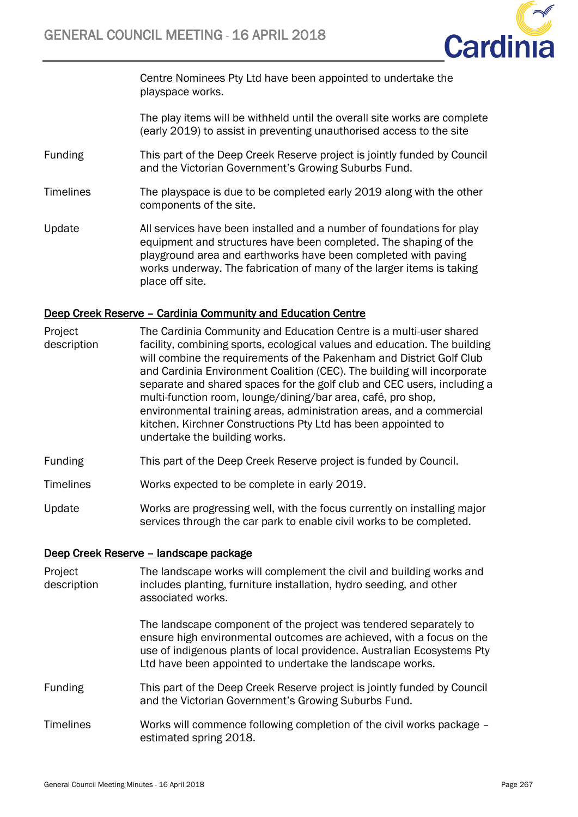

Centre Nominees Pty Ltd have been appointed to undertake the playspace works.

The play items will be withheld until the overall site works are complete (early 2019) to assist in preventing unauthorised access to the site

- Funding This part of the Deep Creek Reserve project is jointly funded by Council and the Victorian Government's Growing Suburbs Fund.
- Timelines The playspace is due to be completed early 2019 along with the other components of the site.
- Update All services have been installed and a number of foundations for play equipment and structures have been completed. The shaping of the playground area and earthworks have been completed with paving works underway. The fabrication of many of the larger items is taking place off site.

### Deep Creek Reserve – Cardinia Community and Education Centre

- Project description The Cardinia Community and Education Centre is a multi-user shared facility, combining sports, ecological values and education. The building will combine the requirements of the Pakenham and District Golf Club and Cardinia Environment Coalition (CEC). The building will incorporate separate and shared spaces for the golf club and CEC users, including a multi-function room, lounge/dining/bar area, café, pro shop, environmental training areas, administration areas, and a commercial kitchen. Kirchner Constructions Pty Ltd has been appointed to undertake the building works.
- Funding This part of the Deep Creek Reserve project is funded by Council.
- Timelines Works expected to be complete in early 2019.
- Update Works are progressing well, with the focus currently on installing major services through the car park to enable civil works to be completed.

### Deep Creek Reserve – landscape package

| Project<br>description | The landscape works will complement the civil and building works and<br>includes planting, furniture installation, hydro seeding, and other<br>associated works.                                                                                                                  |
|------------------------|-----------------------------------------------------------------------------------------------------------------------------------------------------------------------------------------------------------------------------------------------------------------------------------|
|                        | The landscape component of the project was tendered separately to<br>ensure high environmental outcomes are achieved, with a focus on the<br>use of indigenous plants of local providence. Australian Ecosystems Pty<br>Ltd have been appointed to undertake the landscape works. |
| <b>Funding</b>         | This part of the Deep Creek Reserve project is jointly funded by Council<br>and the Victorian Government's Growing Suburbs Fund.                                                                                                                                                  |
| <b>Timelines</b>       | Works will commence following completion of the civil works package –<br>estimated spring 2018.                                                                                                                                                                                   |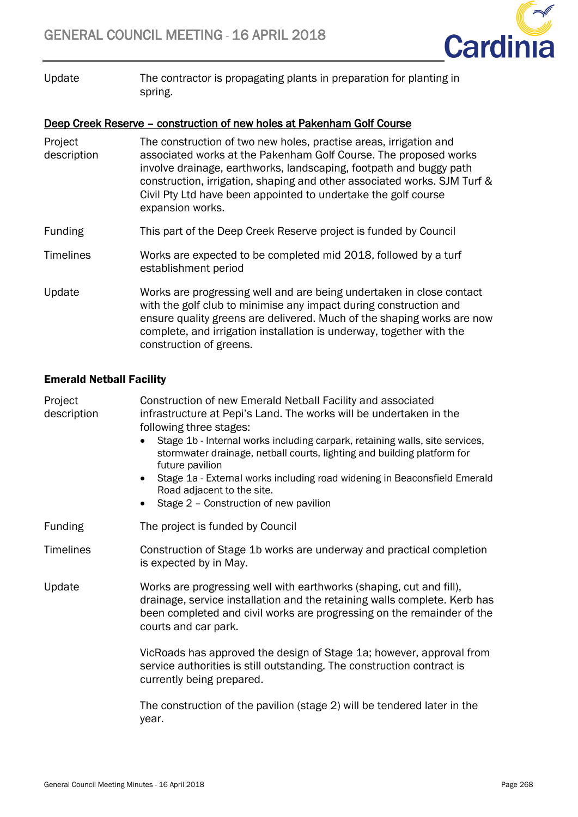

Update The contractor is propagating plants in preparation for planting in spring.

# Deep Creek Reserve – construction of new holes at Pakenham Golf Course

| Project<br>description | The construction of two new holes, practise areas, irrigation and<br>associated works at the Pakenham Golf Course. The proposed works<br>involve drainage, earthworks, landscaping, footpath and buggy path<br>construction, irrigation, shaping and other associated works. SJM Turf &<br>Civil Pty Ltd have been appointed to undertake the golf course<br>expansion works. |
|------------------------|-------------------------------------------------------------------------------------------------------------------------------------------------------------------------------------------------------------------------------------------------------------------------------------------------------------------------------------------------------------------------------|
| <b>Funding</b>         | This part of the Deep Creek Reserve project is funded by Council                                                                                                                                                                                                                                                                                                              |
| <b>Timelines</b>       | Works are expected to be completed mid 2018, followed by a turf<br>establishment period                                                                                                                                                                                                                                                                                       |
| Update                 | Works are progressing well and are being undertaken in close contact<br>with the golf club to minimise any impact during construction and<br>ensure quality greens are delivered. Much of the shaping works are now<br>complete, and irrigation installation is underway, together with the<br>construction of greens.                                                        |

# Emerald Netball Facility

| Project<br>description | Construction of new Emerald Netball Facility and associated<br>infrastructure at Pepi's Land. The works will be undertaken in the<br>following three stages:<br>Stage 1b - Internal works including carpark, retaining walls, site services,<br>$\bullet$<br>stormwater drainage, netball courts, lighting and building platform for<br>future pavilion<br>Stage 1a - External works including road widening in Beaconsfield Emerald<br>$\bullet$<br>Road adjacent to the site.<br>Stage 2 - Construction of new pavilion<br>$\bullet$ |
|------------------------|----------------------------------------------------------------------------------------------------------------------------------------------------------------------------------------------------------------------------------------------------------------------------------------------------------------------------------------------------------------------------------------------------------------------------------------------------------------------------------------------------------------------------------------|
| <b>Funding</b>         | The project is funded by Council                                                                                                                                                                                                                                                                                                                                                                                                                                                                                                       |
| <b>Timelines</b>       | Construction of Stage 1b works are underway and practical completion<br>is expected by in May.                                                                                                                                                                                                                                                                                                                                                                                                                                         |
| Update                 | Works are progressing well with earthworks (shaping, cut and fill),<br>drainage, service installation and the retaining walls complete. Kerb has<br>been completed and civil works are progressing on the remainder of the<br>courts and car park.                                                                                                                                                                                                                                                                                     |
|                        | VicRoads has approved the design of Stage 1a; however, approval from<br>service authorities is still outstanding. The construction contract is<br>currently being prepared.                                                                                                                                                                                                                                                                                                                                                            |
|                        | The construction of the pavilion (stage 2) will be tendered later in the<br>vear.                                                                                                                                                                                                                                                                                                                                                                                                                                                      |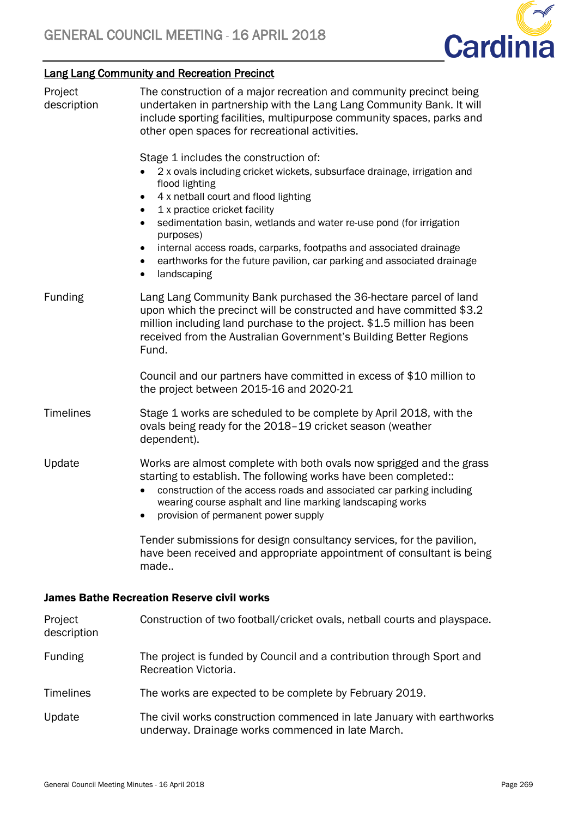

# Lang Lang Community and Recreation Precinct

| Project<br>description | The construction of a major recreation and community precinct being<br>undertaken in partnership with the Lang Lang Community Bank. It will<br>include sporting facilities, multipurpose community spaces, parks and<br>other open spaces for recreational activities.                                                                                                                                                                                                                                            |
|------------------------|-------------------------------------------------------------------------------------------------------------------------------------------------------------------------------------------------------------------------------------------------------------------------------------------------------------------------------------------------------------------------------------------------------------------------------------------------------------------------------------------------------------------|
|                        | Stage 1 includes the construction of:<br>2 x ovals including cricket wickets, subsurface drainage, irrigation and<br>flood lighting<br>4 x netball court and flood lighting<br>٠<br>1 x practice cricket facility<br>$\bullet$<br>sedimentation basin, wetlands and water re-use pond (for irrigation<br>$\bullet$<br>purposes)<br>internal access roads, carparks, footpaths and associated drainage<br>earthworks for the future pavilion, car parking and associated drainage<br>٠<br>landscaping<br>$\bullet$ |
| Funding                | Lang Lang Community Bank purchased the 36-hectare parcel of land<br>upon which the precinct will be constructed and have committed \$3.2<br>million including land purchase to the project. \$1.5 million has been<br>received from the Australian Government's Building Better Regions<br>Fund.                                                                                                                                                                                                                  |
|                        | Council and our partners have committed in excess of \$10 million to<br>the project between 2015-16 and 2020-21                                                                                                                                                                                                                                                                                                                                                                                                   |
| <b>Timelines</b>       | Stage 1 works are scheduled to be complete by April 2018, with the<br>ovals being ready for the 2018-19 cricket season (weather<br>dependent).                                                                                                                                                                                                                                                                                                                                                                    |
| Update                 | Works are almost complete with both ovals now sprigged and the grass<br>starting to establish. The following works have been completed::<br>construction of the access roads and associated car parking including<br>$\bullet$<br>wearing course asphalt and line marking landscaping works<br>provision of permanent power supply                                                                                                                                                                                |
|                        | Tender submissions for design consultancy services, for the pavilion,<br>have been received and appropriate appointment of consultant is being<br>made                                                                                                                                                                                                                                                                                                                                                            |
|                        | <b>James Bathe Recreation Reserve civil works</b>                                                                                                                                                                                                                                                                                                                                                                                                                                                                 |
| Project<br>description | Construction of two football/cricket ovals, netball courts and playspace.                                                                                                                                                                                                                                                                                                                                                                                                                                         |
| <b>Funding</b>         | The project is funded by Council and a contribution through Sport and<br>Recreation Victoria.                                                                                                                                                                                                                                                                                                                                                                                                                     |
| <b>Timelines</b>       | The works are expected to be complete by February 2019.                                                                                                                                                                                                                                                                                                                                                                                                                                                           |
| Update                 | The civil works construction commenced in late January with earthworks<br>underway. Drainage works commenced in late March.                                                                                                                                                                                                                                                                                                                                                                                       |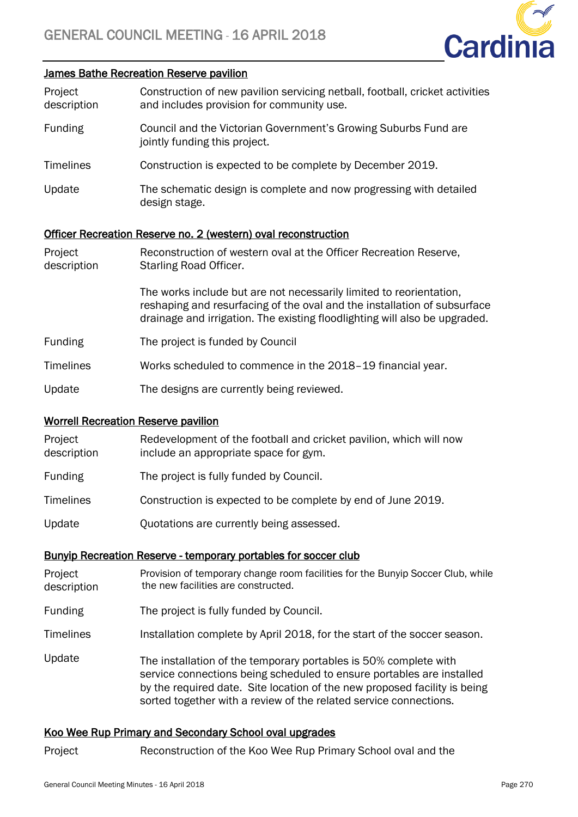

#### James Bathe Recreation Reserve pavilion

| Project     | Construction of new pavilion servicing netball, football, cricket activities |
|-------------|------------------------------------------------------------------------------|
| description | and includes provision for community use.                                    |

- Funding Council and the Victorian Government's Growing Suburbs Fund are jointly funding this project.
- Timelines Construction is expected to be complete by December 2019.
- Update The schematic design is complete and now progressing with detailed design stage.

#### Officer Recreation Reserve no. 2 (western) oval reconstruction

| Project<br>description | Reconstruction of western oval at the Officer Recreation Reserve,<br>Starling Road Officer.                                                                                                                                   |
|------------------------|-------------------------------------------------------------------------------------------------------------------------------------------------------------------------------------------------------------------------------|
|                        | The works include but are not necessarily limited to reorientation,<br>reshaping and resurfacing of the oval and the installation of subsurface<br>drainage and irrigation. The existing floodlighting will also be upgraded. |
| <b>Funding</b>         | The project is funded by Council                                                                                                                                                                                              |
| Timelines              | Works scheduled to commence in the 2018–19 financial year.                                                                                                                                                                    |
| Update                 | The designs are currently being reviewed.                                                                                                                                                                                     |

#### Worrell Recreation Reserve pavilion

| Project<br>description | Redevelopment of the football and cricket pavilion, which will now<br>include an appropriate space for gym. |
|------------------------|-------------------------------------------------------------------------------------------------------------|
| <b>Funding</b>         | The project is fully funded by Council.                                                                     |
| <b>Timelines</b>       | Construction is expected to be complete by end of June 2019.                                                |
| Update                 | Quotations are currently being assessed.                                                                    |

#### Bunyip Recreation Reserve - temporary portables for soccer club

- Project description Provision of temporary change room facilities for the Bunyip Soccer Club, while the new facilities are constructed.
- Funding The project is fully funded by Council.

Timelines Installation complete by April 2018, for the start of the soccer season.

Update The installation of the temporary portables is 50% complete with service connections being scheduled to ensure portables are installed by the required date. Site location of the new proposed facility is being sorted together with a review of the related service connections.

### Koo Wee Rup Primary and Secondary School oval upgrades

Project Reconstruction of the Koo Wee Rup Primary School oval and the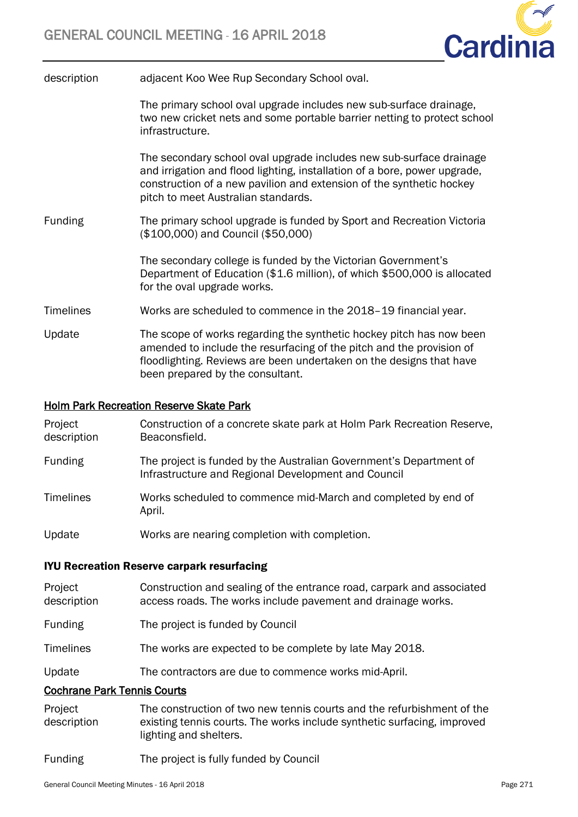

| description | adjacent Koo Wee Rup Secondary School oval.              |
|-------------|----------------------------------------------------------|
|             | The primary school oval upgrade includes new sub-surfact |

ce drainage. two new cricket nets and some portable barrier netting to protect school infrastructure.

The secondary school oval upgrade includes new sub-surface drainage and irrigation and flood lighting, installation of a bore, power upgrade, construction of a new pavilion and extension of the synthetic hockey pitch to meet Australian standards.

Funding The primary school upgrade is funded by Sport and Recreation Victoria (\$100,000) and Council (\$50,000)

> The secondary college is funded by the Victorian Government's Department of Education (\$1.6 million), of which \$500,000 is allocated for the oval upgrade works.

- Timelines Works are scheduled to commence in the 2018–19 financial year.
- Update The scope of works regarding the synthetic hockey pitch has now been amended to include the resurfacing of the pitch and the provision of floodlighting. Reviews are been undertaken on the designs that have been prepared by the consultant.

# Holm Park Recreation Reserve Skate Park

| Project<br>description | Construction of a concrete skate park at Holm Park Recreation Reserve,<br>Beaconsfield.                                   |
|------------------------|---------------------------------------------------------------------------------------------------------------------------|
| <b>Funding</b>         | The project is funded by the Australian Government's Department of<br>Infrastructure and Regional Development and Council |
| <b>Timelines</b>       | Works scheduled to commence mid-March and completed by end of<br>April.                                                   |
| Update                 | Works are nearing completion with completion.                                                                             |

# IYU Recreation Reserve carpark resurfacing

| Project     | Construction and sealing of the entrance road, carpark and associated |
|-------------|-----------------------------------------------------------------------|
| description | access roads. The works include pavement and drainage works.          |

- Funding The project is funded by Council
- Timelines The works are expected to be complete by late May 2018.
- Update The contractors are due to commence works mid-April.

# Cochrane Park Tennis Courts

- Project description The construction of two new tennis courts and the refurbishment of the existing tennis courts. The works include synthetic surfacing, improved lighting and shelters.
- Funding The project is fully funded by Council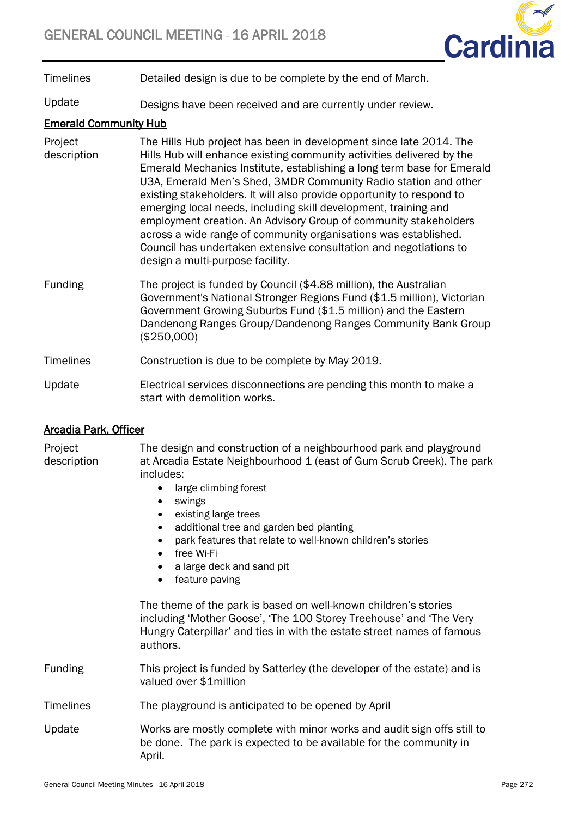

Timelines Detailed design is due to be complete by the end of March.

Update Designs have been received and are currently under review.

# Emerald Community Hub

- Project description The Hills Hub project has been in development since late 2014. The Hills Hub will enhance existing community activities delivered by the Emerald Mechanics Institute, establishing a long term base for Emerald U3A, Emerald Men's Shed, 3MDR Community Radio station and other existing stakeholders. It will also provide opportunity to respond to emerging local needs, including skill development, training and employment creation. An Advisory Group of community stakeholders across a wide range of community organisations was established. Council has undertaken extensive consultation and negotiations to design a multi-purpose facility.
- Funding The project is funded by Council (\$4.88 million), the Australian Government's National Stronger Regions Fund (\$1.5 million), Victorian Government Growing Suburbs Fund (\$1.5 million) and the Eastern Dandenong Ranges Group/Dandenong Ranges Community Bank Group (\$250,000)

# Timelines Construction is due to be complete by May 2019.

Update Electrical services disconnections are pending this month to make a start with demolition works.

# Arcadia Park, Officer

Project description The design and construction of a neighbourhood park and playground at Arcadia Estate Neighbourhood 1 (east of Gum Scrub Creek). The park includes:

- large climbing forest
- swings
- existing large trees
- additional tree and garden bed planting
- park features that relate to well-known children's stories
- free Wi-Fi
- a large deck and sand pit
- feature paving

The theme of the park is based on well-known children's stories including 'Mother Goose', 'The 100 Storey Treehouse' and 'The Very Hungry Caterpillar' and ties in with the estate street names of famous authors.

- Funding This project is funded by Satterley (the developer of the estate) and is valued over \$1million
- Timelines The playground is anticipated to be opened by April
- Update Works are mostly complete with minor works and audit sign offs still to be done. The park is expected to be available for the community in April.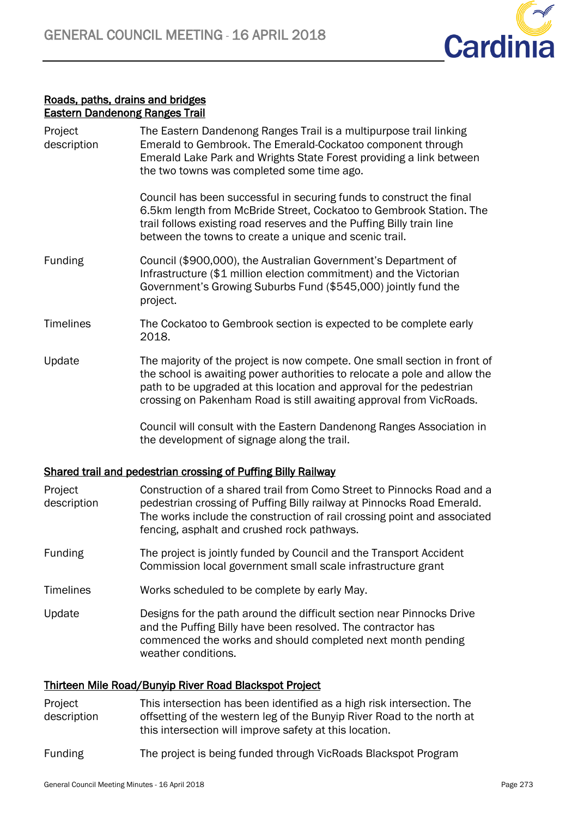

# Roads, paths, drains and bridges Eastern Dandenong Ranges Trail

| Project<br>description | The Eastern Dandenong Ranges Trail is a multipurpose trail linking<br>Emerald to Gembrook. The Emerald-Cockatoo component through<br>Emerald Lake Park and Wrights State Forest providing a link between<br>the two towns was completed some time ago.                                                |
|------------------------|-------------------------------------------------------------------------------------------------------------------------------------------------------------------------------------------------------------------------------------------------------------------------------------------------------|
|                        | Council has been successful in securing funds to construct the final<br>6.5km length from McBride Street, Cockatoo to Gembrook Station. The<br>trail follows existing road reserves and the Puffing Billy train line<br>between the towns to create a unique and scenic trail.                        |
| <b>Funding</b>         | Council (\$900,000), the Australian Government's Department of<br>Infrastructure (\$1 million election commitment) and the Victorian<br>Government's Growing Suburbs Fund (\$545,000) jointly fund the<br>project.                                                                                    |
| <b>Timelines</b>       | The Cockatoo to Gembrook section is expected to be complete early<br>2018.                                                                                                                                                                                                                            |
| Update                 | The majority of the project is now compete. One small section in front of<br>the school is awaiting power authorities to relocate a pole and allow the<br>path to be upgraded at this location and approval for the pedestrian<br>crossing on Pakenham Road is still awaiting approval from VicRoads. |
|                        | Council will consult with the Eastern Dandenong Ranges Association in<br>the development of signage along the trail.                                                                                                                                                                                  |
|                        |                                                                                                                                                                                                                                                                                                       |

# Shared trail and pedestrian crossing of Puffing Billy Railway

| Project<br>description | Construction of a shared trail from Como Street to Pinnocks Road and a<br>pedestrian crossing of Puffing Billy railway at Pinnocks Road Emerald.<br>The works include the construction of rail crossing point and associated<br>fencing, asphalt and crushed rock pathways. |
|------------------------|-----------------------------------------------------------------------------------------------------------------------------------------------------------------------------------------------------------------------------------------------------------------------------|
| Funding                | The project is jointly funded by Council and the Transport Accident<br>Commission local government small scale infrastructure grant                                                                                                                                         |
| <b>Timelines</b>       | Works scheduled to be complete by early May.                                                                                                                                                                                                                                |
| Update                 | Designs for the path around the difficult section near Pinnocks Drive<br>and the Puffing Billy have been resolved. The contractor has<br>commenced the works and should completed next month pending<br>weather conditions.                                                 |

# Thirteen Mile Road/Bunyip River Road Blackspot Project

- Project description This intersection has been identified as a high risk intersection. The offsetting of the western leg of the Bunyip River Road to the north at this intersection will improve safety at this location.
- Funding The project is being funded through VicRoads Blackspot Program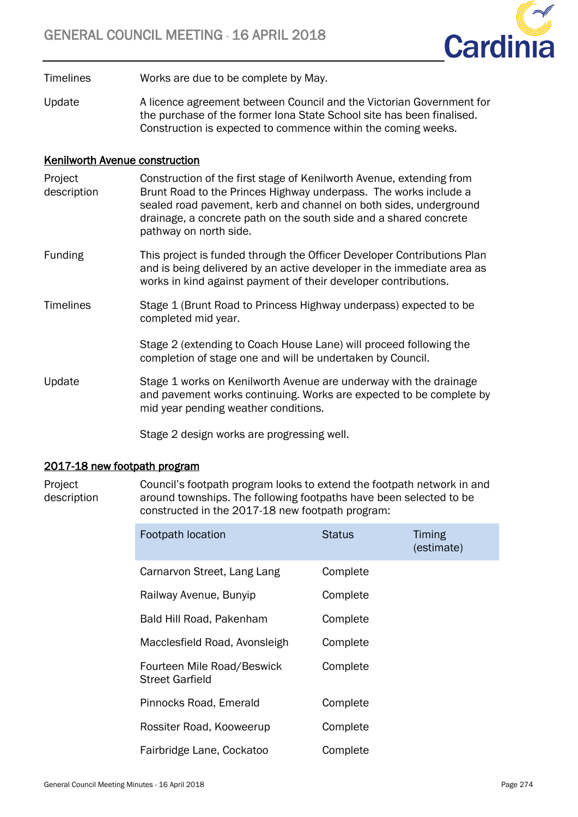

Timelines Works are due to be complete by May.

Update A licence agreement between Council and the Victorian Government for the purchase of the former Iona State School site has been finalised. Construction is expected to commence within the coming weeks.

# Kenilworth Avenue construction

- Project description Construction of the first stage of Kenilworth Avenue, extending from Brunt Road to the Princes Highway underpass. The works include a sealed road pavement, kerb and channel on both sides, underground drainage, a concrete path on the south side and a shared concrete pathway on north side.
- Funding This project is funded through the Officer Developer Contributions Plan and is being delivered by an active developer in the immediate area as works in kind against payment of their developer contributions.
- Timelines Stage 1 (Brunt Road to Princess Highway underpass) expected to be completed mid year.

Stage 2 (extending to Coach House Lane) will proceed following the completion of stage one and will be undertaken by Council.

Update Stage 1 works on Kenilworth Avenue are underway with the drainage and pavement works continuing. Works are expected to be complete by mid year pending weather conditions.

Stage 2 design works are progressing well.

# 2017-18 new footpath program

Project description Council's footpath program looks to extend the footpath network in and around townships. The following footpaths have been selected to be constructed in the 2017-18 new footpath program:

| Footpath location                             | <b>Status</b> | Timing<br>(estimate) |
|-----------------------------------------------|---------------|----------------------|
| Carnarvon Street, Lang Lang                   | Complete      |                      |
| Railway Avenue, Bunyip                        | Complete      |                      |
| Bald Hill Road, Pakenham                      | Complete      |                      |
| Macclesfield Road, Avonsleigh                 | Complete      |                      |
| Fourteen Mile Road/Beswick<br>Street Garfield | Complete      |                      |
| Pinnocks Road, Emerald                        | Complete      |                      |
| Rossiter Road, Kooweerup                      | Complete      |                      |
| Fairbridge Lane, Cockatoo                     | Complete      |                      |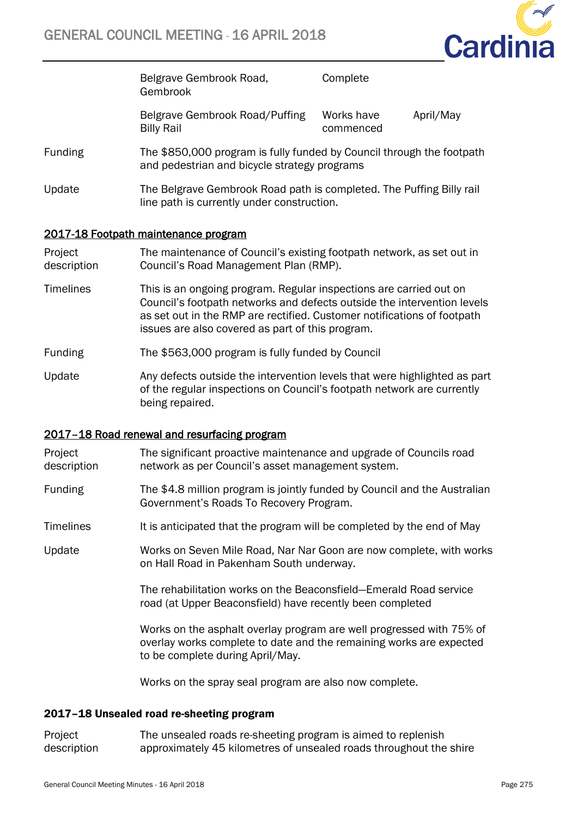

Belgrave Gembrook Road, Gembrook **Complete** Belgrave Gembrook Road/Puffing Works have April/May

commenced

- Funding The \$850,000 program is fully funded by Council through the footpath and pedestrian and bicycle strategy programs
- Update The Belgrave Gembrook Road path is completed. The Puffing Billy rail line path is currently under construction.

# 2017-18 Footpath maintenance program

Billy Rail

Project description The maintenance of Council's existing footpath network, as set out in Council's Road Management Plan (RMP).

- Timelines This is an ongoing program. Regular inspections are carried out on Council's footpath networks and defects outside the intervention levels as set out in the RMP are rectified. Customer notifications of footpath issues are also covered as part of this program.
- Funding The \$563,000 program is fully funded by Council
- Update Any defects outside the intervention levels that were highlighted as part of the regular inspections on Council's footpath network are currently being repaired.

### 2017–18 Road renewal and resurfacing program

- Project description The significant proactive maintenance and upgrade of Councils road network as per Council's asset management system.
- Funding The \$4.8 million program is jointly funded by Council and the Australian Government's Roads To Recovery Program.
- Timelines It is anticipated that the program will be completed by the end of May

Update Works on Seven Mile Road, Nar Nar Goon are now complete, with works on Hall Road in Pakenham South underway.

> The rehabilitation works on the Beaconsfield—Emerald Road service road (at Upper Beaconsfield) have recently been completed

Works on the asphalt overlay program are well progressed with 75% of overlay works complete to date and the remaining works are expected to be complete during April/May.

Works on the spray seal program are also now complete.

### 2017–18 Unsealed road re-sheeting program

Project description The unsealed roads re-sheeting program is aimed to replenish approximately 45 kilometres of unsealed roads throughout the shire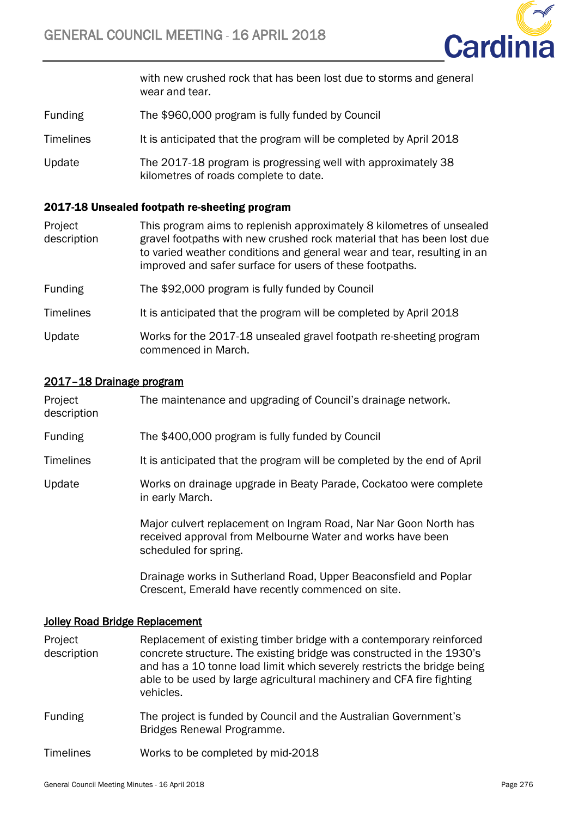

with new crushed rock that has been lost due to storms and general wear and tear.

- Funding The \$960,000 program is fully funded by Council
- Timelines It is anticipated that the program will be completed by April 2018
- Update The 2017-18 program is progressing well with approximately 38 kilometres of roads complete to date.

### 2017-18 Unsealed footpath re-sheeting program

- Project description This program aims to replenish approximately 8 kilometres of unsealed gravel footpaths with new crushed rock material that has been lost due to varied weather conditions and general wear and tear, resulting in an improved and safer surface for users of these footpaths.
- Funding The \$92,000 program is fully funded by Council
- Timelines It is anticipated that the program will be completed by April 2018
- Update Works for the 2017-18 unsealed gravel footpath re-sheeting program commenced in March.

### 2017–18 Drainage program

| Project<br>description | The maintenance and upgrading of Council's drainage network.                                                                                            |
|------------------------|---------------------------------------------------------------------------------------------------------------------------------------------------------|
| <b>Funding</b>         | The \$400,000 program is fully funded by Council                                                                                                        |
| <b>Timelines</b>       | It is anticipated that the program will be completed by the end of April                                                                                |
| Update                 | Works on drainage upgrade in Beaty Parade, Cockatoo were complete<br>in early March.                                                                    |
|                        | Major culvert replacement on Ingram Road, Nar Nar Goon North has<br>received approval from Melbourne Water and works have been<br>scheduled for spring. |
|                        | Drainage works in Sutherland Road, Upper Beaconsfield and Poplar<br>Crescent, Emerald have recently commenced on site.                                  |

### Jolley Road Bridge Replacement

- Project description Replacement of existing timber bridge with a contemporary reinforced concrete structure. The existing bridge was constructed in the 1930's and has a 10 tonne load limit which severely restricts the bridge being able to be used by large agricultural machinery and CFA fire fighting vehicles.
- Funding The project is funded by Council and the Australian Government's Bridges Renewal Programme.

Timelines Works to be completed by mid-2018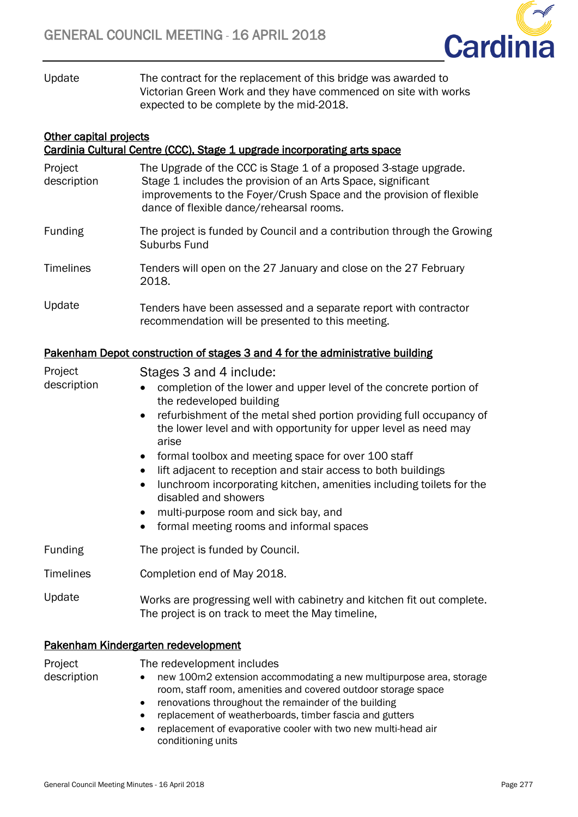

Update The contract for the replacement of this bridge was awarded to Victorian Green Work and they have commenced on site with works expected to be complete by the mid-2018.

# **Other capital projects** Cardinia Cultural Centre (CCC), Stage 1 upgrade incorporating arts space

| Project<br>description | The Upgrade of the CCC is Stage 1 of a proposed 3-stage upgrade.<br>Stage 1 includes the provision of an Arts Space, significant<br>improvements to the Foyer/Crush Space and the provision of flexible<br>dance of flexible dance/rehearsal rooms.                                                                                                                                                                                                                                                                                                                                                                                                                     |
|------------------------|-------------------------------------------------------------------------------------------------------------------------------------------------------------------------------------------------------------------------------------------------------------------------------------------------------------------------------------------------------------------------------------------------------------------------------------------------------------------------------------------------------------------------------------------------------------------------------------------------------------------------------------------------------------------------|
| Funding                | The project is funded by Council and a contribution through the Growing<br>Suburbs Fund                                                                                                                                                                                                                                                                                                                                                                                                                                                                                                                                                                                 |
| <b>Timelines</b>       | Tenders will open on the 27 January and close on the 27 February<br>2018.                                                                                                                                                                                                                                                                                                                                                                                                                                                                                                                                                                                               |
| Update                 | Tenders have been assessed and a separate report with contractor<br>recommendation will be presented to this meeting.                                                                                                                                                                                                                                                                                                                                                                                                                                                                                                                                                   |
|                        | Pakenham Depot construction of stages 3 and 4 for the administrative building                                                                                                                                                                                                                                                                                                                                                                                                                                                                                                                                                                                           |
| Project<br>description | Stages 3 and 4 include:<br>completion of the lower and upper level of the concrete portion of<br>$\bullet$<br>the redeveloped building<br>refurbishment of the metal shed portion providing full occupancy of<br>$\bullet$<br>the lower level and with opportunity for upper level as need may<br>arise<br>formal toolbox and meeting space for over 100 staff<br>lift adjacent to reception and stair access to both buildings<br>$\bullet$<br>lunchroom incorporating kitchen, amenities including toilets for the<br>$\bullet$<br>disabled and showers<br>multi-purpose room and sick bay, and<br>$\bullet$<br>formal meeting rooms and informal spaces<br>$\bullet$ |
| Funding                | The project is funded by Council.                                                                                                                                                                                                                                                                                                                                                                                                                                                                                                                                                                                                                                       |
| <b>Timelines</b>       | Completion end of May 2018.                                                                                                                                                                                                                                                                                                                                                                                                                                                                                                                                                                                                                                             |
| Update                 | Works are progressing well with cabinetry and kitchen fit out complete.<br>The project is on track to meet the May timeline,                                                                                                                                                                                                                                                                                                                                                                                                                                                                                                                                            |
|                        | Pakenham Kindergarten redevelopment                                                                                                                                                                                                                                                                                                                                                                                                                                                                                                                                                                                                                                     |

Project

The redevelopment includes

- description
- 
- new 100m2 extension accommodating a new multipurpose area, storage room, staff room, amenities and covered outdoor storage space
- renovations throughout the remainder of the building
- replacement of weatherboards, timber fascia and gutters
- replacement of evaporative cooler with two new multi-head air conditioning units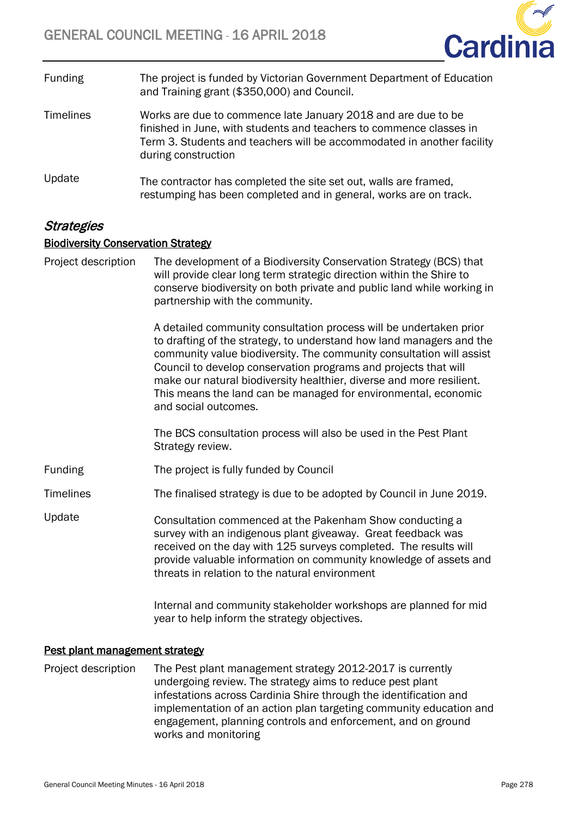

| <b>Funding</b>   | The project is funded by Victorian Government Department of Education<br>and Training grant (\$350,000) and Council.                                                                                                                  |
|------------------|---------------------------------------------------------------------------------------------------------------------------------------------------------------------------------------------------------------------------------------|
| <b>Timelines</b> | Works are due to commence late January 2018 and are due to be<br>finished in June, with students and teachers to commence classes in<br>Term 3. Students and teachers will be accommodated in another facility<br>during construction |
| Update           | The contractor has completed the site set out, walls are framed,<br>restumping has been completed and in general, works are on track.                                                                                                 |

# **Strategies**

# Biodiversity Conservation Strategy

Project description The development of a Biodiversity Conservation Strategy (BCS) that will provide clear long term strategic direction within the Shire to conserve biodiversity on both private and public land while working in partnership with the community.

> A detailed community consultation process will be undertaken prior to drafting of the strategy, to understand how land managers and the community value biodiversity. The community consultation will assist Council to develop conservation programs and projects that will make our natural biodiversity healthier, diverse and more resilient. This means the land can be managed for environmental, economic and social outcomes.

The BCS consultation process will also be used in the Pest Plant Strategy review.

Funding The project is fully funded by Council

Timelines The finalised strategy is due to be adopted by Council in June 2019.

Update Consultation commenced at the Pakenham Show conducting a survey with an indigenous plant giveaway. Great feedback was received on the day with 125 surveys completed. The results will provide valuable information on community knowledge of assets and threats in relation to the natural environment

> Internal and community stakeholder workshops are planned for mid year to help inform the strategy objectives.

# Pest plant management strategy

Project description The Pest plant management strategy 2012-2017 is currently undergoing review. The strategy aims to reduce pest plant infestations across Cardinia Shire through the identification and implementation of an action plan targeting community education and engagement, planning controls and enforcement, and on ground works and monitoring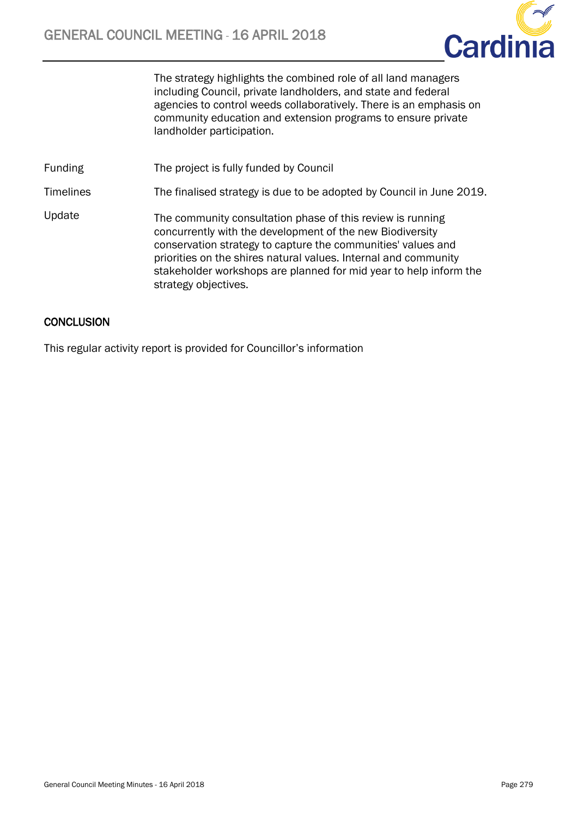

The strategy highlights the combined role of all land managers including Council, private landholders, and state and federal agencies to control weeds collaboratively. There is an emphasis on community education and extension programs to ensure private landholder participation.

Funding The project is fully funded by Council

Timelines The finalised strategy is due to be adopted by Council in June 2019.

Update The community consultation phase of this review is running concurrently with the development of the new Biodiversity conservation strategy to capture the communities' values and priorities on the shires natural values. Internal and community stakeholder workshops are planned for mid year to help inform the strategy objectives.

# **CONCLUSION**

This regular activity report is provided for Councillor's information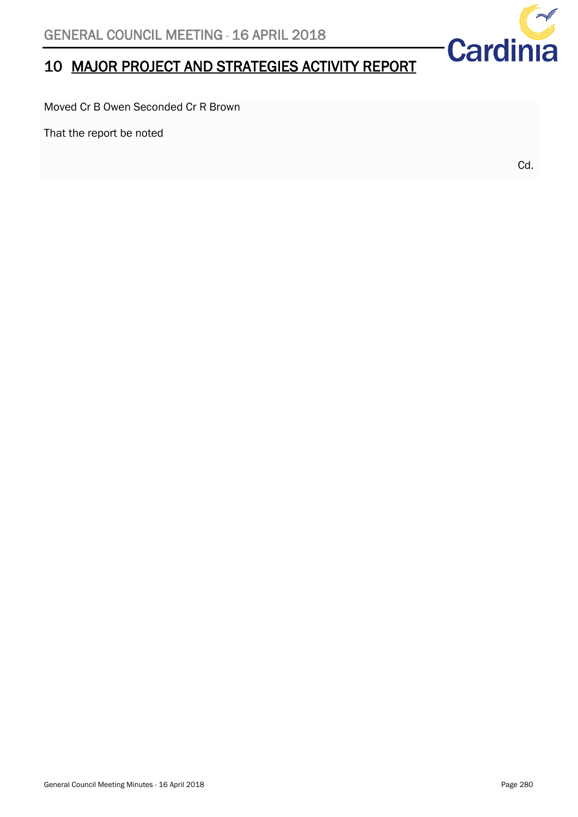# 10 MAJOR PROJECT AND STRATEGIES ACTIVITY REPORT

Moved Cr B Owen Seconded Cr R Brown

That the report be noted

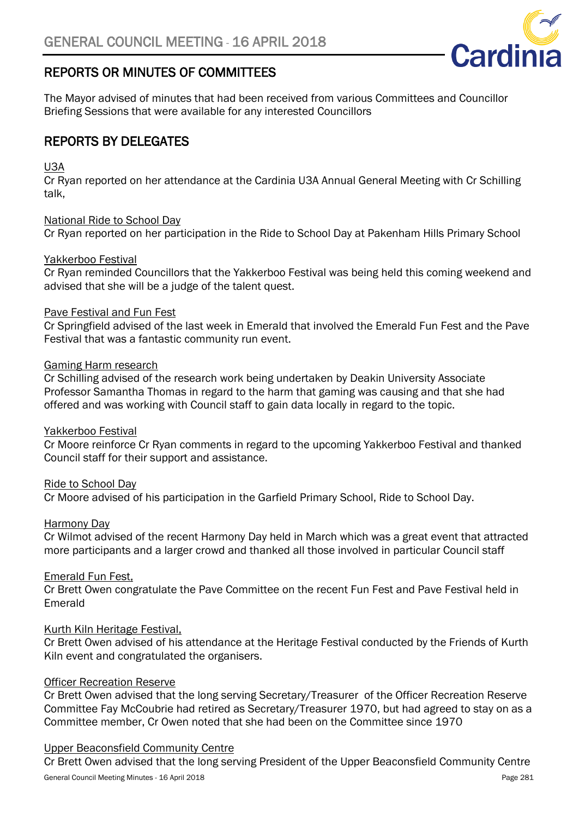

# <span id="page-67-0"></span>REPORTS OR MINUTES OF COMMITTEES

<span id="page-67-1"></span>The Mayor advised of minutes that had been received from various Committees and Councillor Briefing Sessions that were available for any interested Councillors

# REPORTS BY DELEGATES

# U3A

Cr Ryan reported on her attendance at the Cardinia U3A Annual General Meeting with Cr Schilling talk,

# National Ride to School Day

Cr Ryan reported on her participation in the Ride to School Day at Pakenham Hills Primary School

# Yakkerboo Festival

Cr Ryan reminded Councillors that the Yakkerboo Festival was being held this coming weekend and advised that she will be a judge of the talent quest.

# Pave Festival and Fun Fest

Cr Springfield advised of the last week in Emerald that involved the Emerald Fun Fest and the Pave Festival that was a fantastic community run event.

# Gaming Harm research

Cr Schilling advised of the research work being undertaken by Deakin University Associate Professor Samantha Thomas in regard to the harm that gaming was causing and that she had offered and was working with Council staff to gain data locally in regard to the topic.

### Yakkerboo Festival

Cr Moore reinforce Cr Ryan comments in regard to the upcoming Yakkerboo Festival and thanked Council staff for their support and assistance.

### Ride to School Day

Cr Moore advised of his participation in the Garfield Primary School, Ride to School Day.

### Harmony Day

Cr Wilmot advised of the recent Harmony Day held in March which was a great event that attracted more participants and a larger crowd and thanked all those involved in particular Council staff

### Emerald Fun Fest,

Cr Brett Owen congratulate the Pave Committee on the recent Fun Fest and Pave Festival held in Emerald

### Kurth Kiln Heritage Festival,

Cr Brett Owen advised of his attendance at the Heritage Festival conducted by the Friends of Kurth Kiln event and congratulated the organisers.

### Officer Recreation Reserve

Cr Brett Owen advised that the long serving Secretary/Treasurer of the Officer Recreation Reserve Committee Fay McCoubrie had retired as Secretary/Treasurer 1970, but had agreed to stay on as a Committee member, Cr Owen noted that she had been on the Committee since 1970

### Upper Beaconsfield Community Centre

Cr Brett Owen advised that the long serving President of the Upper Beaconsfield Community Centre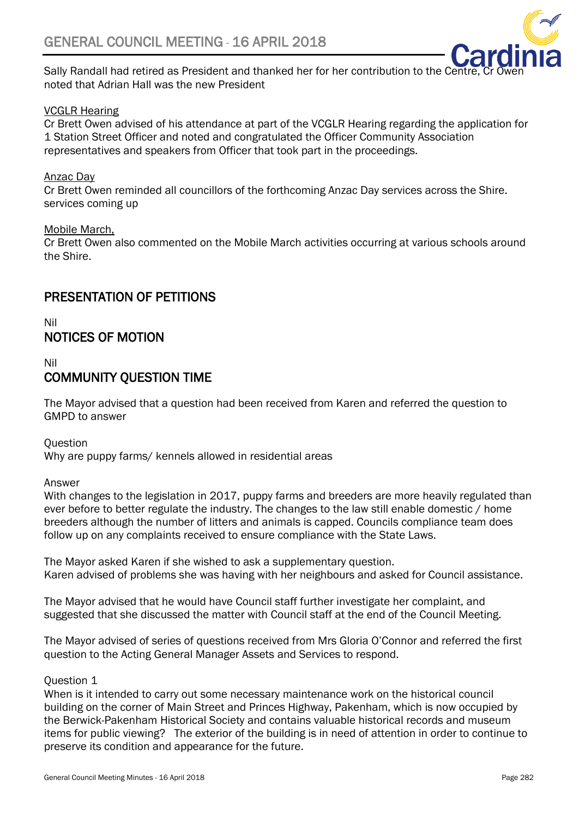

Sally Randall had retired as President and thanked her for her contribution to the Centre. noted that Adrian Hall was the new President

# VCGLR Hearing

Cr Brett Owen advised of his attendance at part of the VCGLR Hearing regarding the application for 1 Station Street Officer and noted and congratulated the Officer Community Association representatives and speakers from Officer that took part in the proceedings.

# Anzac Day

Cr Brett Owen reminded all councillors of the forthcoming Anzac Day services across the Shire. services coming up

### Mobile March,

Cr Brett Owen also commented on the Mobile March activities occurring at various schools around the Shire.

# <span id="page-68-0"></span>PRESENTATION OF PETITIONS

<span id="page-68-1"></span>Nil NOTICES OF MOTION

# <span id="page-68-2"></span>Nil COMMUNITY QUESTION TIME

The Mayor advised that a question had been received from Karen and referred the question to GMPD to answer

**Ouestion** 

Why are puppy farms/ kennels allowed in residential areas

Answer

With changes to the legislation in 2017, puppy farms and breeders are more heavily regulated than ever before to better regulate the industry. The changes to the law still enable domestic / home breeders although the number of litters and animals is capped. Councils compliance team does follow up on any complaints received to ensure compliance with the State Laws.

The Mayor asked Karen if she wished to ask a supplementary question. Karen advised of problems she was having with her neighbours and asked for Council assistance.

The Mayor advised that he would have Council staff further investigate her complaint, and suggested that she discussed the matter with Council staff at the end of the Council Meeting.

The Mayor advised of series of questions received from Mrs Gloria O'Connor and referred the first question to the Acting General Manager Assets and Services to respond.

### Question 1

When is it intended to carry out some necessary maintenance work on the historical council building on the corner of Main Street and Princes Highway, Pakenham, which is now occupied by the Berwick-Pakenham Historical Society and contains valuable historical records and museum items for public viewing? The exterior of the building is in need of attention in order to continue to preserve its condition and appearance for the future.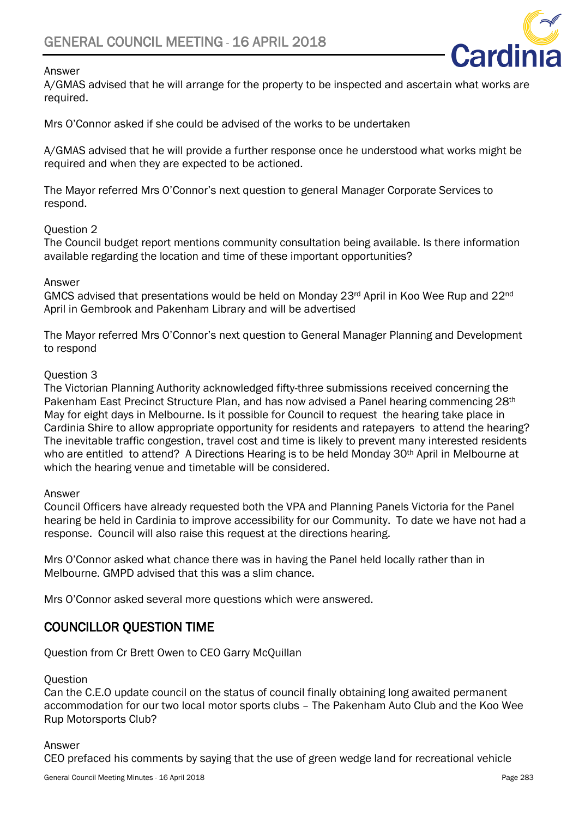



A/GMAS advised that he will arrange for the property to be inspected and ascertain what works are required.

Mrs O'Connor asked if she could be advised of the works to be undertaken

A/GMAS advised that he will provide a further response once he understood what works might be required and when they are expected to be actioned.

The Mayor referred Mrs O'Connor's next question to general Manager Corporate Services to respond.

# Question 2

The Council budget report mentions community consultation being available. Is there information available regarding the location and time of these important opportunities?

### Answer

GMCS advised that presentations would be held on Monday 23rd April in Koo Wee Rup and 22nd April in Gembrook and Pakenham Library and will be advertised

The Mayor referred Mrs O'Connor's next question to General Manager Planning and Development to respond

### Question 3

The Victorian Planning Authority acknowledged fifty-three submissions received concerning the Pakenham East Precinct Structure Plan, and has now advised a Panel hearing commencing 28<sup>th</sup> May for eight days in Melbourne. Is it possible for Council to request the hearing take place in Cardinia Shire to allow appropriate opportunity for residents and ratepayers to attend the hearing? The inevitable traffic congestion, travel cost and time is likely to prevent many interested residents who are entitled to attend? A Directions Hearing is to be held Monday 30<sup>th</sup> April in Melbourne at which the hearing venue and timetable will be considered.

### Answer

<span id="page-69-0"></span>Council Officers have already requested both the VPA and Planning Panels Victoria for the Panel hearing be held in Cardinia to improve accessibility for our Community. To date we have not had a response. Council will also raise this request at the directions hearing.

Mrs O'Connor asked what chance there was in having the Panel held locally rather than in Melbourne. GMPD advised that this was a slim chance.

Mrs O'Connor asked several more questions which were answered.

# <span id="page-69-1"></span>COUNCILLOR QUESTION TIME

Question from Cr Brett Owen to CEO Garry McQuillan

### **Question**

Can the C.E.O update council on the status of council finally obtaining long awaited permanent accommodation for our two local motor sports clubs – The Pakenham Auto Club and the Koo Wee Rup Motorsports Club?

#### Answer

CEO prefaced his comments by saying that the use of green wedge land for recreational vehicle